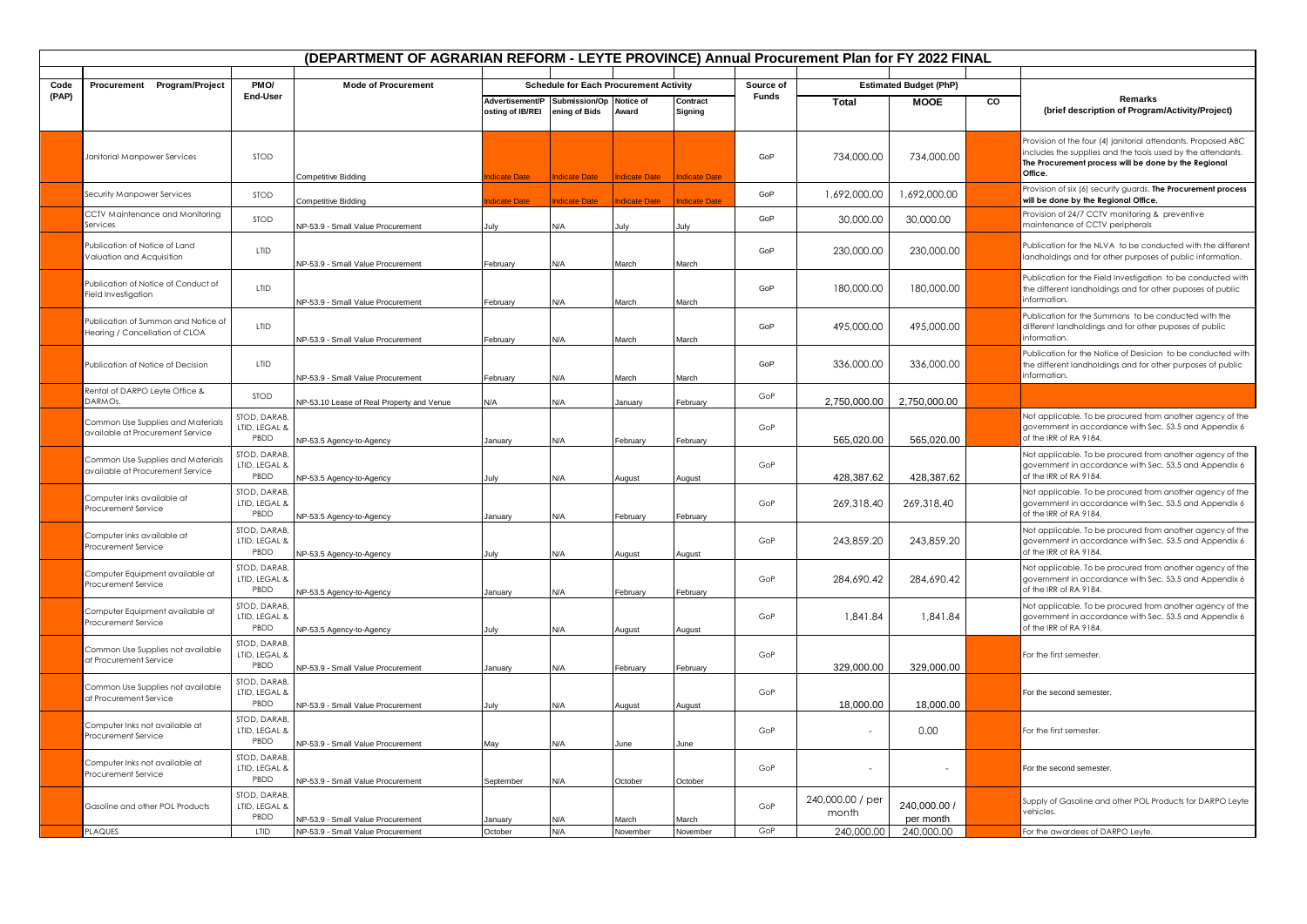| Procurement Program/Project<br>PM <sub>O</sub> /<br><b>Mode of Procurement</b><br><b>Schedule for Each Procurement Activity</b><br>Source of<br><b>Estimated Budget (PhP)</b><br>Code<br>(PAP)<br>End-User<br>Funds<br>Remarks<br>Advertisement/P Submission/Op Notice of<br>$\overline{c}$<br>Contract<br>Total<br><b>MOOE</b><br>(brief description of Program/Activity/Project)<br>osting of IB/REI<br>ening of Bids<br>Award<br>Signing<br>Provision of the four (4) janitorial attendants. Proposed ABC<br>includes the supplies and the tools used by the attendants.<br>GoP<br>734,000,00<br>734,000,00<br><b>STOD</b><br>Janitorial Manpower Services<br>The Procurement process will be done by the Regional<br>Office.<br>dicate Date<br><b>Indicate Date</b><br><b>Indicate Date</b><br>Competitive Bidding<br><b>Indicate Date</b><br>Provision of six (6) security guards. The Procurement process<br>GoP<br>1,692,000.00<br>1,692,000.00<br>STOD<br>Security Manpower Services<br>will be done by the Regional Office.<br>dicate Date<br>Competitive Bidding<br><b>ndicate Date</b><br><b>Idicate Date</b><br>dicate Date<br>CCTV Maintenance and Monitoring<br>Provision of 24/7 CCTV monitoring & preventive<br><b>STOD</b><br>GoP<br>30,000.00<br>30,000.00<br>maintenance of CCTV peripherals<br>Services<br>NP-53.9 - Small Value Procurement<br>N/A<br>lulv<br>Julv<br>July<br>Publication of Notice of Land<br>LTID<br>230,000.00<br>230,000.00<br>GoP<br>Valuation and Acquisition<br>landholdings and for other purposes of public information.<br>NP-53.9 - Small Value Procurement<br>February<br>N/A<br>March<br>March<br>Publication for the Field Investigation to be conducted with<br>Publication of Notice of Conduct of<br><b>LTID</b><br>GoP<br>180,000.00<br>180,000.00<br>the different landholdings and for other puposes of public<br>Field Investigation<br>information.<br><b>NP-53.9 - Small Value Procurement</b><br>February<br>N/A<br>March<br>March<br>Publication for the Summons to be conducted with the<br>Publication of Summon and Notice of<br><b>LTID</b><br>GoP<br>495,000.00<br>495,000.00<br>different landholdings and for other puposes of public<br>Hearing / Cancellation of CLOA<br>information<br>NP-53.9 - Small Value Procurement<br>N/A<br>March<br>March<br>February<br>Publication for the Notice of Desicion to be conducted with<br><b>LTID</b><br>336,000.00<br>336,000.00<br>Publication of Notice of Decision<br>GoP<br>the different landholdings and for other purposes of public<br>information.<br>NP-53.9 - Small Value Procurement<br>February<br>N/A<br>March<br>March<br>Rental of DARPO Leyte Office &<br>STOD<br>GoP<br>DARMOs.<br>2,750,000.00<br>2,750,000.00<br>N/A<br>NP-53.10 Lease of Real Property and Venue<br>N/A<br>February<br>January<br>STOD, DARAB<br>Not applicable. To be procured from another agency of the<br>Common Use Supplies and Materials<br>GoP<br>government in accordance with Sec. 53.5 and Appendix 6<br>LTID, LEGAL &<br>available at Procurement Service<br>of the IRR of RA 9184.<br>PBDD<br>565,020.00<br>565,020.00<br>NP-53.5 Agency-to-Agency<br>N/A<br>February<br>February<br>January<br>STOD, DARAB,<br>Not applicable. To be procured from another agency of the<br>Common Use Supplies and Materials<br>LTID, LEGAL &<br>GoP<br>government in accordance with Sec. 53.5 and Appendix 6<br>available at Procurement Service<br>PBDD<br>of the IRR of RA 9184.<br>428,387.62<br>428,387.62<br>NP-53.5 Agency-to-Agency<br>July<br>N/A<br>August<br>August<br>STOD, DARAB,<br>Not applicable. To be procured from another agency of the<br>Computer Inks available at<br>GoP<br>LTID, LEGAL &<br>269,318.40<br>269,318.40<br>government in accordance with Sec. 53.5 and Appendix 6<br>Procurement Service<br>PBDD<br>of the IRR of RA 9184.<br>N/A<br>NP-53.5 Agency-to-Agency<br>February<br>January<br>February<br>STOD, DARAB<br>Computer Inks available at<br>GoP<br>243,859.20<br>243,859.20<br>LTID, LEGAL &<br>government in accordance with Sec. 53.5 and Appendix 6<br>Procurement Service<br>PBDD<br>of the IRR of RA 9184.<br>NP-53.5 Agency-to-Agency<br>N/A<br>July<br>August<br>August<br>STOD, DARAB,<br>Not applicable. To be procured from another agency of the<br>Computer Equipment available at<br>GoP<br>284,690.42<br>LTID, LEGAL &<br>284,690.42<br>government in accordance with Sec. 53.5 and Appendix 6<br>Procurement Service<br>PBDD<br>of the IRR of RA 9184.<br>NP-53.5 Agency-to-Agency<br>N/A<br>ebruary<br>February<br>Januarv<br>STOD, DARAB<br>Not applicable. To be procured from another agency of the<br>Computer Equipment available at<br>GoP<br>1,841.84<br>1,841.84<br>LTID, LEGAL &<br>government in accordance with Sec. 53.5 and Appendix 6<br>Procurement Service<br>PBDD<br>of the IRR of RA 9184.<br>۷A/<br>NP-53.5 Agency-to-Agency<br>July<br>August<br>August<br>STOD, DARAB<br>Common Use Supplies not available<br>LTID, LEGAL &<br>GoP<br>For the first semester.<br>at Procurement Service<br>PBDD<br>329,000.00<br>329,000.00<br>NP-53.9 - Small Value Procurement<br>N/A<br>January<br>February<br>February<br>STOD, DARAB,<br>Common Use Supplies not available<br>LTID, LEGAL &<br>GoP<br>For the second semester<br>at Procurement Service<br>PBDD<br>18,000.00<br>18,000.00<br>NP-53.9 - Small Value Procurement<br>N/A<br>July<br>August<br>August<br>STOD, DARAB<br>Computer Inks not available at<br>0.00<br>LTID, LEGAL &<br>GoP<br>For the first semester.<br>Procurement Service<br>PBDD<br>NP-53.9 - Small Value Procurement<br>N/A<br>May<br>June<br>June<br>STOD, DARAB,<br>Computer Inks not available at<br>LTID, LEGAL &<br>GoP<br>For the second semester.<br>Procurement Service<br>PBDD<br>NP-53.9 - Small Value Procurement<br>September<br>N/A<br>October<br>October<br>STOD, DARAB.<br>240,000.00 / per<br>Supply of Gasoline and other POL Products for DARPO Leyte<br>GoP<br>LTID, LEGAL &<br>240,000.00 /<br>Gasoline and other POL Products<br>vehicles.<br>month<br>PBDD<br>per month<br>NP-53.9 - Small Value Procurement<br><b>J/A</b><br>Aarch<br>March<br>anuarv<br>LTID<br>NP-53.9 - Small Value Procurement<br>GoP<br>240,000,00<br>240,000.00<br>For the awardees of DARPO Leyte.<br><b>PLAQUES</b><br>October<br>N/A<br>November<br>November | (DEPARTMENT OF AGRARIAN REFORM - LEYTE PROVINCE) Annual Procurement Plan for FY 2022 FINAL |  |  |  |  |  |  |  |  |  |  |                                                             |
|--------------------------------------------------------------------------------------------------------------------------------------------------------------------------------------------------------------------------------------------------------------------------------------------------------------------------------------------------------------------------------------------------------------------------------------------------------------------------------------------------------------------------------------------------------------------------------------------------------------------------------------------------------------------------------------------------------------------------------------------------------------------------------------------------------------------------------------------------------------------------------------------------------------------------------------------------------------------------------------------------------------------------------------------------------------------------------------------------------------------------------------------------------------------------------------------------------------------------------------------------------------------------------------------------------------------------------------------------------------------------------------------------------------------------------------------------------------------------------------------------------------------------------------------------------------------------------------------------------------------------------------------------------------------------------------------------------------------------------------------------------------------------------------------------------------------------------------------------------------------------------------------------------------------------------------------------------------------------------------------------------------------------------------------------------------------------------------------------------------------------------------------------------------------------------------------------------------------------------------------------------------------------------------------------------------------------------------------------------------------------------------------------------------------------------------------------------------------------------------------------------------------------------------------------------------------------------------------------------------------------------------------------------------------------------------------------------------------------------------------------------------------------------------------------------------------------------------------------------------------------------------------------------------------------------------------------------------------------------------------------------------------------------------------------------------------------------------------------------------------------------------------------------------------------------------------------------------------------------------------------------------------------------------------------------------------------------------------------------------------------------------------------------------------------------------------------------------------------------------------------------------------------------------------------------------------------------------------------------------------------------------------------------------------------------------------------------------------------------------------------------------------------------------------------------------------------------------------------------------------------------------------------------------------------------------------------------------------------------------------------------------------------------------------------------------------------------------------------------------------------------------------------------------------------------------------------------------------------------------------------------------------------------------------------------------------------------------------------------------------------------------------------------------------------------------------------------------------------------------------------------------------------------------------------------------------------------------------------------------------------------------------------------------------------------------------------------------------------------------------------------------------------------------------------------------------------------------------------------------------------------------------------------------------------------------------------------------------------------------------------------------------------------------------------------------------------------------------------------------------------------------------------------------------------------------------------------------------------------------------------------------------------------------------------------------------------------------------------------------------------------------------------------------------------------------------------------------------------------------------------------------------------------------------------------------------------------------------------------------------------------------------------------------------------------------------------------------------------------------------------------------------------------------------------------------------------------------------------------------------------------------------------------------------------------------------------------------------------------------------------------------------------------------------------------------------------------------------------------------------------------------------------------------------------------------------------------------------------------------------------------------------------------------------------------------------------------------------------------------------|--------------------------------------------------------------------------------------------|--|--|--|--|--|--|--|--|--|--|-------------------------------------------------------------|
|                                                                                                                                                                                                                                                                                                                                                                                                                                                                                                                                                                                                                                                                                                                                                                                                                                                                                                                                                                                                                                                                                                                                                                                                                                                                                                                                                                                                                                                                                                                                                                                                                                                                                                                                                                                                                                                                                                                                                                                                                                                                                                                                                                                                                                                                                                                                                                                                                                                                                                                                                                                                                                                                                                                                                                                                                                                                                                                                                                                                                                                                                                                                                                                                                                                                                                                                                                                                                                                                                                                                                                                                                                                                                                                                                                                                                                                                                                                                                                                                                                                                                                                                                                                                                                                                                                                                                                                                                                                                                                                                                                                                                                                                                                                                                                                                                                                                                                                                                                                                                                                                                                                                                                                                                                                                                                                                                                                                                                                                                                                                                                                                                                                                                                                                                                                                                                                                                                                                                                                                                                                                                                                                                                                                                                                                                                                                                                    |                                                                                            |  |  |  |  |  |  |  |  |  |  |                                                             |
|                                                                                                                                                                                                                                                                                                                                                                                                                                                                                                                                                                                                                                                                                                                                                                                                                                                                                                                                                                                                                                                                                                                                                                                                                                                                                                                                                                                                                                                                                                                                                                                                                                                                                                                                                                                                                                                                                                                                                                                                                                                                                                                                                                                                                                                                                                                                                                                                                                                                                                                                                                                                                                                                                                                                                                                                                                                                                                                                                                                                                                                                                                                                                                                                                                                                                                                                                                                                                                                                                                                                                                                                                                                                                                                                                                                                                                                                                                                                                                                                                                                                                                                                                                                                                                                                                                                                                                                                                                                                                                                                                                                                                                                                                                                                                                                                                                                                                                                                                                                                                                                                                                                                                                                                                                                                                                                                                                                                                                                                                                                                                                                                                                                                                                                                                                                                                                                                                                                                                                                                                                                                                                                                                                                                                                                                                                                                                                    |                                                                                            |  |  |  |  |  |  |  |  |  |  |                                                             |
|                                                                                                                                                                                                                                                                                                                                                                                                                                                                                                                                                                                                                                                                                                                                                                                                                                                                                                                                                                                                                                                                                                                                                                                                                                                                                                                                                                                                                                                                                                                                                                                                                                                                                                                                                                                                                                                                                                                                                                                                                                                                                                                                                                                                                                                                                                                                                                                                                                                                                                                                                                                                                                                                                                                                                                                                                                                                                                                                                                                                                                                                                                                                                                                                                                                                                                                                                                                                                                                                                                                                                                                                                                                                                                                                                                                                                                                                                                                                                                                                                                                                                                                                                                                                                                                                                                                                                                                                                                                                                                                                                                                                                                                                                                                                                                                                                                                                                                                                                                                                                                                                                                                                                                                                                                                                                                                                                                                                                                                                                                                                                                                                                                                                                                                                                                                                                                                                                                                                                                                                                                                                                                                                                                                                                                                                                                                                                                    |                                                                                            |  |  |  |  |  |  |  |  |  |  |                                                             |
|                                                                                                                                                                                                                                                                                                                                                                                                                                                                                                                                                                                                                                                                                                                                                                                                                                                                                                                                                                                                                                                                                                                                                                                                                                                                                                                                                                                                                                                                                                                                                                                                                                                                                                                                                                                                                                                                                                                                                                                                                                                                                                                                                                                                                                                                                                                                                                                                                                                                                                                                                                                                                                                                                                                                                                                                                                                                                                                                                                                                                                                                                                                                                                                                                                                                                                                                                                                                                                                                                                                                                                                                                                                                                                                                                                                                                                                                                                                                                                                                                                                                                                                                                                                                                                                                                                                                                                                                                                                                                                                                                                                                                                                                                                                                                                                                                                                                                                                                                                                                                                                                                                                                                                                                                                                                                                                                                                                                                                                                                                                                                                                                                                                                                                                                                                                                                                                                                                                                                                                                                                                                                                                                                                                                                                                                                                                                                                    |                                                                                            |  |  |  |  |  |  |  |  |  |  |                                                             |
|                                                                                                                                                                                                                                                                                                                                                                                                                                                                                                                                                                                                                                                                                                                                                                                                                                                                                                                                                                                                                                                                                                                                                                                                                                                                                                                                                                                                                                                                                                                                                                                                                                                                                                                                                                                                                                                                                                                                                                                                                                                                                                                                                                                                                                                                                                                                                                                                                                                                                                                                                                                                                                                                                                                                                                                                                                                                                                                                                                                                                                                                                                                                                                                                                                                                                                                                                                                                                                                                                                                                                                                                                                                                                                                                                                                                                                                                                                                                                                                                                                                                                                                                                                                                                                                                                                                                                                                                                                                                                                                                                                                                                                                                                                                                                                                                                                                                                                                                                                                                                                                                                                                                                                                                                                                                                                                                                                                                                                                                                                                                                                                                                                                                                                                                                                                                                                                                                                                                                                                                                                                                                                                                                                                                                                                                                                                                                                    |                                                                                            |  |  |  |  |  |  |  |  |  |  |                                                             |
|                                                                                                                                                                                                                                                                                                                                                                                                                                                                                                                                                                                                                                                                                                                                                                                                                                                                                                                                                                                                                                                                                                                                                                                                                                                                                                                                                                                                                                                                                                                                                                                                                                                                                                                                                                                                                                                                                                                                                                                                                                                                                                                                                                                                                                                                                                                                                                                                                                                                                                                                                                                                                                                                                                                                                                                                                                                                                                                                                                                                                                                                                                                                                                                                                                                                                                                                                                                                                                                                                                                                                                                                                                                                                                                                                                                                                                                                                                                                                                                                                                                                                                                                                                                                                                                                                                                                                                                                                                                                                                                                                                                                                                                                                                                                                                                                                                                                                                                                                                                                                                                                                                                                                                                                                                                                                                                                                                                                                                                                                                                                                                                                                                                                                                                                                                                                                                                                                                                                                                                                                                                                                                                                                                                                                                                                                                                                                                    |                                                                                            |  |  |  |  |  |  |  |  |  |  |                                                             |
|                                                                                                                                                                                                                                                                                                                                                                                                                                                                                                                                                                                                                                                                                                                                                                                                                                                                                                                                                                                                                                                                                                                                                                                                                                                                                                                                                                                                                                                                                                                                                                                                                                                                                                                                                                                                                                                                                                                                                                                                                                                                                                                                                                                                                                                                                                                                                                                                                                                                                                                                                                                                                                                                                                                                                                                                                                                                                                                                                                                                                                                                                                                                                                                                                                                                                                                                                                                                                                                                                                                                                                                                                                                                                                                                                                                                                                                                                                                                                                                                                                                                                                                                                                                                                                                                                                                                                                                                                                                                                                                                                                                                                                                                                                                                                                                                                                                                                                                                                                                                                                                                                                                                                                                                                                                                                                                                                                                                                                                                                                                                                                                                                                                                                                                                                                                                                                                                                                                                                                                                                                                                                                                                                                                                                                                                                                                                                                    |                                                                                            |  |  |  |  |  |  |  |  |  |  |                                                             |
|                                                                                                                                                                                                                                                                                                                                                                                                                                                                                                                                                                                                                                                                                                                                                                                                                                                                                                                                                                                                                                                                                                                                                                                                                                                                                                                                                                                                                                                                                                                                                                                                                                                                                                                                                                                                                                                                                                                                                                                                                                                                                                                                                                                                                                                                                                                                                                                                                                                                                                                                                                                                                                                                                                                                                                                                                                                                                                                                                                                                                                                                                                                                                                                                                                                                                                                                                                                                                                                                                                                                                                                                                                                                                                                                                                                                                                                                                                                                                                                                                                                                                                                                                                                                                                                                                                                                                                                                                                                                                                                                                                                                                                                                                                                                                                                                                                                                                                                                                                                                                                                                                                                                                                                                                                                                                                                                                                                                                                                                                                                                                                                                                                                                                                                                                                                                                                                                                                                                                                                                                                                                                                                                                                                                                                                                                                                                                                    |                                                                                            |  |  |  |  |  |  |  |  |  |  |                                                             |
|                                                                                                                                                                                                                                                                                                                                                                                                                                                                                                                                                                                                                                                                                                                                                                                                                                                                                                                                                                                                                                                                                                                                                                                                                                                                                                                                                                                                                                                                                                                                                                                                                                                                                                                                                                                                                                                                                                                                                                                                                                                                                                                                                                                                                                                                                                                                                                                                                                                                                                                                                                                                                                                                                                                                                                                                                                                                                                                                                                                                                                                                                                                                                                                                                                                                                                                                                                                                                                                                                                                                                                                                                                                                                                                                                                                                                                                                                                                                                                                                                                                                                                                                                                                                                                                                                                                                                                                                                                                                                                                                                                                                                                                                                                                                                                                                                                                                                                                                                                                                                                                                                                                                                                                                                                                                                                                                                                                                                                                                                                                                                                                                                                                                                                                                                                                                                                                                                                                                                                                                                                                                                                                                                                                                                                                                                                                                                                    |                                                                                            |  |  |  |  |  |  |  |  |  |  | Publication for the NLVA to be conducted with the different |
|                                                                                                                                                                                                                                                                                                                                                                                                                                                                                                                                                                                                                                                                                                                                                                                                                                                                                                                                                                                                                                                                                                                                                                                                                                                                                                                                                                                                                                                                                                                                                                                                                                                                                                                                                                                                                                                                                                                                                                                                                                                                                                                                                                                                                                                                                                                                                                                                                                                                                                                                                                                                                                                                                                                                                                                                                                                                                                                                                                                                                                                                                                                                                                                                                                                                                                                                                                                                                                                                                                                                                                                                                                                                                                                                                                                                                                                                                                                                                                                                                                                                                                                                                                                                                                                                                                                                                                                                                                                                                                                                                                                                                                                                                                                                                                                                                                                                                                                                                                                                                                                                                                                                                                                                                                                                                                                                                                                                                                                                                                                                                                                                                                                                                                                                                                                                                                                                                                                                                                                                                                                                                                                                                                                                                                                                                                                                                                    |                                                                                            |  |  |  |  |  |  |  |  |  |  |                                                             |
|                                                                                                                                                                                                                                                                                                                                                                                                                                                                                                                                                                                                                                                                                                                                                                                                                                                                                                                                                                                                                                                                                                                                                                                                                                                                                                                                                                                                                                                                                                                                                                                                                                                                                                                                                                                                                                                                                                                                                                                                                                                                                                                                                                                                                                                                                                                                                                                                                                                                                                                                                                                                                                                                                                                                                                                                                                                                                                                                                                                                                                                                                                                                                                                                                                                                                                                                                                                                                                                                                                                                                                                                                                                                                                                                                                                                                                                                                                                                                                                                                                                                                                                                                                                                                                                                                                                                                                                                                                                                                                                                                                                                                                                                                                                                                                                                                                                                                                                                                                                                                                                                                                                                                                                                                                                                                                                                                                                                                                                                                                                                                                                                                                                                                                                                                                                                                                                                                                                                                                                                                                                                                                                                                                                                                                                                                                                                                                    |                                                                                            |  |  |  |  |  |  |  |  |  |  |                                                             |
|                                                                                                                                                                                                                                                                                                                                                                                                                                                                                                                                                                                                                                                                                                                                                                                                                                                                                                                                                                                                                                                                                                                                                                                                                                                                                                                                                                                                                                                                                                                                                                                                                                                                                                                                                                                                                                                                                                                                                                                                                                                                                                                                                                                                                                                                                                                                                                                                                                                                                                                                                                                                                                                                                                                                                                                                                                                                                                                                                                                                                                                                                                                                                                                                                                                                                                                                                                                                                                                                                                                                                                                                                                                                                                                                                                                                                                                                                                                                                                                                                                                                                                                                                                                                                                                                                                                                                                                                                                                                                                                                                                                                                                                                                                                                                                                                                                                                                                                                                                                                                                                                                                                                                                                                                                                                                                                                                                                                                                                                                                                                                                                                                                                                                                                                                                                                                                                                                                                                                                                                                                                                                                                                                                                                                                                                                                                                                                    |                                                                                            |  |  |  |  |  |  |  |  |  |  |                                                             |
|                                                                                                                                                                                                                                                                                                                                                                                                                                                                                                                                                                                                                                                                                                                                                                                                                                                                                                                                                                                                                                                                                                                                                                                                                                                                                                                                                                                                                                                                                                                                                                                                                                                                                                                                                                                                                                                                                                                                                                                                                                                                                                                                                                                                                                                                                                                                                                                                                                                                                                                                                                                                                                                                                                                                                                                                                                                                                                                                                                                                                                                                                                                                                                                                                                                                                                                                                                                                                                                                                                                                                                                                                                                                                                                                                                                                                                                                                                                                                                                                                                                                                                                                                                                                                                                                                                                                                                                                                                                                                                                                                                                                                                                                                                                                                                                                                                                                                                                                                                                                                                                                                                                                                                                                                                                                                                                                                                                                                                                                                                                                                                                                                                                                                                                                                                                                                                                                                                                                                                                                                                                                                                                                                                                                                                                                                                                                                                    |                                                                                            |  |  |  |  |  |  |  |  |  |  |                                                             |
|                                                                                                                                                                                                                                                                                                                                                                                                                                                                                                                                                                                                                                                                                                                                                                                                                                                                                                                                                                                                                                                                                                                                                                                                                                                                                                                                                                                                                                                                                                                                                                                                                                                                                                                                                                                                                                                                                                                                                                                                                                                                                                                                                                                                                                                                                                                                                                                                                                                                                                                                                                                                                                                                                                                                                                                                                                                                                                                                                                                                                                                                                                                                                                                                                                                                                                                                                                                                                                                                                                                                                                                                                                                                                                                                                                                                                                                                                                                                                                                                                                                                                                                                                                                                                                                                                                                                                                                                                                                                                                                                                                                                                                                                                                                                                                                                                                                                                                                                                                                                                                                                                                                                                                                                                                                                                                                                                                                                                                                                                                                                                                                                                                                                                                                                                                                                                                                                                                                                                                                                                                                                                                                                                                                                                                                                                                                                                                    |                                                                                            |  |  |  |  |  |  |  |  |  |  |                                                             |
|                                                                                                                                                                                                                                                                                                                                                                                                                                                                                                                                                                                                                                                                                                                                                                                                                                                                                                                                                                                                                                                                                                                                                                                                                                                                                                                                                                                                                                                                                                                                                                                                                                                                                                                                                                                                                                                                                                                                                                                                                                                                                                                                                                                                                                                                                                                                                                                                                                                                                                                                                                                                                                                                                                                                                                                                                                                                                                                                                                                                                                                                                                                                                                                                                                                                                                                                                                                                                                                                                                                                                                                                                                                                                                                                                                                                                                                                                                                                                                                                                                                                                                                                                                                                                                                                                                                                                                                                                                                                                                                                                                                                                                                                                                                                                                                                                                                                                                                                                                                                                                                                                                                                                                                                                                                                                                                                                                                                                                                                                                                                                                                                                                                                                                                                                                                                                                                                                                                                                                                                                                                                                                                                                                                                                                                                                                                                                                    |                                                                                            |  |  |  |  |  |  |  |  |  |  |                                                             |
|                                                                                                                                                                                                                                                                                                                                                                                                                                                                                                                                                                                                                                                                                                                                                                                                                                                                                                                                                                                                                                                                                                                                                                                                                                                                                                                                                                                                                                                                                                                                                                                                                                                                                                                                                                                                                                                                                                                                                                                                                                                                                                                                                                                                                                                                                                                                                                                                                                                                                                                                                                                                                                                                                                                                                                                                                                                                                                                                                                                                                                                                                                                                                                                                                                                                                                                                                                                                                                                                                                                                                                                                                                                                                                                                                                                                                                                                                                                                                                                                                                                                                                                                                                                                                                                                                                                                                                                                                                                                                                                                                                                                                                                                                                                                                                                                                                                                                                                                                                                                                                                                                                                                                                                                                                                                                                                                                                                                                                                                                                                                                                                                                                                                                                                                                                                                                                                                                                                                                                                                                                                                                                                                                                                                                                                                                                                                                                    |                                                                                            |  |  |  |  |  |  |  |  |  |  |                                                             |
|                                                                                                                                                                                                                                                                                                                                                                                                                                                                                                                                                                                                                                                                                                                                                                                                                                                                                                                                                                                                                                                                                                                                                                                                                                                                                                                                                                                                                                                                                                                                                                                                                                                                                                                                                                                                                                                                                                                                                                                                                                                                                                                                                                                                                                                                                                                                                                                                                                                                                                                                                                                                                                                                                                                                                                                                                                                                                                                                                                                                                                                                                                                                                                                                                                                                                                                                                                                                                                                                                                                                                                                                                                                                                                                                                                                                                                                                                                                                                                                                                                                                                                                                                                                                                                                                                                                                                                                                                                                                                                                                                                                                                                                                                                                                                                                                                                                                                                                                                                                                                                                                                                                                                                                                                                                                                                                                                                                                                                                                                                                                                                                                                                                                                                                                                                                                                                                                                                                                                                                                                                                                                                                                                                                                                                                                                                                                                                    |                                                                                            |  |  |  |  |  |  |  |  |  |  |                                                             |
|                                                                                                                                                                                                                                                                                                                                                                                                                                                                                                                                                                                                                                                                                                                                                                                                                                                                                                                                                                                                                                                                                                                                                                                                                                                                                                                                                                                                                                                                                                                                                                                                                                                                                                                                                                                                                                                                                                                                                                                                                                                                                                                                                                                                                                                                                                                                                                                                                                                                                                                                                                                                                                                                                                                                                                                                                                                                                                                                                                                                                                                                                                                                                                                                                                                                                                                                                                                                                                                                                                                                                                                                                                                                                                                                                                                                                                                                                                                                                                                                                                                                                                                                                                                                                                                                                                                                                                                                                                                                                                                                                                                                                                                                                                                                                                                                                                                                                                                                                                                                                                                                                                                                                                                                                                                                                                                                                                                                                                                                                                                                                                                                                                                                                                                                                                                                                                                                                                                                                                                                                                                                                                                                                                                                                                                                                                                                                                    |                                                                                            |  |  |  |  |  |  |  |  |  |  |                                                             |
|                                                                                                                                                                                                                                                                                                                                                                                                                                                                                                                                                                                                                                                                                                                                                                                                                                                                                                                                                                                                                                                                                                                                                                                                                                                                                                                                                                                                                                                                                                                                                                                                                                                                                                                                                                                                                                                                                                                                                                                                                                                                                                                                                                                                                                                                                                                                                                                                                                                                                                                                                                                                                                                                                                                                                                                                                                                                                                                                                                                                                                                                                                                                                                                                                                                                                                                                                                                                                                                                                                                                                                                                                                                                                                                                                                                                                                                                                                                                                                                                                                                                                                                                                                                                                                                                                                                                                                                                                                                                                                                                                                                                                                                                                                                                                                                                                                                                                                                                                                                                                                                                                                                                                                                                                                                                                                                                                                                                                                                                                                                                                                                                                                                                                                                                                                                                                                                                                                                                                                                                                                                                                                                                                                                                                                                                                                                                                                    |                                                                                            |  |  |  |  |  |  |  |  |  |  |                                                             |
|                                                                                                                                                                                                                                                                                                                                                                                                                                                                                                                                                                                                                                                                                                                                                                                                                                                                                                                                                                                                                                                                                                                                                                                                                                                                                                                                                                                                                                                                                                                                                                                                                                                                                                                                                                                                                                                                                                                                                                                                                                                                                                                                                                                                                                                                                                                                                                                                                                                                                                                                                                                                                                                                                                                                                                                                                                                                                                                                                                                                                                                                                                                                                                                                                                                                                                                                                                                                                                                                                                                                                                                                                                                                                                                                                                                                                                                                                                                                                                                                                                                                                                                                                                                                                                                                                                                                                                                                                                                                                                                                                                                                                                                                                                                                                                                                                                                                                                                                                                                                                                                                                                                                                                                                                                                                                                                                                                                                                                                                                                                                                                                                                                                                                                                                                                                                                                                                                                                                                                                                                                                                                                                                                                                                                                                                                                                                                                    |                                                                                            |  |  |  |  |  |  |  |  |  |  |                                                             |
|                                                                                                                                                                                                                                                                                                                                                                                                                                                                                                                                                                                                                                                                                                                                                                                                                                                                                                                                                                                                                                                                                                                                                                                                                                                                                                                                                                                                                                                                                                                                                                                                                                                                                                                                                                                                                                                                                                                                                                                                                                                                                                                                                                                                                                                                                                                                                                                                                                                                                                                                                                                                                                                                                                                                                                                                                                                                                                                                                                                                                                                                                                                                                                                                                                                                                                                                                                                                                                                                                                                                                                                                                                                                                                                                                                                                                                                                                                                                                                                                                                                                                                                                                                                                                                                                                                                                                                                                                                                                                                                                                                                                                                                                                                                                                                                                                                                                                                                                                                                                                                                                                                                                                                                                                                                                                                                                                                                                                                                                                                                                                                                                                                                                                                                                                                                                                                                                                                                                                                                                                                                                                                                                                                                                                                                                                                                                                                    |                                                                                            |  |  |  |  |  |  |  |  |  |  | Not applicable. To be procured from another agency of the   |
|                                                                                                                                                                                                                                                                                                                                                                                                                                                                                                                                                                                                                                                                                                                                                                                                                                                                                                                                                                                                                                                                                                                                                                                                                                                                                                                                                                                                                                                                                                                                                                                                                                                                                                                                                                                                                                                                                                                                                                                                                                                                                                                                                                                                                                                                                                                                                                                                                                                                                                                                                                                                                                                                                                                                                                                                                                                                                                                                                                                                                                                                                                                                                                                                                                                                                                                                                                                                                                                                                                                                                                                                                                                                                                                                                                                                                                                                                                                                                                                                                                                                                                                                                                                                                                                                                                                                                                                                                                                                                                                                                                                                                                                                                                                                                                                                                                                                                                                                                                                                                                                                                                                                                                                                                                                                                                                                                                                                                                                                                                                                                                                                                                                                                                                                                                                                                                                                                                                                                                                                                                                                                                                                                                                                                                                                                                                                                                    |                                                                                            |  |  |  |  |  |  |  |  |  |  |                                                             |
|                                                                                                                                                                                                                                                                                                                                                                                                                                                                                                                                                                                                                                                                                                                                                                                                                                                                                                                                                                                                                                                                                                                                                                                                                                                                                                                                                                                                                                                                                                                                                                                                                                                                                                                                                                                                                                                                                                                                                                                                                                                                                                                                                                                                                                                                                                                                                                                                                                                                                                                                                                                                                                                                                                                                                                                                                                                                                                                                                                                                                                                                                                                                                                                                                                                                                                                                                                                                                                                                                                                                                                                                                                                                                                                                                                                                                                                                                                                                                                                                                                                                                                                                                                                                                                                                                                                                                                                                                                                                                                                                                                                                                                                                                                                                                                                                                                                                                                                                                                                                                                                                                                                                                                                                                                                                                                                                                                                                                                                                                                                                                                                                                                                                                                                                                                                                                                                                                                                                                                                                                                                                                                                                                                                                                                                                                                                                                                    |                                                                                            |  |  |  |  |  |  |  |  |  |  |                                                             |
|                                                                                                                                                                                                                                                                                                                                                                                                                                                                                                                                                                                                                                                                                                                                                                                                                                                                                                                                                                                                                                                                                                                                                                                                                                                                                                                                                                                                                                                                                                                                                                                                                                                                                                                                                                                                                                                                                                                                                                                                                                                                                                                                                                                                                                                                                                                                                                                                                                                                                                                                                                                                                                                                                                                                                                                                                                                                                                                                                                                                                                                                                                                                                                                                                                                                                                                                                                                                                                                                                                                                                                                                                                                                                                                                                                                                                                                                                                                                                                                                                                                                                                                                                                                                                                                                                                                                                                                                                                                                                                                                                                                                                                                                                                                                                                                                                                                                                                                                                                                                                                                                                                                                                                                                                                                                                                                                                                                                                                                                                                                                                                                                                                                                                                                                                                                                                                                                                                                                                                                                                                                                                                                                                                                                                                                                                                                                                                    |                                                                                            |  |  |  |  |  |  |  |  |  |  |                                                             |
|                                                                                                                                                                                                                                                                                                                                                                                                                                                                                                                                                                                                                                                                                                                                                                                                                                                                                                                                                                                                                                                                                                                                                                                                                                                                                                                                                                                                                                                                                                                                                                                                                                                                                                                                                                                                                                                                                                                                                                                                                                                                                                                                                                                                                                                                                                                                                                                                                                                                                                                                                                                                                                                                                                                                                                                                                                                                                                                                                                                                                                                                                                                                                                                                                                                                                                                                                                                                                                                                                                                                                                                                                                                                                                                                                                                                                                                                                                                                                                                                                                                                                                                                                                                                                                                                                                                                                                                                                                                                                                                                                                                                                                                                                                                                                                                                                                                                                                                                                                                                                                                                                                                                                                                                                                                                                                                                                                                                                                                                                                                                                                                                                                                                                                                                                                                                                                                                                                                                                                                                                                                                                                                                                                                                                                                                                                                                                                    |                                                                                            |  |  |  |  |  |  |  |  |  |  |                                                             |
|                                                                                                                                                                                                                                                                                                                                                                                                                                                                                                                                                                                                                                                                                                                                                                                                                                                                                                                                                                                                                                                                                                                                                                                                                                                                                                                                                                                                                                                                                                                                                                                                                                                                                                                                                                                                                                                                                                                                                                                                                                                                                                                                                                                                                                                                                                                                                                                                                                                                                                                                                                                                                                                                                                                                                                                                                                                                                                                                                                                                                                                                                                                                                                                                                                                                                                                                                                                                                                                                                                                                                                                                                                                                                                                                                                                                                                                                                                                                                                                                                                                                                                                                                                                                                                                                                                                                                                                                                                                                                                                                                                                                                                                                                                                                                                                                                                                                                                                                                                                                                                                                                                                                                                                                                                                                                                                                                                                                                                                                                                                                                                                                                                                                                                                                                                                                                                                                                                                                                                                                                                                                                                                                                                                                                                                                                                                                                                    |                                                                                            |  |  |  |  |  |  |  |  |  |  |                                                             |
|                                                                                                                                                                                                                                                                                                                                                                                                                                                                                                                                                                                                                                                                                                                                                                                                                                                                                                                                                                                                                                                                                                                                                                                                                                                                                                                                                                                                                                                                                                                                                                                                                                                                                                                                                                                                                                                                                                                                                                                                                                                                                                                                                                                                                                                                                                                                                                                                                                                                                                                                                                                                                                                                                                                                                                                                                                                                                                                                                                                                                                                                                                                                                                                                                                                                                                                                                                                                                                                                                                                                                                                                                                                                                                                                                                                                                                                                                                                                                                                                                                                                                                                                                                                                                                                                                                                                                                                                                                                                                                                                                                                                                                                                                                                                                                                                                                                                                                                                                                                                                                                                                                                                                                                                                                                                                                                                                                                                                                                                                                                                                                                                                                                                                                                                                                                                                                                                                                                                                                                                                                                                                                                                                                                                                                                                                                                                                                    |                                                                                            |  |  |  |  |  |  |  |  |  |  |                                                             |
|                                                                                                                                                                                                                                                                                                                                                                                                                                                                                                                                                                                                                                                                                                                                                                                                                                                                                                                                                                                                                                                                                                                                                                                                                                                                                                                                                                                                                                                                                                                                                                                                                                                                                                                                                                                                                                                                                                                                                                                                                                                                                                                                                                                                                                                                                                                                                                                                                                                                                                                                                                                                                                                                                                                                                                                                                                                                                                                                                                                                                                                                                                                                                                                                                                                                                                                                                                                                                                                                                                                                                                                                                                                                                                                                                                                                                                                                                                                                                                                                                                                                                                                                                                                                                                                                                                                                                                                                                                                                                                                                                                                                                                                                                                                                                                                                                                                                                                                                                                                                                                                                                                                                                                                                                                                                                                                                                                                                                                                                                                                                                                                                                                                                                                                                                                                                                                                                                                                                                                                                                                                                                                                                                                                                                                                                                                                                                                    |                                                                                            |  |  |  |  |  |  |  |  |  |  |                                                             |
|                                                                                                                                                                                                                                                                                                                                                                                                                                                                                                                                                                                                                                                                                                                                                                                                                                                                                                                                                                                                                                                                                                                                                                                                                                                                                                                                                                                                                                                                                                                                                                                                                                                                                                                                                                                                                                                                                                                                                                                                                                                                                                                                                                                                                                                                                                                                                                                                                                                                                                                                                                                                                                                                                                                                                                                                                                                                                                                                                                                                                                                                                                                                                                                                                                                                                                                                                                                                                                                                                                                                                                                                                                                                                                                                                                                                                                                                                                                                                                                                                                                                                                                                                                                                                                                                                                                                                                                                                                                                                                                                                                                                                                                                                                                                                                                                                                                                                                                                                                                                                                                                                                                                                                                                                                                                                                                                                                                                                                                                                                                                                                                                                                                                                                                                                                                                                                                                                                                                                                                                                                                                                                                                                                                                                                                                                                                                                                    |                                                                                            |  |  |  |  |  |  |  |  |  |  |                                                             |
|                                                                                                                                                                                                                                                                                                                                                                                                                                                                                                                                                                                                                                                                                                                                                                                                                                                                                                                                                                                                                                                                                                                                                                                                                                                                                                                                                                                                                                                                                                                                                                                                                                                                                                                                                                                                                                                                                                                                                                                                                                                                                                                                                                                                                                                                                                                                                                                                                                                                                                                                                                                                                                                                                                                                                                                                                                                                                                                                                                                                                                                                                                                                                                                                                                                                                                                                                                                                                                                                                                                                                                                                                                                                                                                                                                                                                                                                                                                                                                                                                                                                                                                                                                                                                                                                                                                                                                                                                                                                                                                                                                                                                                                                                                                                                                                                                                                                                                                                                                                                                                                                                                                                                                                                                                                                                                                                                                                                                                                                                                                                                                                                                                                                                                                                                                                                                                                                                                                                                                                                                                                                                                                                                                                                                                                                                                                                                                    |                                                                                            |  |  |  |  |  |  |  |  |  |  |                                                             |
|                                                                                                                                                                                                                                                                                                                                                                                                                                                                                                                                                                                                                                                                                                                                                                                                                                                                                                                                                                                                                                                                                                                                                                                                                                                                                                                                                                                                                                                                                                                                                                                                                                                                                                                                                                                                                                                                                                                                                                                                                                                                                                                                                                                                                                                                                                                                                                                                                                                                                                                                                                                                                                                                                                                                                                                                                                                                                                                                                                                                                                                                                                                                                                                                                                                                                                                                                                                                                                                                                                                                                                                                                                                                                                                                                                                                                                                                                                                                                                                                                                                                                                                                                                                                                                                                                                                                                                                                                                                                                                                                                                                                                                                                                                                                                                                                                                                                                                                                                                                                                                                                                                                                                                                                                                                                                                                                                                                                                                                                                                                                                                                                                                                                                                                                                                                                                                                                                                                                                                                                                                                                                                                                                                                                                                                                                                                                                                    |                                                                                            |  |  |  |  |  |  |  |  |  |  |                                                             |
|                                                                                                                                                                                                                                                                                                                                                                                                                                                                                                                                                                                                                                                                                                                                                                                                                                                                                                                                                                                                                                                                                                                                                                                                                                                                                                                                                                                                                                                                                                                                                                                                                                                                                                                                                                                                                                                                                                                                                                                                                                                                                                                                                                                                                                                                                                                                                                                                                                                                                                                                                                                                                                                                                                                                                                                                                                                                                                                                                                                                                                                                                                                                                                                                                                                                                                                                                                                                                                                                                                                                                                                                                                                                                                                                                                                                                                                                                                                                                                                                                                                                                                                                                                                                                                                                                                                                                                                                                                                                                                                                                                                                                                                                                                                                                                                                                                                                                                                                                                                                                                                                                                                                                                                                                                                                                                                                                                                                                                                                                                                                                                                                                                                                                                                                                                                                                                                                                                                                                                                                                                                                                                                                                                                                                                                                                                                                                                    |                                                                                            |  |  |  |  |  |  |  |  |  |  |                                                             |
|                                                                                                                                                                                                                                                                                                                                                                                                                                                                                                                                                                                                                                                                                                                                                                                                                                                                                                                                                                                                                                                                                                                                                                                                                                                                                                                                                                                                                                                                                                                                                                                                                                                                                                                                                                                                                                                                                                                                                                                                                                                                                                                                                                                                                                                                                                                                                                                                                                                                                                                                                                                                                                                                                                                                                                                                                                                                                                                                                                                                                                                                                                                                                                                                                                                                                                                                                                                                                                                                                                                                                                                                                                                                                                                                                                                                                                                                                                                                                                                                                                                                                                                                                                                                                                                                                                                                                                                                                                                                                                                                                                                                                                                                                                                                                                                                                                                                                                                                                                                                                                                                                                                                                                                                                                                                                                                                                                                                                                                                                                                                                                                                                                                                                                                                                                                                                                                                                                                                                                                                                                                                                                                                                                                                                                                                                                                                                                    |                                                                                            |  |  |  |  |  |  |  |  |  |  |                                                             |
|                                                                                                                                                                                                                                                                                                                                                                                                                                                                                                                                                                                                                                                                                                                                                                                                                                                                                                                                                                                                                                                                                                                                                                                                                                                                                                                                                                                                                                                                                                                                                                                                                                                                                                                                                                                                                                                                                                                                                                                                                                                                                                                                                                                                                                                                                                                                                                                                                                                                                                                                                                                                                                                                                                                                                                                                                                                                                                                                                                                                                                                                                                                                                                                                                                                                                                                                                                                                                                                                                                                                                                                                                                                                                                                                                                                                                                                                                                                                                                                                                                                                                                                                                                                                                                                                                                                                                                                                                                                                                                                                                                                                                                                                                                                                                                                                                                                                                                                                                                                                                                                                                                                                                                                                                                                                                                                                                                                                                                                                                                                                                                                                                                                                                                                                                                                                                                                                                                                                                                                                                                                                                                                                                                                                                                                                                                                                                                    |                                                                                            |  |  |  |  |  |  |  |  |  |  |                                                             |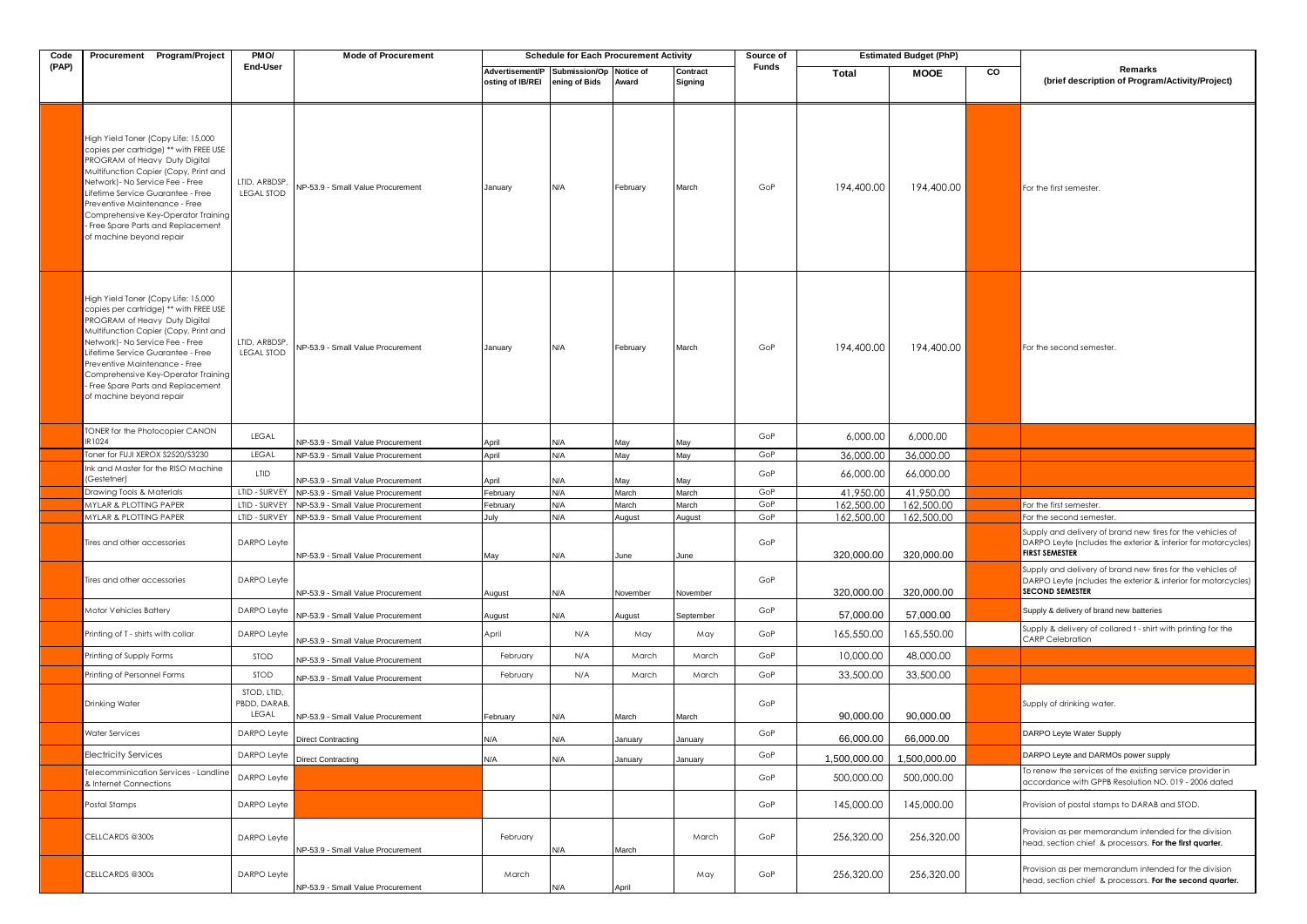| Code  | Procurement Program/Project                                                                                                                                                                                                                                                                                                                                               | PM <sub>O</sub> /                    | <b>Mode of Procurement</b>                                             |                                     | <b>Schedule for Each Procurement Activity</b> |              |                     | Source of |              | <b>Estimated Budget (PhP)</b> |    |                                                                                                                                                       |
|-------|---------------------------------------------------------------------------------------------------------------------------------------------------------------------------------------------------------------------------------------------------------------------------------------------------------------------------------------------------------------------------|--------------------------------------|------------------------------------------------------------------------|-------------------------------------|-----------------------------------------------|--------------|---------------------|-----------|--------------|-------------------------------|----|-------------------------------------------------------------------------------------------------------------------------------------------------------|
| (PAP) |                                                                                                                                                                                                                                                                                                                                                                           | End-User                             |                                                                        | Advertisement/P<br>osting of IB/REI | Submission/Op Notice of<br>ening of Bids      | Award        | Contract<br>Signing | Funds     | Total        | <b>MOOE</b>                   | CO | Remarks<br>(brief description of Program/Activity/Project)                                                                                            |
|       | High Yield Toner (Copy Life: 15,000<br>copies per cartridge) ** with FREE USE<br>PROGRAM of Heavy Duty Digital<br>Multifunction Copier (Copy, Print and<br>Network)- No Service Fee - Free<br>Lifetime Service Guarantee - Free<br>Preventive Maintenance - Free<br>Comprehensive Key-Operator Training<br>Free Spare Parts and Replacement .<br>of machine beyond repair | LTID, ARBDSP.<br><b>LEGAL STOD</b>   | NP-53.9 - Small Value Procurement                                      | January                             | N/A                                           | February     | March               | GoP       | 194,400.00   | 194,400.00                    |    | For the first semester.                                                                                                                               |
|       | High Yield Toner (Copy Life: 15,000<br>copies per cartridge) ** with FREE USE<br>PROGRAM of Heavy Duty Digital<br>Multifunction Copier (Copy, Print and<br>Network) - No Service Fee - Free<br>Lifetime Service Guarantee - Free<br>Preventive Maintenance - Free<br>Comprehensive Key-Operator Training<br>Free Spare Parts and Replacement<br>of machine beyond repair  | LTID, ARBDSP,<br><b>LEGAL STOD</b>   | NP-53.9 - Small Value Procurement                                      | January                             | N/A                                           | February     | March               | GoP       | 194,400.00   | 194,400.00                    |    | For the second semester.                                                                                                                              |
|       | <b>IONER for the Photocopier CANON</b><br>R1024                                                                                                                                                                                                                                                                                                                           | LEGAL                                |                                                                        |                                     |                                               |              |                     | GoP       | 6,000.00     | 6,000.00                      |    |                                                                                                                                                       |
|       | Toner for FUJI XEROX S2520/S3230                                                                                                                                                                                                                                                                                                                                          | LEGAL                                | NP-53.9 - Small Value Procurement<br>NP-53.9 - Small Value Procurement | April<br>April                      | N/A<br>N/A                                    | May<br>May   | May<br>May          | GoP       | 36,000.00    | 36,000.00                     |    |                                                                                                                                                       |
|       | Ink and Master for the RISO Machine                                                                                                                                                                                                                                                                                                                                       | LTID                                 |                                                                        |                                     |                                               |              |                     | GoP       | 66,000.00    | 66,000.00                     |    |                                                                                                                                                       |
|       | (Gestetner)<br>Drawing Tools & Materials                                                                                                                                                                                                                                                                                                                                  | LTID - SURVEY                        | NP-53.9 - Small Value Procurement<br>NP-53.9 - Small Value Procurement | April<br>February                   | N/A<br>N/A                                    | May<br>March | May<br>March        | GoP       | 41,950.00    | 41,950.00                     |    |                                                                                                                                                       |
|       | <b>MYLAR &amp; PLOTTING PAPER</b>                                                                                                                                                                                                                                                                                                                                         | LTID - SURVEY                        | NP-53.9 - Small Value Procurement                                      | February                            | N/A                                           | March        | March               | GoP       | 162,500.00   | 162,500.00                    |    | For the first semester.                                                                                                                               |
|       | <b>MYLAR &amp; PLOTTING PAPER</b>                                                                                                                                                                                                                                                                                                                                         | LTID - SURVEY                        | NP-53.9 - Small Value Procurement                                      | July                                | N/A                                           | August       | August              | GoP       | 162,500.00   | 162,500.00                    |    | For the second semester.                                                                                                                              |
|       | Tires and other accessories                                                                                                                                                                                                                                                                                                                                               | DARPO Leyfe                          | NP-53.9 - Small Value Procurement                                      | May                                 | N/A                                           | June         | June                | GoP       | 320,000.00   | 320,000.00                    |    | Supply and delivery of brand new tires for the vehicles of<br>DARPO Leyte (ncludes the exterior & interior for motorcycles)<br><b>FIRST SEMESTER</b>  |
|       | Tires and other accessories                                                                                                                                                                                                                                                                                                                                               | DARPO Leyfe                          | NP-53.9 - Small Value Procurement                                      | August                              | N/A                                           | November     | November            | GoP       | 320,000.00   | 320,000.00                    |    | Supply and delivery of brand new tires for the vehicles of<br>DARPO Leyte (ncludes the exterior & interior for motorcycles)<br><b>SECOND SEMESTER</b> |
|       | Motor Vehicles Battery                                                                                                                                                                                                                                                                                                                                                    | DARPO Leyte                          | NP-53.9 - Small Value Procurement                                      | August                              | N/A                                           | August       | September           | GoP       | 57,000.00    | 57,000.00                     |    | Supply & delivery of brand new batteries                                                                                                              |
|       | Printing of T - shirts with collar                                                                                                                                                                                                                                                                                                                                        | DARPO Leyte                          | NP-53.9 - Small Value Procurement                                      | April                               | N/A                                           | May          | May                 | GoP       | 165,550.00   | 165,550.00                    |    | Supply & delivery of collared t - shirt with printing for the<br><b>CARP Celebration</b>                                                              |
|       | Printing of Supply Forms                                                                                                                                                                                                                                                                                                                                                  | <b>STOD</b>                          | NP-53.9 - Small Value Procurement                                      | February                            | N/A                                           | March        | March               | GoP       | 10,000.00    | 48,000.00                     |    |                                                                                                                                                       |
|       | Printing of Personnel Forms                                                                                                                                                                                                                                                                                                                                               | <b>STOD</b>                          | NP-53.9 - Small Value Procurement                                      | February                            | N/A                                           | March        | March               | GoP       | 33,500.00    | 33,500.00                     |    |                                                                                                                                                       |
|       | Drinking Water                                                                                                                                                                                                                                                                                                                                                            | STOD, LTID,<br>PBDD, DARAB,<br>LEGAL | NP-53.9 - Small Value Procurement                                      | February                            | N/A                                           | March        | March               | GoP       | 90,000.00    | 90,000.00                     |    | Supply of drinking water.                                                                                                                             |
|       | Water Services                                                                                                                                                                                                                                                                                                                                                            | DARPO Leyfe                          | <b>Direct Contracting</b>                                              | N/A                                 | N/A                                           | January      | January             | GoP       | 66.000.00    | 66,000.00                     |    | DARPO Leyte Water Supply                                                                                                                              |
|       | Electricity Services                                                                                                                                                                                                                                                                                                                                                      | DARPO Leyte                          | <b>Direct Contracting</b>                                              | N/A                                 | N/A                                           | January      | January             | GoP       | 1,500,000.00 | 1,500,000.00                  |    | DARPO Leyte and DARMOs power supply                                                                                                                   |
|       | Felecomminication Services - Landlin<br>& Internet Connections                                                                                                                                                                                                                                                                                                            | DARPO Leyfe                          |                                                                        |                                     |                                               |              |                     | GoP       | 500,000.00   | 500,000.00                    |    | To renew the services of the existing service provider in<br>accordance with GPPB Resolution NO. 019 - 2006 dated                                     |
|       | Postal Stamps                                                                                                                                                                                                                                                                                                                                                             | DARPO Leyfe                          |                                                                        |                                     |                                               |              |                     | GoP       | 145,000.00   | 145,000.00                    |    | Provision of postal stamps to DARAB and STOD.                                                                                                         |
|       | CELLCARDS @300s                                                                                                                                                                                                                                                                                                                                                           | DARPO Leyfe                          | NP-53.9 - Small Value Procurement                                      | February                            | ۷/A                                           | March        | March               | GoP       | 256,320.00   | 256,320.00                    |    | Provision as per memorandum intended for the division<br>nead, section chief & processors. For the first quarter.                                     |
|       | CELLCARDS @300s                                                                                                                                                                                                                                                                                                                                                           | DARPO Leyfe                          | NP-53.9 - Small Value Procurement                                      | March                               | N/A                                           | April        | May                 | GoP       | 256,320.00   | 256,320.00                    |    | Provision as per memorandum intended for the division<br>head, section chief & processors. For the second quarter.                                    |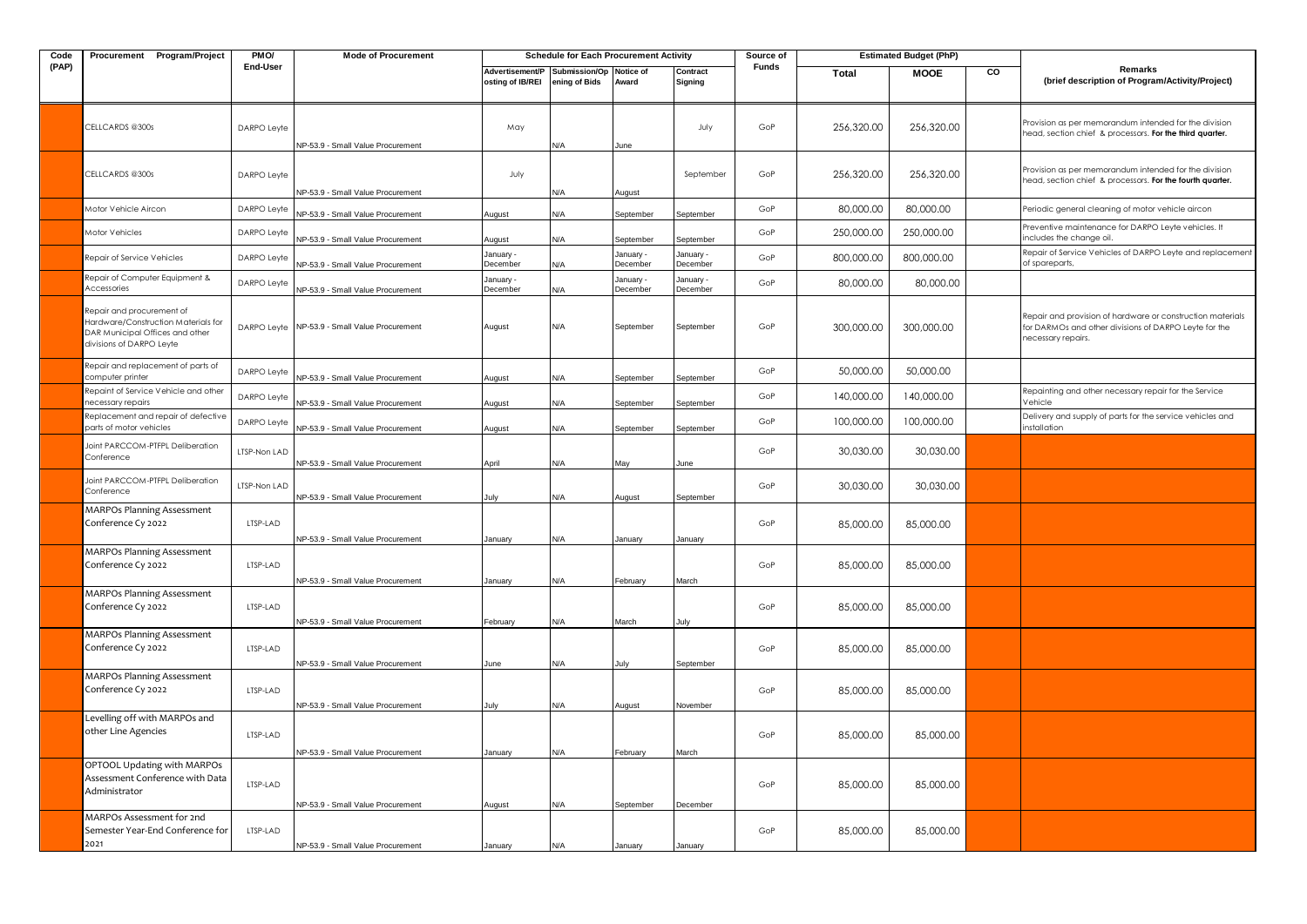| Code  | Procurement Program/Project                                                                                                     | PM <sub>O</sub> / | <b>Mode of Procurement</b>        |                                     | <b>Schedule for Each Procurement Activity</b> |                       |                       | Source of |            | <b>Estimated Budget (PhP)</b> |    |                                                                                                                                           |
|-------|---------------------------------------------------------------------------------------------------------------------------------|-------------------|-----------------------------------|-------------------------------------|-----------------------------------------------|-----------------------|-----------------------|-----------|------------|-------------------------------|----|-------------------------------------------------------------------------------------------------------------------------------------------|
| (PAP) |                                                                                                                                 | End-User          |                                   | Advertisement/P<br>osting of IB/REI | Submission/Op Notice of<br>ening of Bids      | Award                 | Contract<br>Signing   | Funds     | Total      | <b>MOOE</b>                   | CO | Remarks<br>(brief description of Program/Activity/Project)                                                                                |
|       | CELLCARDS @300s                                                                                                                 | DARPO Leyte       | NP-53.9 - Small Value Procurement | May                                 | N/A                                           | June                  | July                  | GoP       | 256,320.00 | 256,320.00                    |    | Provision as per memorandum intended for the division<br>head, section chief & processors. For the third quarter.                         |
|       | CELLCARDS @300s                                                                                                                 | DARPO Leyfe       | NP-53.9 - Small Value Procurement | July                                | N/A                                           | August                | September             | GoP       | 256,320.00 | 256,320.00                    |    | Provision as per memorandum intended for the division<br>head, section chief & processors. For the fourth quarter.                        |
|       | Motor Vehicle Aircon                                                                                                            | DARPO Leyte       | NP-53.9 - Small Value Procurement | August                              | N/A                                           | September             | September             | GoP       | 80,000.00  | 80,000.00                     |    | Periodic general cleaning of motor vehicle aircon                                                                                         |
|       | Motor Vehicles                                                                                                                  | DARPO Leyte       | NP-53.9 - Small Value Procurement | August                              | N/A                                           | September             | September             | GoP       | 250,000.00 | 250,000.00                    |    | Preventive maintenance for DARPO Leyte vehicles. It<br>includes the change oil.                                                           |
|       | Repair of Service Vehicles                                                                                                      | DARPO Leyte       | NP-53.9 - Small Value Procurement | January -<br>December               | ۷A/                                           | January -<br>December | January -<br>December | GoP       | 800,000.00 | 800,000.00                    |    | Repair of Service Vehicles of DARPO Leyte and replacement<br>of spareparts,                                                               |
|       | Repair of Computer Equipment &<br>Accessories                                                                                   | DARPO Leyfe       | NP-53.9 - Small Value Procurement | January -<br>December               | N/A                                           | January -<br>December | January -<br>December | GoP       | 80,000.00  | 80,000.00                     |    |                                                                                                                                           |
|       | Repair and procurement of<br>Hardware/Construction Materials for<br>DAR Municipal Offices and other<br>divisions of DARPO Leyte | DARPO Leyfe       | NP-53.9 - Small Value Procurement | August                              | N/A                                           | September             | September             | GoP       | 300,000,00 | 300,000.00                    |    | Repair and provision of hardware or construction materials<br>for DARMOs and other divisions of DARPO Leyte for the<br>necessary repairs. |
|       | Repair and replacement of parts of<br>computer printer                                                                          | DARPO Leyte       | NP-53.9 - Small Value Procurement | August                              | N/A                                           | September             | September             | GoP       | 50,000.00  | 50,000.00                     |    |                                                                                                                                           |
|       | Repaint of Service Vehicle and other<br>necessary repairs                                                                       | DARPO Leyte       | NP-53.9 - Small Value Procurement | August                              | ۷A/                                           | September             | September             | GoP       | 140,000.00 | 140,000.00                    |    | Repainting and other necessary repair for the Service<br>Vehicle                                                                          |
|       | Replacement and repair of defective<br>parts of motor vehicles                                                                  | DARPO Leyte       | NP-53.9 - Small Value Procurement | August                              | N/A                                           | September             | September             | GoP       | 100,000.00 | 100,000.00                    |    | Delivery and supply of parts for the service vehicles and<br>installation                                                                 |
|       | Joint PARCCOM-PTFPL Deliberation<br>Conference                                                                                  | LTSP-Non LAD      | NP-53.9 - Small Value Procurement | April                               | N/A                                           | May                   | June                  | GoP       | 30,030.00  | 30,030.00                     |    |                                                                                                                                           |
|       | Joint PARCCOM-PTFPL Deliberation<br>Conference                                                                                  | LTSP-Non LAD      | NP-53.9 - Small Value Procurement | July                                | N/A                                           | August                | September             | GoP       | 30,030.00  | 30,030.00                     |    |                                                                                                                                           |
|       | <b>MARPOs Planning Assessment</b><br>Conference Cy 2022                                                                         | LTSP-LAD          | NP-53.9 - Small Value Procurement | January                             | N/A                                           | January               | January               | GoP       | 85,000.00  | 85,000.00                     |    |                                                                                                                                           |
|       | <b>MARPOs Planning Assessment</b><br>Conference Cy 2022                                                                         | LTSP-LAD          | NP-53.9 - Small Value Procurement | January                             | N/A                                           | February              | March                 | GoP       | 85,000.00  | 85,000.00                     |    |                                                                                                                                           |
|       | <b>MARPOs Planning Assessment</b><br>Conference Cy 2022                                                                         | LTSP-LAD          | NP-53.9 - Small Value Procurement | February                            | N/A                                           | March                 | July                  | GoP       | 85,000.00  | 85,000.00                     |    |                                                                                                                                           |
|       | <b>MARPOs Planning Assessment</b><br>Conference Cy 2022                                                                         | LTSP-LAD          | NP-53.9 - Small Value Procurement | June                                | N/A                                           | lulv                  | September             | GoP       | 85,000.00  | 85,000.00                     |    |                                                                                                                                           |
|       | <b>MARPOs Planning Assessment</b><br>Conference Cy 2022                                                                         | LTSP-LAD          | NP-53.9 - Small Value Procurement | July                                | N/A                                           | August                | November              | GoP       | 85,000.00  | 85,000.00                     |    |                                                                                                                                           |
|       | Levelling off with MARPOs and<br>other Line Agencies                                                                            | LTSP-LAD          | NP-53.9 - Small Value Procurement | January                             | N/A                                           | February              | March                 | GoP       | 85,000.00  | 85,000.00                     |    |                                                                                                                                           |
|       | OPTOOL Updating with MARPOs<br>Assessment Conference with Data<br>Administrator                                                 | LTSP-LAD          | NP-53.9 - Small Value Procurement | August                              | N/A                                           | September             | December              | GoP       | 85,000.00  | 85,000.00                     |    |                                                                                                                                           |
|       | MARPOs Assessment for 2nd<br>Semester Year-End Conference for<br>2021                                                           | LTSP-LAD          | NP-53.9 - Small Value Procurement | January                             | N/A                                           | January               | January               | GoP       | 85,000.00  | 85,000.00                     |    |                                                                                                                                           |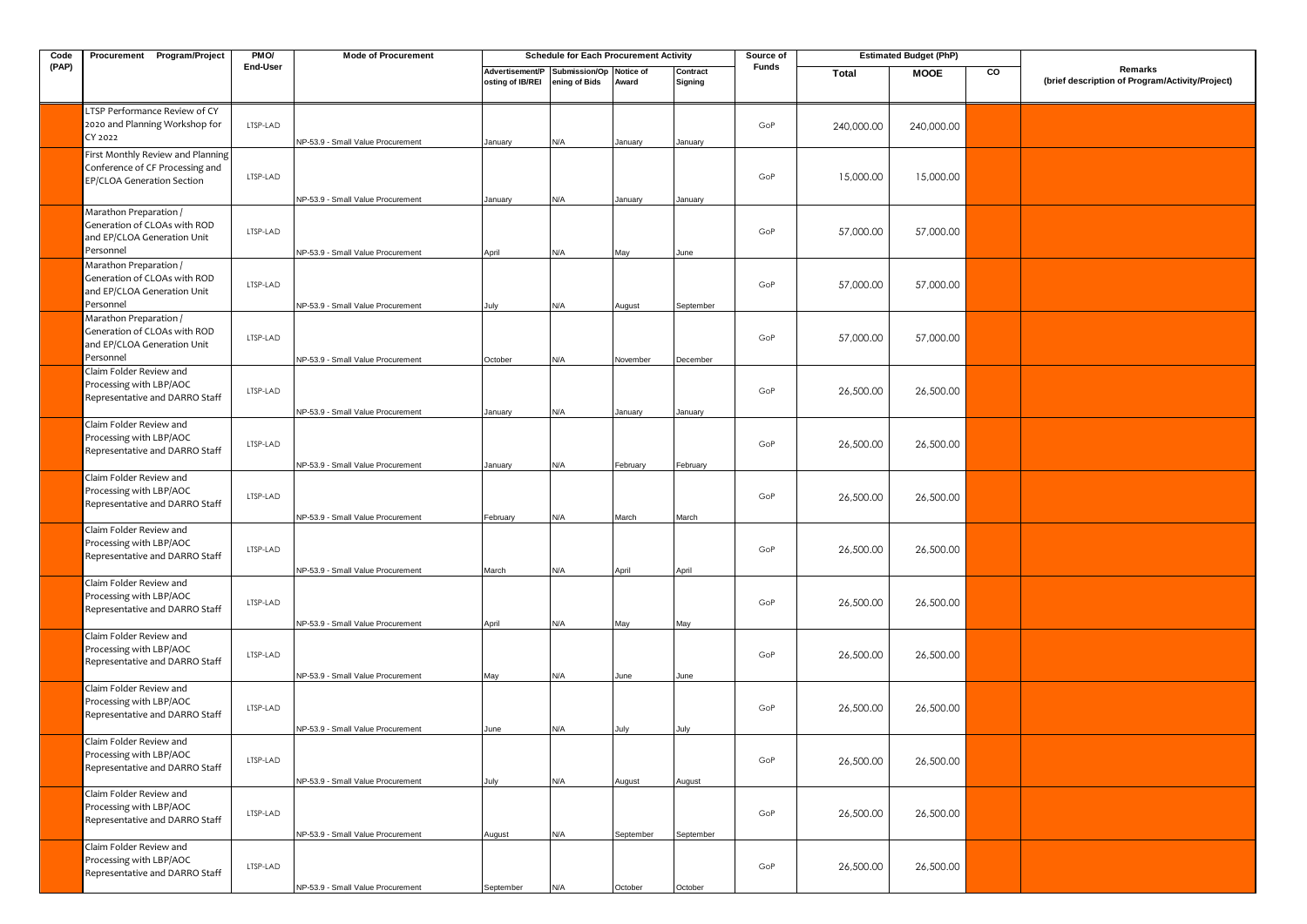| Code  | Procurement Program/Project                                                                        | PMO/     | <b>Mode of Procurement</b>                                             |                                     | <b>Schedule for Each Procurement Activity</b> |                |                     | Source of    |              | <b>Estimated Budget (PhP)</b> |    |                                                            |
|-------|----------------------------------------------------------------------------------------------------|----------|------------------------------------------------------------------------|-------------------------------------|-----------------------------------------------|----------------|---------------------|--------------|--------------|-------------------------------|----|------------------------------------------------------------|
| (PAP) |                                                                                                    | End-User |                                                                        | Advertisement/P<br>osting of IB/REI | Submission/Op Notice of<br>ening of Bids      | Award          | Contract<br>Signing | <b>Funds</b> | <b>Total</b> | <b>MOOE</b>                   | CO | Remarks<br>(brief description of Program/Activity/Project) |
|       | LTSP Performance Review of CY<br>2020 and Planning Workshop for<br>CY 2022                         | LTSP-LAD | NP-53.9 - Small Value Procurement                                      | January                             | N/A                                           | January        | January             | GoP          | 240,000.00   | 240,000.00                    |    |                                                            |
|       | First Monthly Review and Planning<br>Conference of CF Processing and<br>EP/CLOA Generation Section | LTSP-LAD |                                                                        |                                     |                                               |                |                     | GoP          | 15,000.00    | 15,000.00                     |    |                                                            |
|       | Marathon Preparation /<br>Generation of CLOAs with ROD<br>and EP/CLOA Generation Unit<br>Personnel | LTSP-LAD | NP-53.9 - Small Value Procurement<br>NP-53.9 - Small Value Procurement | January<br>April                    | N/A<br>N/A                                    | January<br>May | January<br>June     | GoP          | 57,000.00    | 57,000.00                     |    |                                                            |
|       | Marathon Preparation /<br>Generation of CLOAs with ROD<br>and EP/CLOA Generation Unit<br>Personnel | LTSP-LAD | NP-53.9 - Small Value Procurement                                      | July                                | N/A                                           | August         | September           | GoP          | 57,000.00    | 57,000.00                     |    |                                                            |
|       | Marathon Preparation /<br>Generation of CLOAs with ROD<br>and EP/CLOA Generation Unit<br>Personnel | LTSP-LAD | NP-53.9 - Small Value Procurement                                      | October                             | N/A                                           | November       | December            | GoP          | 57,000.00    | 57,000.00                     |    |                                                            |
|       | Claim Folder Review and<br>Processing with LBP/AOC<br>Representative and DARRO Staff               | LTSP-LAD | NP-53.9 - Small Value Procurement                                      | January                             | N/A                                           | January        | January             | GoP          | 26,500.00    | 26,500.00                     |    |                                                            |
|       | Claim Folder Review and<br>Processing with LBP/AOC<br>Representative and DARRO Staff               | LTSP-LAD | NP-53.9 - Small Value Procurement                                      | January                             | N/A                                           | February       | February            | GoP          | 26,500.00    | 26,500.00                     |    |                                                            |
|       | Claim Folder Review and<br>Processing with LBP/AOC<br>Representative and DARRO Staff               | LTSP-LAD | NP-53.9 - Small Value Procurement                                      | February                            | N/A                                           | March          | March               | GoP          | 26,500.00    | 26,500.00                     |    |                                                            |
|       | Claim Folder Review and<br>Processing with LBP/AOC<br>Representative and DARRO Staff               | LTSP-LAD | NP-53.9 - Small Value Procurement                                      | March                               | N/A                                           | April          | April               | GoP          | 26,500.00    | 26,500.00                     |    |                                                            |
|       | Claim Folder Review and<br>Processing with LBP/AOC<br>Representative and DARRO Staff               | LTSP-LAD | NP-53.9 - Small Value Procurement                                      | April                               | N/A                                           | May            | May                 | GoP          | 26,500.00    | 26,500.00                     |    |                                                            |
|       | Claim Folder Review and<br>Processing with LBP/AOC<br>Representative and DARRO Staff               | LTSP-LAD | NP-53.9 - Small Value Procurement                                      | May                                 | N/A                                           | June           | June                | GoP          | 26,500.00    | 26,500.00                     |    |                                                            |
|       | Claim Folder Review and<br>Processing with LBP/AOC<br>Representative and DARRO Staff               | LTSP-LAD | NP-53.9 - Small Value Procurement                                      | June                                | N/A                                           | July           | July                | GoP          | 26,500.00    | 26,500.00                     |    |                                                            |
|       | Claim Folder Review and<br>Processing with LBP/AOC<br>Representative and DARRO Staff               | LTSP-LAD | NP-53.9 - Small Value Procurement                                      | July                                | N/A                                           | August         | August              | GoP          | 26,500.00    | 26,500.00                     |    |                                                            |
|       | Claim Folder Review and<br>Processing with LBP/AOC<br>Representative and DARRO Staff               | LTSP-LAD | NP-53.9 - Small Value Procurement                                      | August                              | N/A                                           | September      | September           | GoP          | 26,500.00    | 26,500.00                     |    |                                                            |
|       | Claim Folder Review and<br>Processing with LBP/AOC<br>Representative and DARRO Staff               | LTSP-LAD | NP-53.9 - Small Value Procurement                                      | September                           | N/A                                           | October        | October             | GoP          | 26,500.00    | 26,500.00                     |    |                                                            |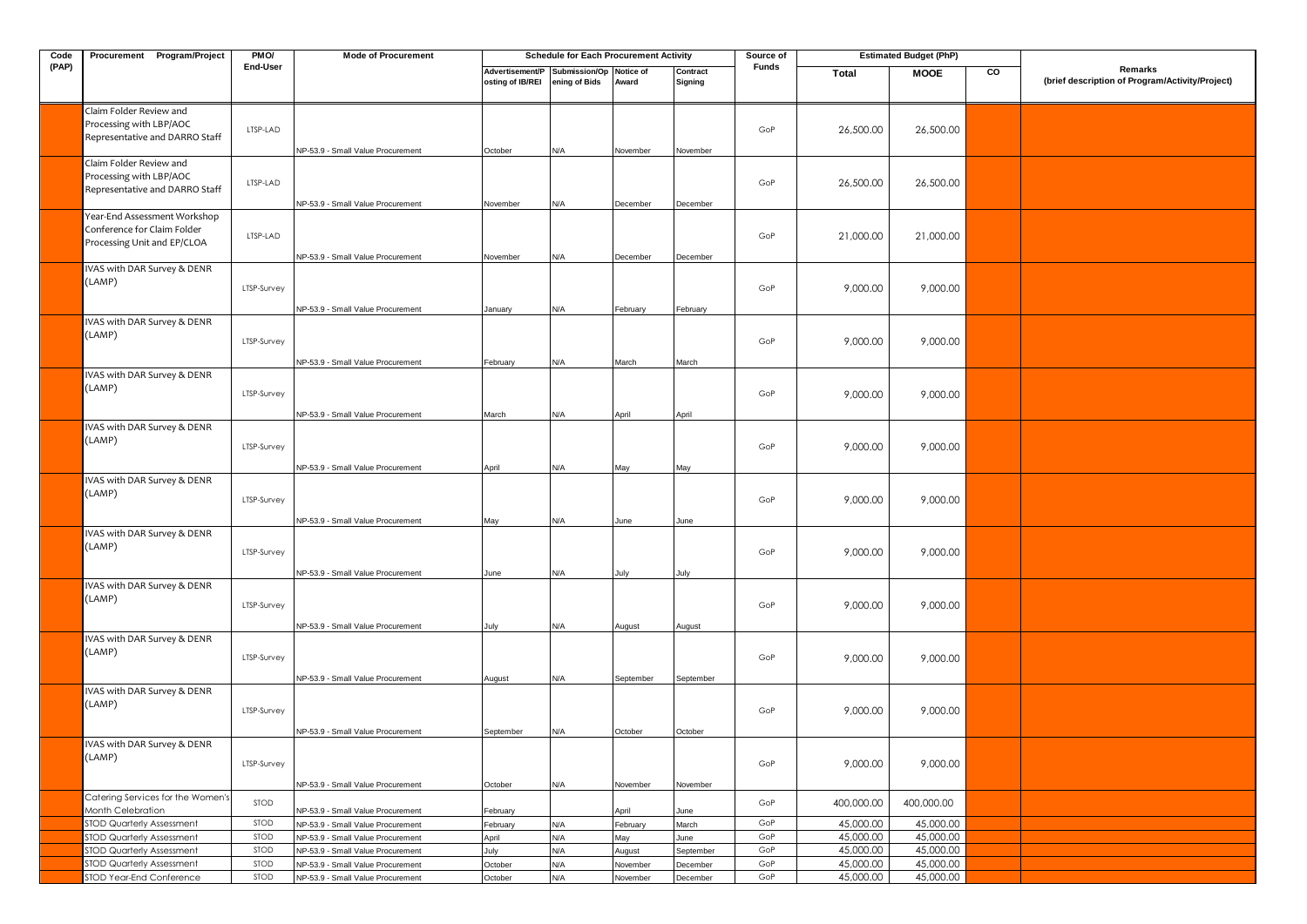| Code  | Procurement Program/Project                                                                | PMO/        | <b>Mode of Procurement</b>        |                                     | <b>Schedule for Each Procurement Activity</b> |           |                     | Source of    |            | <b>Estimated Budget (PhP)</b> |    |                                                            |
|-------|--------------------------------------------------------------------------------------------|-------------|-----------------------------------|-------------------------------------|-----------------------------------------------|-----------|---------------------|--------------|------------|-------------------------------|----|------------------------------------------------------------|
| (PAP) |                                                                                            | End-User    |                                   | Advertisement/P<br>osting of IB/REI | Submission/Op Notice of<br>ening of Bids      | Award     | Contract<br>Signing | <b>Funds</b> | Total      | <b>MOOE</b>                   | CO | Remarks<br>(brief description of Program/Activity/Project) |
|       | Claim Folder Review and<br>Processing with LBP/AOC<br>Representative and DARRO Staff       | LTSP-LAD    | NP-53.9 - Small Value Procurement | October                             | N/A                                           | November  | November            | GoP          | 26,500.00  | 26,500.00                     |    |                                                            |
|       | Claim Folder Review and<br>Processing with LBP/AOC<br>Representative and DARRO Staff       | LTSP-LAD    | NP-53.9 - Small Value Procurement | November                            | N/A                                           | ecember   | December            | GoP          | 26,500.00  | 26,500.00                     |    |                                                            |
|       | Year-End Assessment Workshop<br>Conference for Claim Folder<br>Processing Unit and EP/CLOA | LTSP-LAD    | NP-53.9 - Small Value Procurement | November                            | N/A                                           | December  | December            | GoP          | 21,000.00  | 21,000.00                     |    |                                                            |
|       | IVAS with DAR Survey & DENR<br>(LAMP)                                                      | LTSP-Survey | NP-53.9 - Small Value Procurement | January                             | N/A                                           | February  | February            | GoP          | 9,000.00   | 9,000.00                      |    |                                                            |
|       | IVAS with DAR Survey & DENR<br>(LAMP)                                                      | LTSP-Survey | NP-53.9 - Small Value Procurement | February                            | N/A                                           | March     | March               | GoP          | 9,000.00   | 9,000.00                      |    |                                                            |
|       | IVAS with DAR Survey & DENR<br>(LAMP)                                                      | LTSP-Survey | NP-53.9 - Small Value Procurement | March                               | N/A                                           | April     | April               | GoP          | 9,000.00   | 9,000.00                      |    |                                                            |
|       | IVAS with DAR Survey & DENR<br>(LAMP)                                                      | LTSP-Survey | NP-53.9 - Small Value Procurement | April                               | N/A                                           | May       | May                 | GoP          | 9,000.00   | 9,000.00                      |    |                                                            |
|       | IVAS with DAR Survey & DENR<br>(LAMP)                                                      | LTSP-Survey | NP-53.9 - Small Value Procurement | May                                 | N/A                                           | June      | June                | GoP          | 9,000.00   | 9,000.00                      |    |                                                            |
|       | IVAS with DAR Survey & DENR<br>(LAMP)                                                      | LTSP-Survey | NP-53.9 - Small Value Procurement | June                                | N/A                                           | July      | July                | GoP          | 9,000.00   | 9,000.00                      |    |                                                            |
|       | IVAS with DAR Survey & DENR<br>(LAMP)                                                      | LTSP-Survey | NP-53.9 - Small Value Procurement | July                                | N/A                                           | August    | August              | GoP          | 9,000.00   | 9,000.00                      |    |                                                            |
|       | IVAS with DAR Survey & DENR<br>(LAMP)                                                      | LTSP-Survey | NP-53.9 - Small Value Procurement | August                              | N/A                                           | September | September           | GoP          | 9,000.00   | 9,000.00                      |    |                                                            |
|       | IVAS with DAR Survey & DENR<br>(LAMP)                                                      | LTSP-Survey | NP-53.9 - Small Value Procurement | September                           | N/A                                           | October   | October             | GoP          | 9,000.00   | 9,000.00                      |    |                                                            |
|       | IVAS with DAR Survey & DENR<br>(LAMP)                                                      | LTSP-Survey | NP-53.9 - Small Value Procurement | October                             | N/A                                           | November  | November            | GoP          | 9,000.00   | 9,000.00                      |    |                                                            |
|       | Catering Services for the Women's<br>Month Celebration                                     | STOD        | NP-53.9 - Small Value Procurement | February                            |                                               | April     | June                | GoP          | 400,000.00 | 400,000.00                    |    |                                                            |
|       | STOD Quarterly Assessment                                                                  | STOD        | NP-53.9 - Small Value Procurement | February                            | N/A                                           | February  | March               | GoP          | 45,000.00  | 45,000.00                     |    |                                                            |
|       | <b>STOD Quarterly Assessment</b>                                                           | STOD        | NP-53.9 - Small Value Procurement | April                               | N/A                                           | May       | June                | GoP          | 45,000.00  | 45,000.00                     |    |                                                            |
|       | <b>STOD Quarterly Assessment</b>                                                           | STOD        | NP-53.9 - Small Value Procurement | July                                | N/A                                           | August    | September           | GoP          | 45,000.00  | 45,000.00                     |    |                                                            |
|       | <b>STOD Quarterly Assessment</b>                                                           | STOD        | NP-53.9 - Small Value Procurement | October                             | N/A                                           | November  | <b>December</b>     | GoP          | 45,000.00  | 45,000.00                     |    |                                                            |
|       | STOD Year-End Conference                                                                   | STOD        | NP-53.9 - Small Value Procurement | October                             | N/A                                           | November  | December            | GoP          | 45,000.00  | 45,000.00                     |    |                                                            |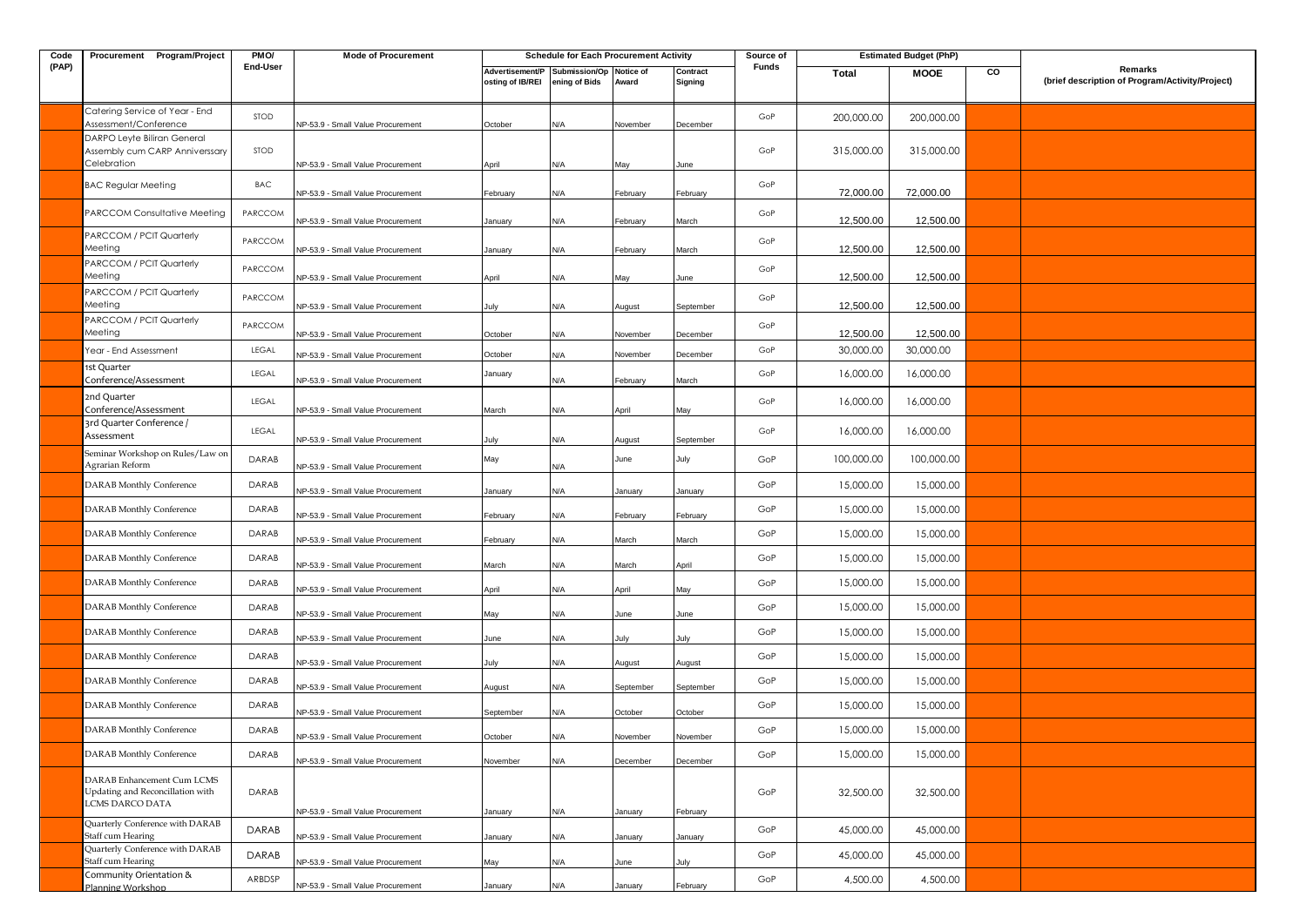| Code  | Procurement Program/Project                                                       | PMO/        | <b>Mode of Procurement</b>        |                                     | <b>Schedule for Each Procurement Activity</b> |                    |                     | Source of |              | <b>Estimated Budget (PhP)</b> |    |                                                            |
|-------|-----------------------------------------------------------------------------------|-------------|-----------------------------------|-------------------------------------|-----------------------------------------------|--------------------|---------------------|-----------|--------------|-------------------------------|----|------------------------------------------------------------|
| (PAP) |                                                                                   | End-User    |                                   | Advertisement/P<br>osting of IB/REI | Submission/Op<br>ening of Bids                | Notice of<br>Award | Contract<br>Signing | Funds     | <b>Total</b> | <b>MOOE</b>                   | CO | Remarks<br>(brief description of Program/Activity/Project) |
|       | Catering Service of Year - End<br>Assessment/Conference                           | <b>STOD</b> | NP-53.9 - Small Value Procurement | October                             | N/A                                           | November           | December            | GoP       | 200,000.00   | 200,000.00                    |    |                                                            |
|       | DARPO Leyte Biliran General<br>Assembly cum CARP Anniverssary<br>Celebration      | STOD        | NP-53.9 - Small Value Procurement | April                               | N/A                                           | May                | June                | GoP       | 315,000.00   | 315,000.00                    |    |                                                            |
|       | <b>BAC Regular Meeting</b>                                                        | BAC         | NP-53.9 - Small Value Procurement | February                            | N/A                                           | February           | February            | GoP       | 72,000.00    | 72,000.00                     |    |                                                            |
|       | PARCCOM Consultative Meeting                                                      | PARCCOM     | NP-53.9 - Small Value Procurement | January                             | N/A                                           | February           | March               | GoP       | 12,500.00    | 12,500.00                     |    |                                                            |
|       | PARCCOM / PCIT Quarterly<br>Meeting                                               | PARCCOM     | NP-53.9 - Small Value Procurement | January                             | N/A                                           | February           | March               | GoP       | 12,500.00    | 12,500.00                     |    |                                                            |
|       | PARCCOM / PCIT Quarterly<br>Meeting                                               | PARCCOM     | NP-53.9 - Small Value Procurement | April                               | N/A                                           | May                | June                | GoP       | 12,500.00    | 12,500.00                     |    |                                                            |
|       | PARCCOM / PCIT Quarterly<br>Meeting                                               | PARCCOM     | NP-53.9 - Small Value Procurement | July                                | N/A                                           | August             | September           | GoP       | 12,500.00    | 12,500.00                     |    |                                                            |
|       | PARCCOM / PCIT Quarterly<br>Meeting                                               | PARCCOM     | NP-53.9 - Small Value Procurement | October                             | N/A                                           | Vovember           | December            | GoP       | 12,500.00    | 12,500.00                     |    |                                                            |
|       | Year - End Assessment                                                             | LEGAL       | NP-53.9 - Small Value Procurement | October                             | N/A                                           | November           | December            | GoP       | 30,000.00    | 30,000.00                     |    |                                                            |
|       | 1st Quarter<br>Conference/Assessment                                              | LEGAL       | NP-53.9 - Small Value Procurement | January                             | N/A                                           | February           | March               | GoP       | 16,000.00    | 16,000.00                     |    |                                                            |
|       | 2nd Quarter<br>Conference/Assessment                                              | LEGAL       | NP-53.9 - Small Value Procurement | March                               | N/A                                           | April              | May                 | GoP       | 16,000.00    | 16,000.00                     |    |                                                            |
|       | 3rd Quarter Conference /<br>Assessment                                            | LEGAL       | VP-53.9 - Small Value Procurement | Julv                                | N/A                                           | August             | September           | GoP       | 16,000.00    | 16,000.00                     |    |                                                            |
|       | Seminar Workshop on Rules/Law on<br>Agrarian Reform                               | DARAB       | VP-53.9 - Small Value Procurement | May                                 | N/A                                           | June               | July                | GoP       | 100,000.00   | 100,000.00                    |    |                                                            |
|       | <b>DARAB</b> Monthly Conference                                                   | DARAB       | NP-53.9 - Small Value Procurement | January                             | N/A                                           | January            | January             | GoP       | 15,000.00    | 15,000.00                     |    |                                                            |
|       | DARAB Monthly Conference                                                          | DARAB       | NP-53.9 - Small Value Procurement | February                            | N/A                                           | February           | February            | GoP       | 15,000.00    | 15,000.00                     |    |                                                            |
|       | DARAB Monthly Conference                                                          | DARAB       | NP-53.9 - Small Value Procurement | February                            | N/A                                           | March              | March               | GoP       | 15,000.00    | 15,000.00                     |    |                                                            |
|       | DARAB Monthly Conference                                                          | DARAB       | NP-53.9 - Small Value Procurement | March                               | N/A                                           | March              | April               | GoP       | 15,000.00    | 15,000.00                     |    |                                                            |
|       | <b>DARAB</b> Monthly Conference                                                   | DARAB       | NP-53.9 - Small Value Procurement | April                               | N/A                                           | April              | May                 | GoP       | 15,000.00    | 15,000.00                     |    |                                                            |
|       | DARAB Monthly Conference                                                          | DARAB       | NP-53.9 - Small Value Procurement | May                                 | N/A                                           | June               | June                | GoP       | 15,000.00    | 15,000.00                     |    |                                                            |
|       | DARAB Monthly Conference                                                          | DARAB       | NP-53.9 - Small Value Procurement | June                                | N/A                                           | July               | July                | GoP       | 15,000.00    | 15,000.00                     |    |                                                            |
|       | DARAB Monthly Conference                                                          | DARAB       | VP-53.9 - Small Value Procurement | July                                | N/A                                           | August             | August              | GoP       | 15,000.00    | 15,000.00                     |    |                                                            |
|       | <b>DARAB</b> Monthly Conference                                                   | DARAB       | NP-53.9 - Small Value Procurement | August                              | N/A                                           | September          | September           | GoP       | 15,000.00    | 15,000.00                     |    |                                                            |
|       | DARAB Monthly Conference                                                          | DARAB       | VP-53.9 - Small Value Procurement | September                           | N/A                                           | October            | October             | GoP       | 15,000.00    | 15,000.00                     |    |                                                            |
|       | DARAB Monthly Conference                                                          | DARAB       | NP-53.9 - Small Value Procurement | October                             | N/A                                           | November           | November            | GoP       | 15,000.00    | 15,000.00                     |    |                                                            |
|       | DARAB Monthly Conference                                                          | DARAB       | NP-53.9 - Small Value Procurement | November                            | N/A                                           | December           | December            | GoP       | 15,000.00    | 15,000.00                     |    |                                                            |
|       | DARAB Enhancement Cum LCMS<br>Updating and Reconcillation with<br>LCMS DARCO DATA | DARAB       |                                   |                                     |                                               |                    |                     | GoP       | 32,500.00    | 32,500.00                     |    |                                                            |
|       | Quarterly Conference with DARAB                                                   |             | NP-53.9 - Small Value Procurement | January                             | N/A                                           | January            | February            |           |              |                               |    |                                                            |
|       | Staff cum Hearing<br>Quarterly Conference with DARAB                              | DARAB       | NP-53.9 - Small Value Procurement | January                             | N/A                                           | January            | January             | GoP       | 45,000.00    | 45,000.00                     |    |                                                            |
|       | Staff cum Hearing                                                                 | DARAB       | NP-53.9 - Small Value Procurement | May                                 | N/A                                           | June               | July                | GoP       | 45,000.00    | 45,000.00                     |    |                                                            |
|       | Community Orientation &<br>Planning Workshop                                      | ARBDSP      | NP-53.9 - Small Value Procurement | January                             | N/A                                           | January            | February            | GoP       | 4,500.00     | 4,500.00                      |    |                                                            |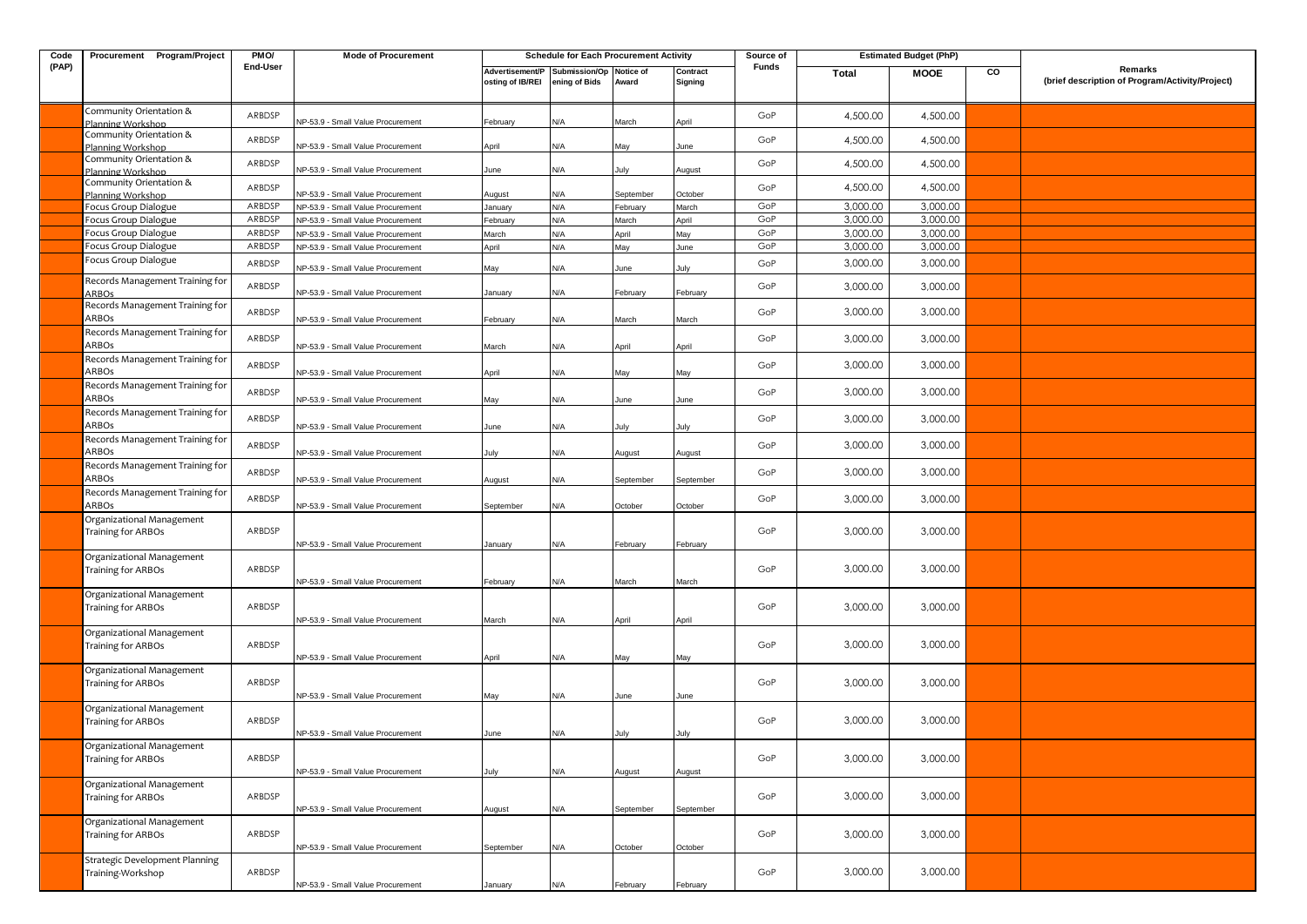| Code  | Procurement Program/Project                     | PM <sub>O</sub> / | <b>Mode of Procurement</b>               |                                     | <b>Schedule for Each Procurement Activity</b> |                    |                     | Source of |          | <b>Estimated Budget (PhP)</b> |    |                                                            |
|-------|-------------------------------------------------|-------------------|------------------------------------------|-------------------------------------|-----------------------------------------------|--------------------|---------------------|-----------|----------|-------------------------------|----|------------------------------------------------------------|
| (PAP) |                                                 | End-User          |                                          | Advertisement/P<br>osting of IB/REI | Submission/Op<br>ening of Bids                | Notice of<br>Award | Contract<br>Signing | Funds     | Total    | <b>MOOE</b>                   | CO | Remarks<br>(brief description of Program/Activity/Project) |
|       | Community Orientation &<br>Planning Workshop    | ARBDSP            | NP-53.9 - Small Value Procurement        | February                            | N/A                                           | March              | April               | GoP       | 4,500.00 | 4,500.00                      |    |                                                            |
|       | Community Orientation &<br>Planning Workshop    | ARBDSP            | NP-53.9 - Small Value Procurement        | April                               | N/A                                           | May                | June                | GoP       | 4,500.00 | 4,500.00                      |    |                                                            |
|       | Community Orientation &<br>Planning Workshop    | ARBDSP            | NP-53.9 - Small Value Procurement        | June                                | N/A                                           | July               | August              | GoP       | 4,500.00 | 4,500.00                      |    |                                                            |
|       | Community Orientation &<br>Planning Workshop    | ARBDSP            | NP-53.9 - Small Value Procurement        | August                              | N/A                                           | September          | October             | GoP       | 4,500.00 | 4,500.00                      |    |                                                            |
|       | Focus Group Dialogue                            | ARBDSP            | NP-53.9 - Small Value Procurement        | January                             | N/A                                           | February           | March               | GoP       | 3,000.00 | 3,000.00                      |    |                                                            |
|       | Focus Group Dialogue                            | ARBDSP            | NP-53.9 - Small Value Procurement        | February                            | N/A                                           | March              | April               | GoP       | 3,000.00 | 3,000.00                      |    |                                                            |
|       | Focus Group Dialogue                            | ARBDSP            | NP-53.9 - Small Value Procurement        | March                               | N/A                                           | April              | May                 | GoP       | 3,000.00 | 3,000.00                      |    |                                                            |
|       | Focus Group Dialogue                            | ARBDSP            | NP-53.9 - Small Value Procurement        | April                               | N/A                                           | May                | June                | GoP       | 3,000.00 | 3,000.00                      |    |                                                            |
|       | Focus Group Dialogue                            | ARBDSP            | NP-53.9 - Small Value Procurement        | May                                 | N/A                                           | June               | July                | GoP       | 3,000.00 | 3,000.00                      |    |                                                            |
|       | Records Management Training for<br><b>ARBOs</b> | ARBDSP            | NP-53.9 - Small Value Procurement        | anuary                              | N/A                                           | February           | February            | GoP       | 3,000.00 | 3,000.00                      |    |                                                            |
|       | Records Management Training for<br>ARBOs        | ARBDSP            | <b>NP-53.9 - Small Value Procurement</b> | February                            | N/A                                           | March              | March               | GoP       | 3,000.00 | 3,000.00                      |    |                                                            |
|       | Records Management Training for<br>ARBOs        | ARBDSP            | NP-53.9 - Small Value Procurement        | March                               | N/A                                           | <b>\pril</b>       | April               | GoP       | 3,000.00 | 3,000.00                      |    |                                                            |
|       | Records Management Training for<br>ARBOs        | ARBDSP            | NP-53.9 - Small Value Procurement        | April                               | N/A                                           | May                | May                 | GoP       | 3,000.00 | 3,000.00                      |    |                                                            |
|       | Records Management Training for<br>ARBOs        | ARBDSP            | NP-53.9 - Small Value Procurement        | May                                 | N/A                                           | June               | June                | GoP       | 3,000.00 | 3,000.00                      |    |                                                            |
|       | Records Management Training for<br>ARBOs        | ARBDSP            | NP-53.9 - Small Value Procurement        | June                                | N/A                                           | July               | July                | GoP       | 3,000.00 | 3,000.00                      |    |                                                            |
|       | Records Management Training for<br>ARBOs        | ARBDSP            | NP-53.9 - Small Value Procurement        | July                                | N/A                                           | <b>\ugust</b>      | August              | GoP       | 3,000.00 | 3,000.00                      |    |                                                            |
|       | Records Management Training for<br>ARBOs        | ARBDSP            | NP-53.9 - Small Value Procurement        | August                              | N/A                                           | September          | September           | GoP       | 3,000.00 | 3,000.00                      |    |                                                            |
|       | Records Management Training for<br>ARBOs        | ARBDSP            | NP-53.9 - Small Value Procurement        | September                           | N/A                                           | October            | October             | GoP       | 3,000.00 | 3,000.00                      |    |                                                            |
|       | Organizational Management<br>Training for ARBOs | ARBDSP            | NP-53.9 - Small Value Procurement        | January                             | N/A                                           | February           | February            | GoP       | 3,000.00 | 3,000.00                      |    |                                                            |
|       | Organizational Management<br>Training for ARBOs | ARBDSP            | NP-53.9 - Small Value Procurement        | February                            | N/A                                           | March              | March               | GoP       | 3,000.00 | 3,000.00                      |    |                                                            |
|       | Organizational Management<br>Training for ARBOs | ARBDSP            | NP-53.9 - Small Value Procurement        | March                               | N/A                                           | April              | April               | GoP       | 3,000.00 | 3,000.00                      |    |                                                            |
|       | Organizational Management<br>Training for ARBOs | ARBDSP            | NP-53.9 - Small Value Procurement        | April                               | N/A                                           | May                | May                 | GoP       | 3,000.00 | 3,000.00                      |    |                                                            |
|       | Organizational Management<br>Training for ARBOs | ARBDSP            | NP-53.9 - Small Value Procurement        | May                                 | N/A                                           | June               | June                | GoP       | 3,000.00 | 3,000.00                      |    |                                                            |
|       | Organizational Management<br>Training for ARBOs | ARBDSP            | <b>NP-53.9 - Small Value Procurement</b> | June                                | ۷/A                                           |                    | July                | GoP       | 3,000.00 | 3,000.00                      |    |                                                            |
|       | Organizational Management<br>Training for ARBOs | ARBDSP            | NP-53.9 - Small Value Procurement        | July                                | N/A                                           | August             | August              | GoP       | 3,000.00 | 3,000.00                      |    |                                                            |
|       | Organizational Management<br>Training for ARBOs | ARBDSP            | NP-53.9 - Small Value Procurement        | August                              | N/A                                           | September          | September           | GoP       | 3,000.00 | 3,000.00                      |    |                                                            |
|       | Organizational Management<br>Training for ARBOs | ARBDSP            | NP-53.9 - Small Value Procurement        | September                           | N/A                                           | October            | October             | GoP       | 3,000.00 | 3,000.00                      |    |                                                            |
|       | Strategic Development Planning                  |                   |                                          |                                     |                                               |                    |                     |           |          |                               |    |                                                            |
|       | Training-Workshop                               | ARBDSP            | NP-53.9 - Small Value Procurement        | January                             | N/A                                           | February           | February            | GoP       | 3,000.00 | 3,000.00                      |    |                                                            |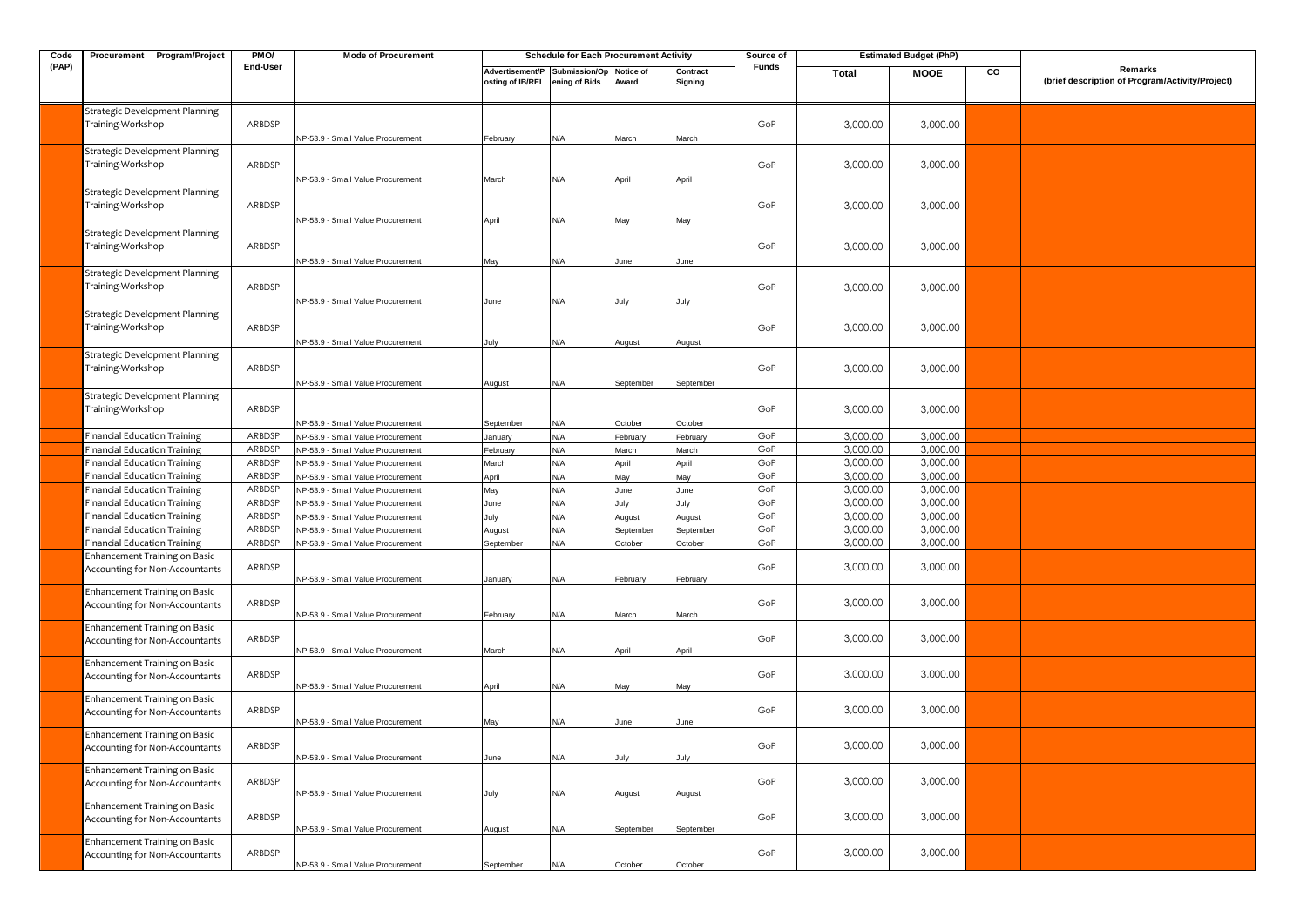| Code  | Procurement Program/Project                                                | PMO/     | <b>Mode of Procurement</b>                                             |                                     | <b>Schedule for Each Procurement Activity</b> |                    |                     | Source of    |          | <b>Estimated Budget (PhP)</b> |    |                                                            |
|-------|----------------------------------------------------------------------------|----------|------------------------------------------------------------------------|-------------------------------------|-----------------------------------------------|--------------------|---------------------|--------------|----------|-------------------------------|----|------------------------------------------------------------|
| (PAP) |                                                                            | End-User |                                                                        | Advertisement/P<br>osting of IB/REI | Submission/Op<br>ening of Bids                | Notice of<br>Award | Contract<br>Signing | <b>Funds</b> | Total    | <b>MOOE</b>                   | CO | Remarks<br>(brief description of Program/Activity/Project) |
|       | Strategic Development Planning<br>Training-Workshop                        | ARBDSP   | NP-53.9 - Small Value Procurement                                      | February                            | N/A                                           | March              | March               | GoP          | 3,000.00 | 3,000.00                      |    |                                                            |
|       | Strategic Development Planning<br>Training-Workshop                        | ARBDSP   | NP-53.9 - Small Value Procurement                                      | March                               | N/A                                           | April              | April               | GoP          | 3,000.00 | 3,000.00                      |    |                                                            |
|       | Strategic Development Planning<br>Training-Workshop                        | ARBDSP   | VP-53.9 - Small Value Procurement                                      | April                               | N/A                                           | May                | May                 | GoP          | 3,000.00 | 3,000.00                      |    |                                                            |
|       | Strategic Development Planning<br>Training-Workshop                        | ARBDSP   | NP-53.9 - Small Value Procurement                                      | May                                 | N/A                                           | June               | June                | GoP          | 3,000.00 | 3,000.00                      |    |                                                            |
|       | Strategic Development Planning<br>Training-Workshop                        | ARBDSP   | NP-53.9 - Small Value Procurement                                      | June                                | N/A                                           | July               | July                | GoP          | 3,000.00 | 3,000.00                      |    |                                                            |
|       | Strategic Development Planning<br>Training-Workshop                        | ARBDSP   | NP-53.9 - Small Value Procurement                                      | July                                | N/A                                           | <b>August</b>      | August              | GoP          | 3,000.00 | 3,000.00                      |    |                                                            |
|       | Strategic Development Planning<br>Training-Workshop                        | ARBDSP   | NP-53.9 - Small Value Procurement                                      | August                              | N/A                                           | September          | September           | GoP          | 3,000.00 | 3,000.00                      |    |                                                            |
|       | Strategic Development Planning<br>Training-Workshop                        | ARBDSP   | NP-53.9 - Small Value Procurement                                      |                                     |                                               |                    |                     | GoP          | 3,000.00 | 3,000.00                      |    |                                                            |
|       |                                                                            | ARBDSP   |                                                                        | September                           | N/A<br>N/A                                    | October            | October             | GoP          | 3,000.00 | 3,000.00                      |    |                                                            |
|       | <b>Financial Education Training</b><br><b>Financial Education Training</b> | ARBDSP   | NP-53.9 - Small Value Procurement<br>VP-53.9 - Small Value Procurement | January                             | N/A                                           | February<br>March  | February<br>March   | GoP          | 3,000.00 | 3,000.00                      |    |                                                            |
|       | <b>Financial Education Training</b>                                        | ARBDSP   | NP-53.9 - Small Value Procurement                                      | February<br>March                   | N/A                                           | April              | April               | GoP          | 3,000.00 | 3,000.00                      |    |                                                            |
|       | <b>Financial Education Training</b>                                        | ARBDSP   | NP-53.9 - Small Value Procurement                                      | April                               | N/A                                           | May                | May                 | GoP          | 3,000.00 | 3,000.00                      |    |                                                            |
|       | <b>Financial Education Training</b>                                        | ARBDSP   | NP-53.9 - Small Value Procurement                                      | May                                 | N/A                                           | June               | June                | GoP          | 3,000.00 | 3,000.00                      |    |                                                            |
|       | <b>Financial Education Training</b>                                        | ARBDSP   | NP-53.9 - Small Value Procurement                                      | June                                | N/A                                           | July               | July                | GoP          | 3,000.00 | 3,000.00                      |    |                                                            |
|       | <b>Financial Education Training</b>                                        | ARBDSP   | NP-53.9 - Small Value Procurement                                      | July                                | N/A                                           | August             | August              | GoP          | 3,000.00 | 3,000.00                      |    |                                                            |
|       | <b>Financial Education Training</b>                                        | ARBDSP   | NP-53.9 - Small Value Procurement                                      | August                              | N/A                                           | September          | September           | GoP          | 3,000.00 | 3,000.00                      |    |                                                            |
|       | <b>Financial Education Training</b>                                        | ARBDSP   | NP-53.9 - Small Value Procurement                                      | September                           | N/A                                           | October            | October             | GoP          | 3,000.00 | 3,000.00                      |    |                                                            |
|       | Enhancement Training on Basic<br>Accounting for Non-Accountants            | ARBDSP   | NP-53.9 - Small Value Procurement                                      | January                             | N/A                                           | February           | February            | GoP          | 3,000.00 | 3,000.00                      |    |                                                            |
|       | Enhancement Training on Basic<br>Accounting for Non-Accountants            | ARBDSP   | NP-53.9 - Small Value Procurement                                      | February                            | N/A                                           | March              | March               | GoP          | 3,000.00 | 3,000.00                      |    |                                                            |
|       | Enhancement Training on Basic<br>Accounting for Non-Accountants            | ARBDSP   | NP-53.9 - Small Value Procurement                                      | March                               | N/A                                           | April              | April               | GoP          | 3,000.00 | 3,000.00                      |    |                                                            |
|       | Enhancement Training on Basic<br>Accounting for Non-Accountants            | ARBDSP   | NP-53.9 - Small Value Procurement                                      | April                               | N/A                                           | May                | May                 | GoP          | 3,000.00 | 3,000.00                      |    |                                                            |
|       | Enhancement Training on Basic<br>Accounting for Non-Accountants            | ARBDSP   | VP-53.9 - Small Value Procurement                                      | May                                 | N/A                                           | June               | June                | GoP          | 3,000.00 | 3,000.00                      |    |                                                            |
|       | Enhancement Training on Basic<br>Accounting for Non-Accountants            | ARBDSP   | NP-53.9 - Small Value Procurement                                      | June                                | N/A                                           | July               | July                | GoP          | 3,000.00 | 3,000.00                      |    |                                                            |
|       | <b>Enhancement Training on Basic</b><br>Accounting for Non-Accountants     | ARBDSP   | NP-53.9 - Small Value Procurement                                      | July                                | N/A                                           | August             | August              | GoP          | 3,000.00 | 3,000.00                      |    |                                                            |
|       | <b>Enhancement Training on Basic</b><br>Accounting for Non-Accountants     | ARBDSP   | NP-53.9 - Small Value Procurement                                      | August                              | N/A                                           | September          | September           | GoP          | 3,000.00 | 3,000.00                      |    |                                                            |
|       | Enhancement Training on Basic<br>Accounting for Non-Accountants            | ARBDSP   | NP-53.9 - Small Value Procurement                                      | September                           | N/A                                           | October            | October             | GoP          | 3,000.00 | 3,000.00                      |    |                                                            |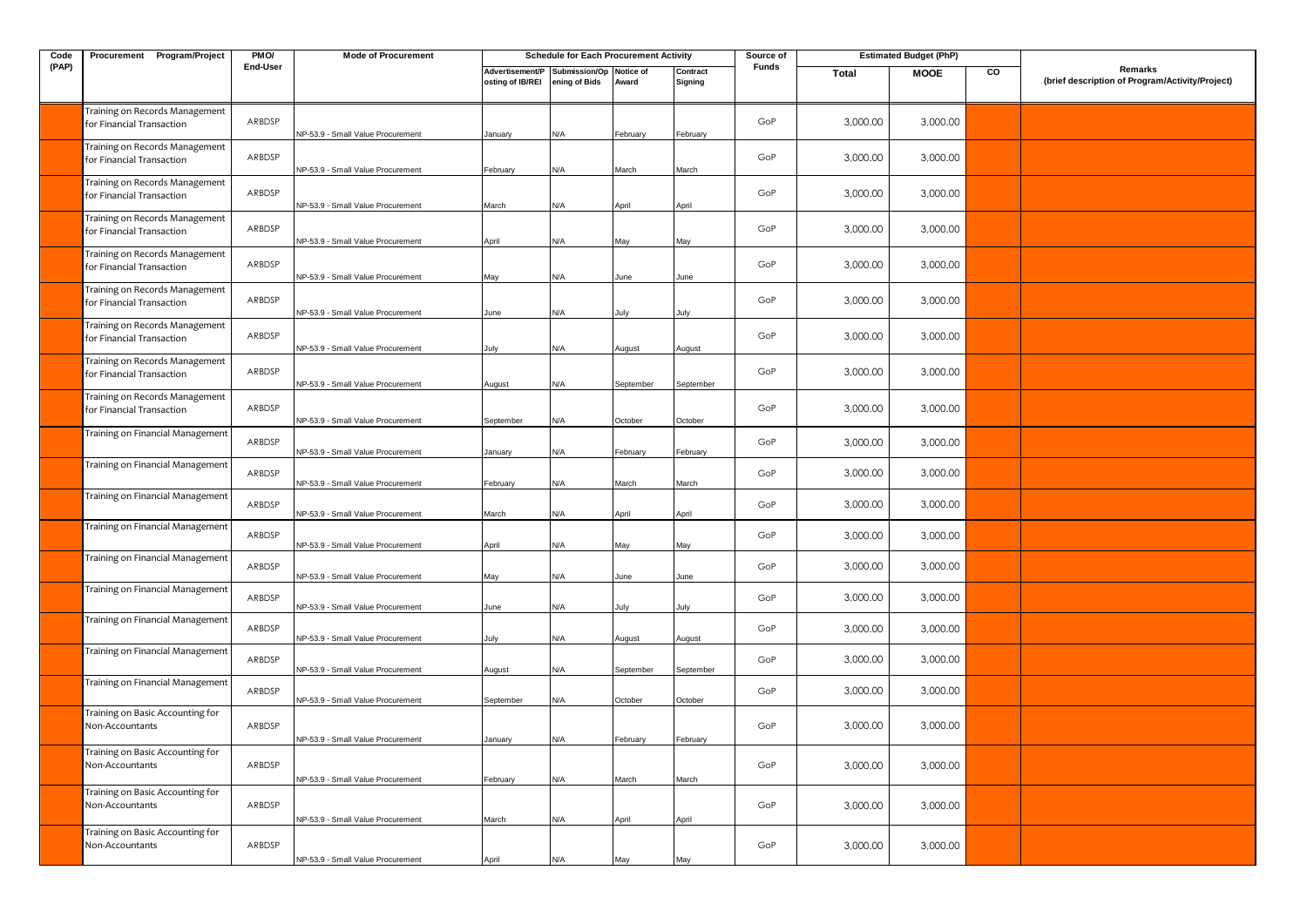| Code  | Procurement Program/Project                                          | PMO/             | <b>Mode of Procurement</b>                                             |                                     | <b>Schedule for Each Procurement Activity</b> |                      |                      | Source of  |                      | <b>Estimated Budget (PhP)</b> |    |                                                            |
|-------|----------------------------------------------------------------------|------------------|------------------------------------------------------------------------|-------------------------------------|-----------------------------------------------|----------------------|----------------------|------------|----------------------|-------------------------------|----|------------------------------------------------------------|
| (PAP) |                                                                      | End-User         |                                                                        | Advertisement/P<br>osting of IB/REI | Submission/Op<br>ening of Bids                | Notice of<br>Award   | Contract<br>Signing  | Funds      | Total                | <b>MOOE</b>                   | CO | Remarks<br>(brief description of Program/Activity/Project) |
|       | Training on Records Management<br>for Financial Transaction          | ARBDSP           | NP-53.9 - Small Value Procurement                                      | January                             | N/A                                           | February             | February             | GoP        | 3,000.00             | 3,000.00                      |    |                                                            |
|       | Training on Records Management<br>for Financial Transaction          | ARBDSP           | NP-53.9 - Small Value Procurement                                      | February                            | N/A                                           | March                | March                | GoP        | 3,000.00             | 3,000.00                      |    |                                                            |
|       | Training on Records Management<br>for Financial Transaction          | ARBDSP           | NP-53.9 - Small Value Procurement                                      | March                               | N/A                                           | April                | April                | GoP        | 3,000.00             | 3,000.00                      |    |                                                            |
|       | Training on Records Management<br>for Financial Transaction          | ARBDSP           | NP-53.9 - Small Value Procurement                                      | April                               | N/A                                           | May                  | May                  | GoP        | 3,000.00             | 3,000.00                      |    |                                                            |
|       | Training on Records Management<br>for Financial Transaction          | ARBDSP           | NP-53.9 - Small Value Procurement                                      | May                                 | N/A                                           | June                 | June                 | GoP        | 3,000.00             | 3,000.00                      |    |                                                            |
|       | Training on Records Management<br>for Financial Transaction          | ARBDSP           | NP-53.9 - Small Value Procurement                                      | June                                | N/A                                           | July                 | July                 | GoP        | 3,000.00             | 3,000.00                      |    |                                                            |
|       | Training on Records Management<br>for Financial Transaction          | ARBDSP           | NP-53.9 - Small Value Procurement                                      | July                                | N/A                                           | August               | August               | GoP        | 3,000.00             | 3,000.00                      |    |                                                            |
|       | Training on Records Management<br>for Financial Transaction          | ARBDSP           | NP-53.9 - Small Value Procurement                                      | August                              | N/A                                           | September            | September            | GoP        | 3,000.00             | 3,000.00                      |    |                                                            |
|       | Training on Records Management<br>for Financial Transaction          | ARBDSP           | NP-53.9 - Small Value Procurement                                      | September                           | N/A                                           | October              | October              | GoP        | 3,000.00             | 3,000.00                      |    |                                                            |
|       | Training on Financial Management                                     | ARBDSP           | NP-53.9 - Small Value Procurement                                      | January                             | N/A                                           | February             | February             | GoP        | 3,000.00             | 3,000.00                      |    |                                                            |
|       | Training on Financial Management                                     | ARBDSP           | NP-53.9 - Small Value Procurement                                      | February                            | N/A                                           | March                | March                | GoP        | 3,000.00             | 3,000.00                      |    |                                                            |
|       | Training on Financial Management<br>Training on Financial Management | ARBDSP           | NP-53.9 - Small Value Procurement                                      | March                               | N/A                                           | April                | April                | GoP        | 3,000.00             | 3,000.00                      |    |                                                            |
|       | Training on Financial Management                                     | ARBDSP           | NP-53.9 - Small Value Procurement                                      | April                               | N/A                                           | May                  | May                  | GoP        | 3,000.00             | 3,000.00                      |    |                                                            |
|       | Training on Financial Management                                     | ARBDSP<br>ARBDSP | NP-53.9 - Small Value Procurement                                      | May                                 | N/A                                           | June                 | June                 | GoP<br>GoP | 3,000.00<br>3,000.00 | 3,000.00<br>3,000.00          |    |                                                            |
|       | Training on Financial Management                                     | ARBDSP           | NP-53.9 - Small Value Procurement                                      | June                                | N/A                                           | Julv                 | July                 | GoP        | 3,000.00             | 3,000.00                      |    |                                                            |
|       | Training on Financial Management                                     | ARBDSP           | NP-53.9 - Small Value Procurement<br>NP-53.9 - Small Value Procurement | July                                | N/A<br>N/A                                    | August               | August               | GoP        | 3,000.00             | 3,000.00                      |    |                                                            |
|       | Training on Financial Management                                     | ARBDSP           | NP-53.9 - Small Value Procurement                                      | August<br>September                 | N/A                                           | September<br>October | September<br>October | GoP        | 3,000.00             | 3,000.00                      |    |                                                            |
|       | Training on Basic Accounting for<br>Non-Accountants                  | ARBDSP           | NP-53.9 - Small Value Procurement                                      | January                             | N/A                                           | February             | February             | GoP        | 3,000.00             | 3,000.00                      |    |                                                            |
|       | Training on Basic Accounting for<br>Non-Accountants                  | ARBDSP           | NP-53.9 - Small Value Procurement                                      | February                            | N/A                                           | March                | March                | GoP        | 3,000.00             | 3,000.00                      |    |                                                            |
|       | Training on Basic Accounting for<br>Non-Accountants                  | ARBDSP           |                                                                        |                                     |                                               |                      |                      | GoP        | 3,000.00             | 3,000.00                      |    |                                                            |
|       | Training on Basic Accounting for<br>Non-Accountants                  | ARBDSP           | NP-53.9 - Small Value Procurement<br>NP-53.9 - Small Value Procurement | March<br>April                      | N/A<br>N/A                                    | April<br>May         | April<br>May         | GoP        | 3,000.00             | 3,000.00                      |    |                                                            |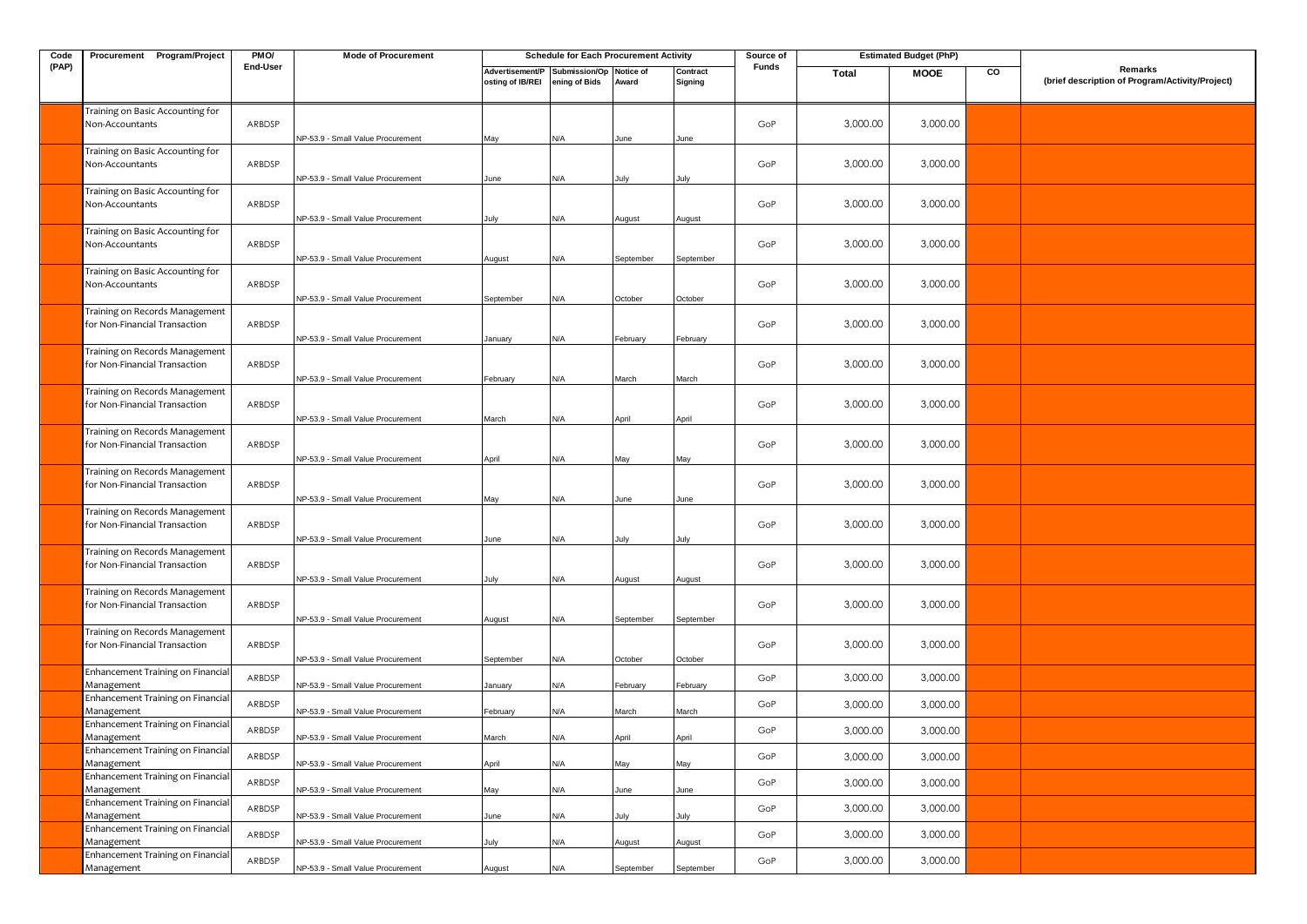| Code  | Procurement Program/Project                                     | PMO/     | <b>Mode of Procurement</b>        |                                                             | <b>Schedule for Each Procurement Activity</b> |           |                     | Source of |          | <b>Estimated Budget (PhP)</b> |    |                                                            |
|-------|-----------------------------------------------------------------|----------|-----------------------------------|-------------------------------------------------------------|-----------------------------------------------|-----------|---------------------|-----------|----------|-------------------------------|----|------------------------------------------------------------|
| (PAP) |                                                                 | End-User |                                   | Advertisement/P Submission/Op Notice of<br>osting of IB/REI | ening of Bids                                 | Award     | Contract<br>Signing | Funds     | Total    | <b>MOOE</b>                   | CO | Remarks<br>(brief description of Program/Activity/Project) |
|       | Training on Basic Accounting for<br>Non-Accountants             | ARBDSP   | NP-53.9 - Small Value Procurement | May                                                         | N/A                                           | June      | June                | GoP       | 3,000.00 | 3,000.00                      |    |                                                            |
|       | Training on Basic Accounting for<br>Non-Accountants             | ARBDSP   | NP-53.9 - Small Value Procurement | June                                                        | N/A                                           | July      | July                | GoP       | 3,000.00 | 3,000.00                      |    |                                                            |
|       | Training on Basic Accounting for<br>Non-Accountants             | ARBDSP   | NP-53.9 - Small Value Procurement | July                                                        | N/A                                           | August    | August              | GoP       | 3,000.00 | 3,000.00                      |    |                                                            |
|       | Training on Basic Accounting for<br>Non-Accountants             | ARBDSP   | NP-53.9 - Small Value Procurement | August                                                      | N/A                                           | September | September           | GoP       | 3,000.00 | 3,000.00                      |    |                                                            |
|       | Training on Basic Accounting for<br>Non-Accountants             | ARBDSP   | NP-53.9 - Small Value Procurement | September                                                   | N/A                                           | October   | October             | GoP       | 3,000.00 | 3,000.00                      |    |                                                            |
|       | Training on Records Management<br>for Non-Financial Transaction | ARBDSP   | NP-53.9 - Small Value Procurement | January                                                     | N/A                                           | February  | February            | GoP       | 3,000.00 | 3,000.00                      |    |                                                            |
|       | Fraining on Records Management<br>for Non-Financial Transaction | ARBDSP   | NP-53.9 - Small Value Procurement | February                                                    | N/A                                           | March     | March               | GoP       | 3,000.00 | 3,000.00                      |    |                                                            |
|       | Training on Records Management<br>for Non-Financial Transaction | ARBDSP   | NP-53.9 - Small Value Procurement | March                                                       | N/A                                           | April     | April               | GoP       | 3,000.00 | 3,000.00                      |    |                                                            |
|       | Training on Records Management<br>for Non-Financial Transaction | ARBDSP   | NP-53.9 - Small Value Procurement | April                                                       | N/A                                           | May       | May                 | GoP       | 3,000.00 | 3,000.00                      |    |                                                            |
|       | Training on Records Management<br>for Non-Financial Transaction | ARBDSP   | NP-53.9 - Small Value Procurement | May                                                         | N/A                                           | June      | June                | GoP       | 3,000.00 | 3,000.00                      |    |                                                            |
|       | Fraining on Records Management<br>for Non-Financial Transaction | ARBDSP   | NP-53.9 - Small Value Procurement | June                                                        | N/A                                           | July      | July                | GoP       | 3,000.00 | 3,000.00                      |    |                                                            |
|       | Training on Records Management<br>for Non-Financial Transaction | ARBDSP   | NP-53.9 - Small Value Procurement | July                                                        | N/A                                           | August    | August              | GoP       | 3,000.00 | 3,000.00                      |    |                                                            |
|       | Training on Records Management<br>for Non-Financial Transaction | ARBDSP   | NP-53.9 - Small Value Procurement | August                                                      | N/A                                           | September | September           | GoP       | 3,000.00 | 3,000.00                      |    |                                                            |
|       | Training on Records Management<br>for Non-Financial Transaction | ARBDSP   | NP-53.9 - Small Value Procurement | September                                                   | N/A                                           | October   | October             | GoP       | 3,000.00 | 3,000.00                      |    |                                                            |
|       | Enhancement Training on Financial<br>Management                 | ARBDSP   | NP-53.9 - Small Value Procurement | January                                                     | N/A                                           | February  | February            | GoP       | 3,000.00 | 3,000.00                      |    |                                                            |
|       | Enhancement Training on Financial<br>Management                 | ARBDSP   | NP-53.9 - Small Value Procurement | February                                                    | N/A                                           | March     | March               | GoP       | 3,000.00 | 3,000.00                      |    |                                                            |
|       | Enhancement Training on Financial<br>Management                 | ARBDSP   | NP-53.9 - Small Value Procurement | March                                                       | N/A                                           | April     | April               | GoP       | 3,000.00 | 3,000.00                      |    |                                                            |
|       | Enhancement Training on Financial<br>Management                 | ARBDSP   | NP-53.9 - Small Value Procurement | April                                                       | N/A                                           | May       | May                 | GoP       | 3,000.00 | 3,000.00                      |    |                                                            |
|       | Enhancement Training on Financial<br>Management                 | ARBDSP   | NP-53.9 - Small Value Procurement | May                                                         | N/A                                           | June      | June                | GoP       | 3,000.00 | 3,000.00                      |    |                                                            |
|       | Enhancement Training on Financial<br>Management                 | ARBDSP   | NP-53.9 - Small Value Procurement | June                                                        | N/A                                           | July      | July                | GoP       | 3,000.00 | 3,000.00                      |    |                                                            |
|       | Enhancement Training on Financial<br>Management                 | ARBDSP   | NP-53.9 - Small Value Procurement | July                                                        | N/A                                           | August    | August              | GoP       | 3,000.00 | 3,000.00                      |    |                                                            |
|       | Enhancement Training on Financial<br>Management                 | ARBDSP   | NP-53.9 - Small Value Procurement | August                                                      | N/A                                           | September | September           | GoP       | 3,000.00 | 3,000.00                      |    |                                                            |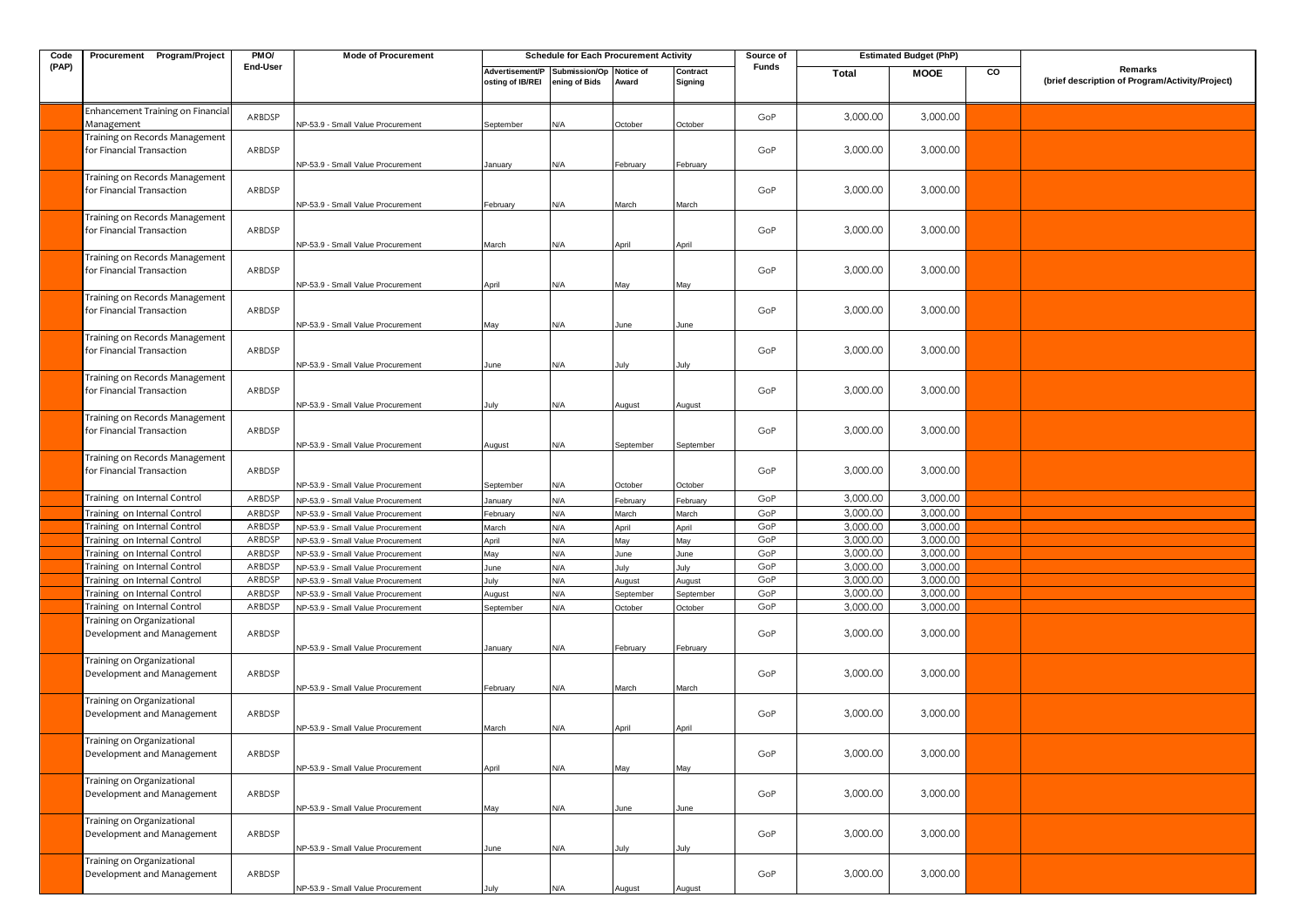| Code  | Procurement Program/Project                                  | PMO/     | <b>Mode of Procurement</b>                                             |                   | <b>Schedule for Each Procurement Activity</b> |                |                | Source of  |                      | <b>Estimated Budget (PhP)</b> |    |                                                 |
|-------|--------------------------------------------------------------|----------|------------------------------------------------------------------------|-------------------|-----------------------------------------------|----------------|----------------|------------|----------------------|-------------------------------|----|-------------------------------------------------|
| (PAP) |                                                              | End-User |                                                                        | Advertisement/P   | Submission/Op                                 | Notice of      | Contract       | Funds      | <b>Total</b>         | <b>MOOE</b>                   | CO | Remarks                                         |
|       |                                                              |          |                                                                        | osting of IB/REI  | ening of Bids                                 | Award          | Signing        |            |                      |                               |    | (brief description of Program/Activity/Project) |
|       |                                                              |          |                                                                        |                   |                                               |                |                |            |                      |                               |    |                                                 |
|       | Enhancement Training on Financial                            | ARBDSP   |                                                                        |                   |                                               |                |                | GoP        | 3,000.00             | 3,000.00                      |    |                                                 |
|       | Management                                                   |          | NP-53.9 - Small Value Procurement                                      | September         | N/A                                           | October        | October        |            |                      |                               |    |                                                 |
|       | Training on Records Management<br>for Financial Transaction  | ARBDSP   |                                                                        |                   |                                               |                |                | GoP        |                      |                               |    |                                                 |
|       |                                                              |          |                                                                        |                   |                                               |                |                |            | 3,000.00             | 3,000.00                      |    |                                                 |
|       | Training on Records Management                               |          | NP-53.9 - Small Value Procurement                                      | January           | N/A                                           | February       | February       |            |                      |                               |    |                                                 |
|       | for Financial Transaction                                    | ARBDSP   |                                                                        |                   |                                               |                |                | GoP        | 3,000.00             | 3,000.00                      |    |                                                 |
|       |                                                              |          | NP-53.9 - Small Value Procurement                                      | February          | N/A                                           | March          | March          |            |                      |                               |    |                                                 |
|       | Training on Records Management                               |          |                                                                        |                   |                                               |                |                |            |                      |                               |    |                                                 |
|       | for Financial Transaction                                    | ARBDSP   |                                                                        |                   |                                               |                |                | GoP        | 3,000.00             | 3,000.00                      |    |                                                 |
|       |                                                              |          | NP-53.9 - Small Value Procurement                                      | March             | N/A                                           | April          | April          |            |                      |                               |    |                                                 |
|       | Training on Records Management                               |          |                                                                        |                   |                                               |                |                |            |                      |                               |    |                                                 |
|       | for Financial Transaction                                    | ARBDSP   |                                                                        |                   |                                               |                |                | GoP        | 3,000.00             | 3,000.00                      |    |                                                 |
|       |                                                              |          | NP-53.9 - Small Value Procurement                                      | April             | N/A                                           | May            | May            |            |                      |                               |    |                                                 |
|       | Training on Records Management                               |          |                                                                        |                   |                                               |                |                |            |                      |                               |    |                                                 |
|       | for Financial Transaction                                    | ARBDSP   |                                                                        |                   |                                               |                |                | GoP        | 3,000.00             | 3,000.00                      |    |                                                 |
|       |                                                              |          | NP-53.9 - Small Value Procurement                                      | May               | N/A                                           | June           | June           |            |                      |                               |    |                                                 |
|       | Training on Records Management                               |          |                                                                        |                   |                                               |                |                |            |                      |                               |    |                                                 |
|       | for Financial Transaction                                    | ARBDSP   |                                                                        |                   |                                               |                |                | GoP        | 3,000.00             | 3,000.00                      |    |                                                 |
|       |                                                              |          | NP-53.9 - Small Value Procurement                                      | June              | N/A                                           | July           | July           |            |                      |                               |    |                                                 |
|       | Training on Records Management                               |          |                                                                        |                   |                                               |                |                |            |                      |                               |    |                                                 |
|       | for Financial Transaction                                    | ARBDSP   |                                                                        |                   |                                               |                |                | GoP        | 3,000.00             | 3,000.00                      |    |                                                 |
|       |                                                              |          | VP-53.9 - Small Value Procurement                                      | July              | N/A                                           | August         | August         |            |                      |                               |    |                                                 |
|       | Training on Records Management                               |          |                                                                        |                   |                                               |                |                |            |                      |                               |    |                                                 |
|       | for Financial Transaction                                    | ARBDSP   |                                                                        |                   |                                               |                |                | GoP        | 3,000.00             | 3,000.00                      |    |                                                 |
|       |                                                              |          | NP-53.9 - Small Value Procurement                                      | August            | N/A                                           | September      | September      |            |                      |                               |    |                                                 |
|       | Training on Records Management<br>for Financial Transaction  |          |                                                                        |                   |                                               |                |                |            |                      |                               |    |                                                 |
|       |                                                              | ARBDSP   |                                                                        |                   |                                               |                |                | GoP        | 3,000.00             | 3,000.00                      |    |                                                 |
|       | Training on Internal Control                                 | ARBDSP   | NP-53.9 - Small Value Procurement                                      | September         | N/A                                           | October        | October        |            |                      |                               |    |                                                 |
|       |                                                              | ARBDSP   | NP-53.9 - Small Value Procurement                                      | January           | N/A                                           | February       | February       | GoP<br>GoP | 3,000.00<br>3,000.00 | 3,000.00<br>3,000.00          |    |                                                 |
|       | Training on Internal Control<br>Training on Internal Control | ARBDSP   | VP-53.9 - Small Value Procurement<br>NP-53.9 - Small Value Procurement | February<br>March | N/A<br>N/A                                    | March<br>April | March<br>April | GoP        | 3,000.00             | 3,000.00                      |    |                                                 |
|       | Training on Internal Control                                 | ARBDSP   | NP-53.9 - Small Value Procurement                                      | April             | N/A                                           | May            | May            | GoP        | 3,000.00             | 3,000.00                      |    |                                                 |
|       | Training on Internal Control                                 | ARBDSP   | NP-53.9 - Small Value Procurement                                      | May               | N/A                                           | June           | June           | GoP        | 3,000.00             | 3,000.00                      |    |                                                 |
|       | Training on Internal Control                                 | ARBDSP   | NP-53.9 - Small Value Procurement                                      | June              | $\mathsf{N}/\mathsf{A}$                       | July           | July           | GoP        | 3,000.00             | 3,000.00                      |    |                                                 |
|       | Training on Internal Control                                 | ARBDSP   | NP-53.9 - Small Value Procurement                                      | July              | N/A                                           | August         | August         | GoP        | 3,000.00             | 3,000.00                      |    |                                                 |
|       | Training on Internal Control                                 | ARBDSP   | NP-53.9 - Small Value Procurement                                      | August            | N/A                                           | September      | September      | GoP        | 3,000.00             | 3,000.00                      |    |                                                 |
|       | Training on Internal Control                                 | ARBDSP   | VP-53.9 - Small Value Procurement                                      | September         | N/A                                           | October        | October        | GoP        | 3,000.00             | 3,000.00                      |    |                                                 |
|       | Training on Organizational                                   |          |                                                                        |                   |                                               |                |                |            |                      |                               |    |                                                 |
|       | Development and Management                                   | ARBDSP   |                                                                        |                   |                                               |                |                | GoP        | 3,000.00             | 3,000.00                      |    |                                                 |
|       |                                                              |          | VP-53.9 - Small Value Procurement                                      | January           | N/A                                           | February       | February       |            |                      |                               |    |                                                 |
|       | Training on Organizational                                   |          |                                                                        |                   |                                               |                |                |            |                      |                               |    |                                                 |
|       | Development and Management                                   | ARBDSP   |                                                                        |                   |                                               |                |                | GoP        | 3,000.00             | 3,000.00                      |    |                                                 |
|       |                                                              |          | NP-53.9 - Small Value Procurement                                      | February          | N/A                                           | March          | March          |            |                      |                               |    |                                                 |
|       | Training on Organizational                                   |          |                                                                        |                   |                                               |                |                |            |                      |                               |    |                                                 |
|       | Development and Management                                   | ARBDSP   |                                                                        |                   |                                               |                |                | GoP        | 3,000.00             | 3,000.00                      |    |                                                 |
|       |                                                              |          | NP-53.9 - Small Value Procurement                                      | March             | N/A                                           | April          | April          |            |                      |                               |    |                                                 |
|       | Training on Organizational                                   |          |                                                                        |                   |                                               |                |                |            |                      |                               |    |                                                 |
|       | Development and Management                                   | ARBDSP   |                                                                        |                   |                                               |                |                | GoP        | 3,000.00             | 3,000.00                      |    |                                                 |
|       | Training on Organizational                                   |          | NP-53.9 - Small Value Procurement                                      | April             | N/A                                           | May            | May            |            |                      |                               |    |                                                 |
|       | Development and Management                                   | ARBDSP   |                                                                        |                   |                                               |                |                | GoP        | 3,000.00             | 3,000.00                      |    |                                                 |
|       |                                                              |          | NP-53.9 - Small Value Procurement                                      | May               | N/A                                           | June           | June           |            |                      |                               |    |                                                 |
|       | Training on Organizational                                   |          |                                                                        |                   |                                               |                |                |            |                      |                               |    |                                                 |
|       | Development and Management                                   | ARBDSP   |                                                                        |                   |                                               |                |                | GoP        | 3,000.00             | 3,000.00                      |    |                                                 |
|       |                                                              |          | NP-53.9 - Small Value Procurement                                      | June              | N/A                                           | July           | July           |            |                      |                               |    |                                                 |
|       | Training on Organizational                                   |          |                                                                        |                   |                                               |                |                |            |                      |                               |    |                                                 |
|       | Development and Management                                   | ARBDSP   |                                                                        |                   |                                               |                |                | GoP        | 3,000.00             | 3,000.00                      |    |                                                 |
|       |                                                              |          | NP-53.9 - Small Value Procurement                                      | July              | N/A                                           | August         | August         |            |                      |                               |    |                                                 |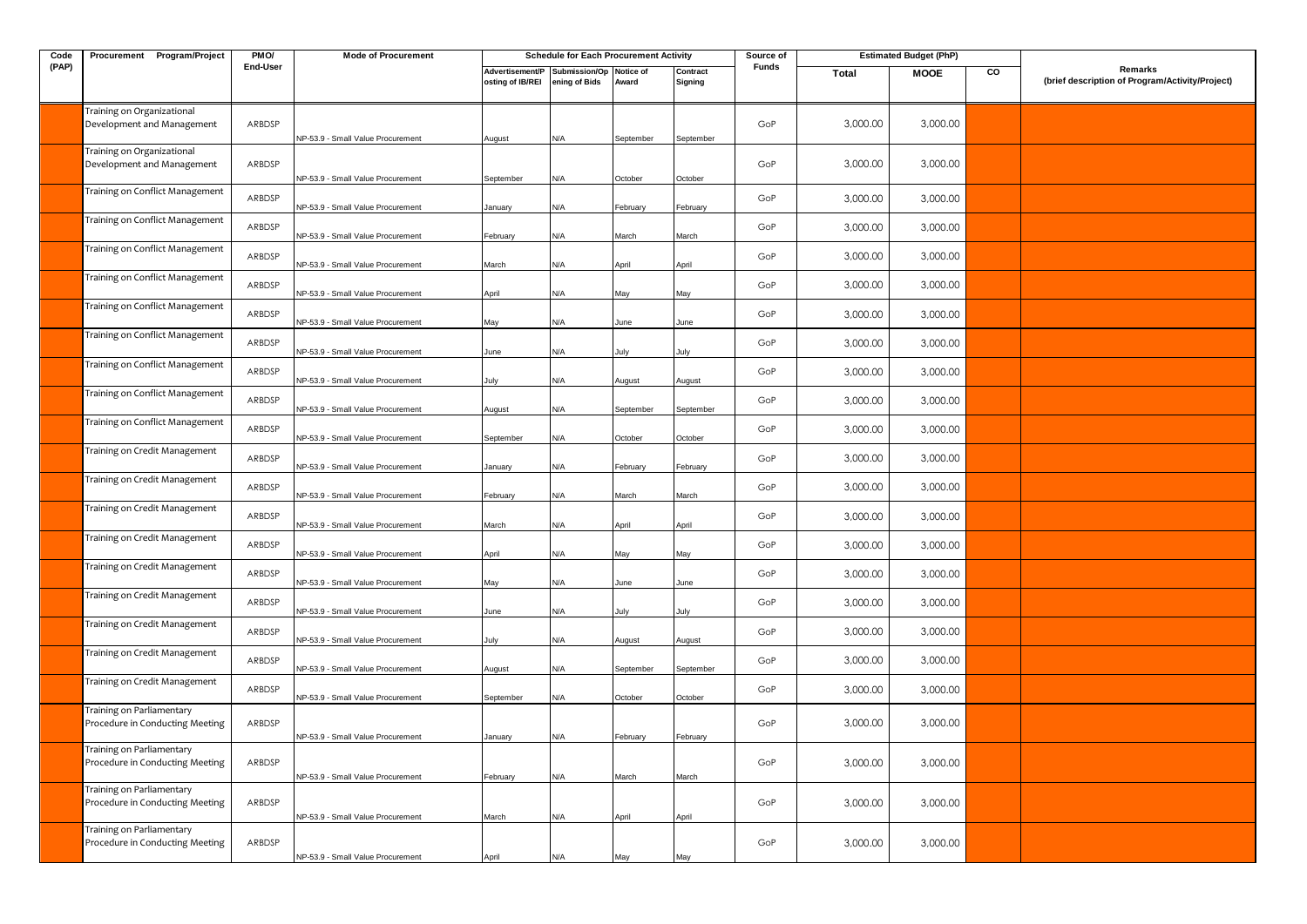| Code  | Procurement Program/Project                                        | PMO/             | <b>Mode of Procurement</b>                                             |                                     | <b>Schedule for Each Procurement Activity</b> |             |                     | Source of  |                      | <b>Estimated Budget (PhP)</b> |    |                                                            |
|-------|--------------------------------------------------------------------|------------------|------------------------------------------------------------------------|-------------------------------------|-----------------------------------------------|-------------|---------------------|------------|----------------------|-------------------------------|----|------------------------------------------------------------|
| (PAP) |                                                                    | End-User         |                                                                        | Advertisement/P<br>osting of IB/REI | Submission/Op Notice of<br>ening of Bids      | Award       | Contract<br>Signing | Funds      | Total                | <b>MOOE</b>                   | CO | Remarks<br>(brief description of Program/Activity/Project) |
|       | Training on Organizational<br>Development and Management           | ARBDSP           | NP-53.9 - Small Value Procurement                                      | August                              | N/A                                           | September   | September           | GoP        | 3,000.00             | 3,000.00                      |    |                                                            |
|       | Training on Organizational<br>Development and Management           | ARBDSP           | NP-53.9 - Small Value Procurement                                      | September                           | N/A                                           | October     | October             | GoP        | 3,000.00             | 3,000.00                      |    |                                                            |
|       | Training on Conflict Management                                    | ARBDSP           | NP-53.9 - Small Value Procurement                                      | January                             | N/A                                           | February    | February            | GoP        | 3,000.00             | 3,000.00                      |    |                                                            |
|       | Training on Conflict Management                                    | ARBDSP           | NP-53.9 - Small Value Procurement                                      | February                            | N/A                                           | March       | March               | GoP        | 3,000.00             | 3,000.00                      |    |                                                            |
|       | Training on Conflict Management                                    | ARBDSP           | NP-53.9 - Small Value Procurement                                      | March                               | N/A                                           | April       | April               | GoP        | 3,000.00             | 3,000.00                      |    |                                                            |
|       | Training on Conflict Management                                    | ARBDSP           | NP-53.9 - Small Value Procurement                                      | April                               | N/A                                           | May         | May                 | GoP        | 3,000.00             | 3,000.00                      |    |                                                            |
|       | Training on Conflict Management                                    | ARBDSP           | NP-53.9 - Small Value Procurement                                      | May                                 | N/A                                           | June        | June                | GoP        | 3,000.00             | 3,000.00                      |    |                                                            |
|       | Training on Conflict Management                                    | ARBDSP           | NP-53.9 - Small Value Procurement                                      | June                                | N/A                                           | July        | July                | GoP        | 3,000.00             | 3,000.00                      |    |                                                            |
|       | Training on Conflict Management<br>Training on Conflict Management | ARBDSP           | NP-53.9 - Small Value Procurement                                      | July                                | N/A                                           | August      | August              | GoP        | 3,000.00             | 3,000.00                      |    |                                                            |
|       | Training on Conflict Management                                    | ARBDSP           | NP-53.9 - Small Value Procurement                                      | August                              | N/A                                           | September   | September           | GoP        | 3,000.00             | 3,000.00                      |    |                                                            |
|       | Training on Credit Management                                      | ARBDSP           | NP-53.9 - Small Value Procurement                                      | September                           | N/A                                           | October     | October             | GoP        | 3,000.00             | 3,000.00                      |    |                                                            |
|       | Training on Credit Management                                      | ARBDSP<br>ARBDSP | NP-53.9 - Small Value Procurement                                      | January                             | N/A                                           | February    | February            | GoP<br>GoP | 3,000.00<br>3,000.00 | 3,000.00<br>3,000.00          |    |                                                            |
|       | Training on Credit Management                                      | ARBDSP           | NP-53.9 - Small Value Procurement                                      | February                            | N/A                                           | March       | March               | GoP        | 3,000.00             | 3,000.00                      |    |                                                            |
|       | Training on Credit Management                                      | ARBDSP           | NP-53.9 - Small Value Procurement                                      | March                               | N/A                                           | April       | April               | GoP        | 3,000.00             | 3,000.00                      |    |                                                            |
|       | Training on Credit Management                                      | ARBDSP           | NP-53.9 - Small Value Procurement<br>NP-53.9 - Small Value Procurement | April<br>May                        | N/A<br>N/A                                    | May<br>June | May<br>June         | GoP        | 3,000.00             | 3,000.00                      |    |                                                            |
|       | Training on Credit Management                                      | ARBDSP           | NP-53.9 - Small Value Procurement                                      | June                                | N/A                                           | July        | July                | GoP        | 3,000.00             | 3,000.00                      |    |                                                            |
|       | Training on Credit Management                                      | ARBDSP           | NP-53.9 - Small Value Procurement                                      | July                                | N/A                                           | August      | August              | GoP        | 3,000.00             | 3,000.00                      |    |                                                            |
|       | Training on Credit Management                                      | ARBDSP           | NP-53.9 - Small Value Procurement                                      | August                              | N/A                                           | September   | September           | GoP        | 3,000.00             | 3,000.00                      |    |                                                            |
|       | Training on Credit Management                                      | ARBDSP           | NP-53.9 - Small Value Procurement                                      | September                           | N/A                                           | October     | October             | GoP        | 3,000.00             | 3,000.00                      |    |                                                            |
|       | Training on Parliamentary<br>Procedure in Conducting Meeting       | ARBDSP           | NP-53.9 - Small Value Procurement                                      | January                             | N/A                                           | February    | February            | GoP        | 3,000.00             | 3,000.00                      |    |                                                            |
|       | Training on Parliamentary<br>Procedure in Conducting Meeting       | ARBDSP           | NP-53.9 - Small Value Procurement                                      | February                            | N/A                                           | March       | March               | GoP        | 3,000.00             | 3,000.00                      |    |                                                            |
|       | Training on Parliamentary<br>Procedure in Conducting Meeting       | ARBDSP           | NP-53.9 - Small Value Procurement                                      | March                               | N/A                                           | April       | April               | GoP        | 3,000.00             | 3,000.00                      |    |                                                            |
|       | Training on Parliamentary<br>Procedure in Conducting Meeting       | ARBDSP           | NP-53.9 - Small Value Procurement                                      | April                               | N/A                                           | May         | May                 | GoP        | 3,000.00             | 3,000.00                      |    |                                                            |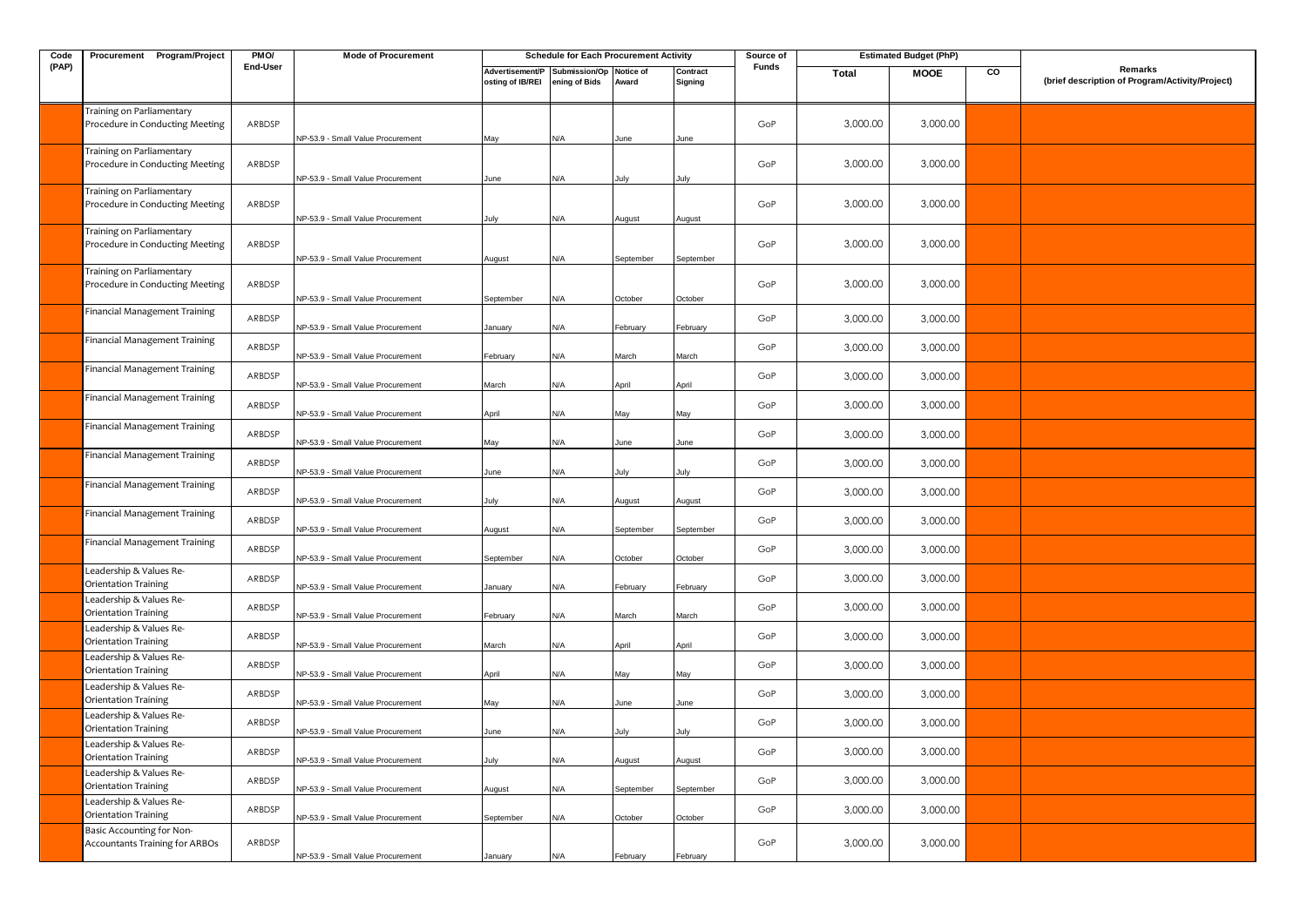| Code  | Procurement Program/Project                                  | PM <sub>O</sub> / | <b>Mode of Procurement</b>               |                                     | <b>Schedule for Each Procurement Activity</b> |               |                     | Source of |          | <b>Estimated Budget (PhP)</b> |    |                                                            |
|-------|--------------------------------------------------------------|-------------------|------------------------------------------|-------------------------------------|-----------------------------------------------|---------------|---------------------|-----------|----------|-------------------------------|----|------------------------------------------------------------|
| (PAP) |                                                              | End-User          |                                          | Advertisement/P<br>osting of IB/REI | Submission/Op Notice of<br>ening of Bids      | Award         | Contract<br>Signing | Funds     | Total    | <b>MOOE</b>                   | co | Remarks<br>(brief description of Program/Activity/Project) |
|       | Training on Parliamentary<br>Procedure in Conducting Meeting | ARBDSP            | NP-53.9 - Small Value Procurement        | Mav                                 | N/A                                           | June          | June                | GoP       | 3,000.00 | 3,000.00                      |    |                                                            |
|       | Training on Parliamentary<br>Procedure in Conducting Meeting | ARBDSP            | NP-53.9 - Small Value Procurement        | June                                | N/A                                           |               | July                | GoP       | 3,000.00 | 3,000.00                      |    |                                                            |
|       | Training on Parliamentary<br>Procedure in Conducting Meeting | ARBDSP            | NP-53.9 - Small Value Procurement        | July                                | N/A                                           | August        | August              | GoP       | 3,000.00 | 3,000.00                      |    |                                                            |
|       | Training on Parliamentary<br>Procedure in Conducting Meeting | ARBDSP            | NP-53.9 - Small Value Procurement        | August                              | N/A                                           | September     | September           | GoP       | 3,000.00 | 3,000.00                      |    |                                                            |
|       | Training on Parliamentary<br>Procedure in Conducting Meeting | ARBDSP            | NP-53.9 - Small Value Procurement        | September                           | N/A                                           | October       | October             | GoP       | 3,000.00 | 3,000.00                      |    |                                                            |
|       | Financial Management Training                                | ARBDSP            | NP-53.9 - Small Value Procurement        | January                             | N/A                                           | February      | February            | GoP       | 3,000.00 | 3,000.00                      |    |                                                            |
|       | Financial Management Training                                | ARBDSP            | NP-53.9 - Small Value Procurement        | February                            | N/A                                           | March         | March               | GoP       | 3,000.00 | 3,000.00                      |    |                                                            |
|       | Financial Management Training                                | ARBDSP            | VP-53.9 - Small Value Procurement        | March                               | N/A                                           | April         | April               | GoP       | 3,000.00 | 3,000.00                      |    |                                                            |
|       | Financial Management Training                                | ARBDSP            | NP-53.9 - Small Value Procurement        | April                               | N/A                                           | May           | May                 | GoP       | 3,000.00 | 3,000.00                      |    |                                                            |
|       | Financial Management Training                                | ARBDSP            | NP-53.9 - Small Value Procurement        | May                                 | N/A                                           | June          | June                | GoP       | 3,000.00 | 3,000.00                      |    |                                                            |
|       | Financial Management Training                                | ARBDSP            | VP-53.9 - Small Value Procurement        | June                                | N/A                                           | July          | July                | GoP       | 3,000.00 | 3,000.00                      |    |                                                            |
|       | Financial Management Training                                | ARBDSP            | NP-53.9 - Small Value Procurement        | July                                | N/A                                           | August        | August              | GoP       | 3,000.00 | 3,000.00                      |    |                                                            |
|       | Financial Management Training                                | ARBDSP            | NP-53.9 - Small Value Procurement        | August                              | N/A                                           | September     | September           | GoP       | 3,000.00 | 3,000.00                      |    |                                                            |
|       | Financial Management Training<br>Leadership & Values Re-     | ARBDSP            | VP-53.9 - Small Value Procurement        | September                           | N/A                                           | October       | October             | GoP       | 3,000.00 | 3,000.00                      |    |                                                            |
|       | Orientation Training<br>Leadership & Values Re-              | ARBDSP            | NP-53.9 - Small Value Procurement        | anuary                              | N/A                                           | February      | February            | GoP       | 3,000.00 | 3,000.00                      |    |                                                            |
|       | Orientation Training<br>Leadership & Values Re-              | ARBDSP            | NP-53.9 - Small Value Procurement        | February                            | N/A                                           | March         | March               | GoP       | 3,000.00 | 3,000.00                      |    |                                                            |
|       | Orientation Training<br>Leadership & Values Re-              | ARBDSP            | VP-53.9 - Small Value Procurement        | March                               | N/A                                           | April         | April               | GoP       | 3,000.00 | 3,000.00                      |    |                                                            |
|       | Orientation Training<br>Leadership & Values Re-              | ARBDSP            | NP-53.9 - Small Value Procurement        | April                               | N/A                                           | Mav           | May                 | GoP       | 3,000.00 | 3,000.00                      |    |                                                            |
|       | Orientation Training<br>Leadership & Values Re-              | ARBDSP            | NP-53.9 - Small Value Procurement        | May                                 | N/A                                           | June          | June                | GoP       | 3,000.00 | 3,000.00                      |    |                                                            |
|       | Orientation Training<br>Leadership & Values Re-              | ARBDSP            | <b>IP-53.9 - Small Value Procurement</b> | June                                | N/A                                           | lulv          | lulv                | GoP       | 3,000.00 | 3,000.00                      |    |                                                            |
|       | Orientation Training<br>Leadership & Values Re-              | ARBDSP            | NP-53.9 - Small Value Procurement        | July                                | <b>A/</b>                                     | <b>August</b> | August              | GoP       | 3,000.00 | 3,000.00                      |    |                                                            |
|       | Orientation Training<br>Leadership & Values Re-              | ARBDSP            | NP-53.9 - Small Value Procurement        | August                              | N/A                                           | September     | September           | GoP       | 3,000.00 | 3,000.00                      |    |                                                            |
|       | Orientation Training<br>Basic Accounting for Non-            | ARBDSP            | VP-53.9 - Small Value Procurement        | September                           | N/A                                           | October       | October             | GoP       | 3,000.00 | 3,000.00                      |    |                                                            |
|       | <b>Accountants Training for ARBOs</b>                        | ARBDSP            | NP-53.9 - Small Value Procurement        | January                             | N/A                                           | February      | February            | GoP       | 3,000.00 | 3,000.00                      |    |                                                            |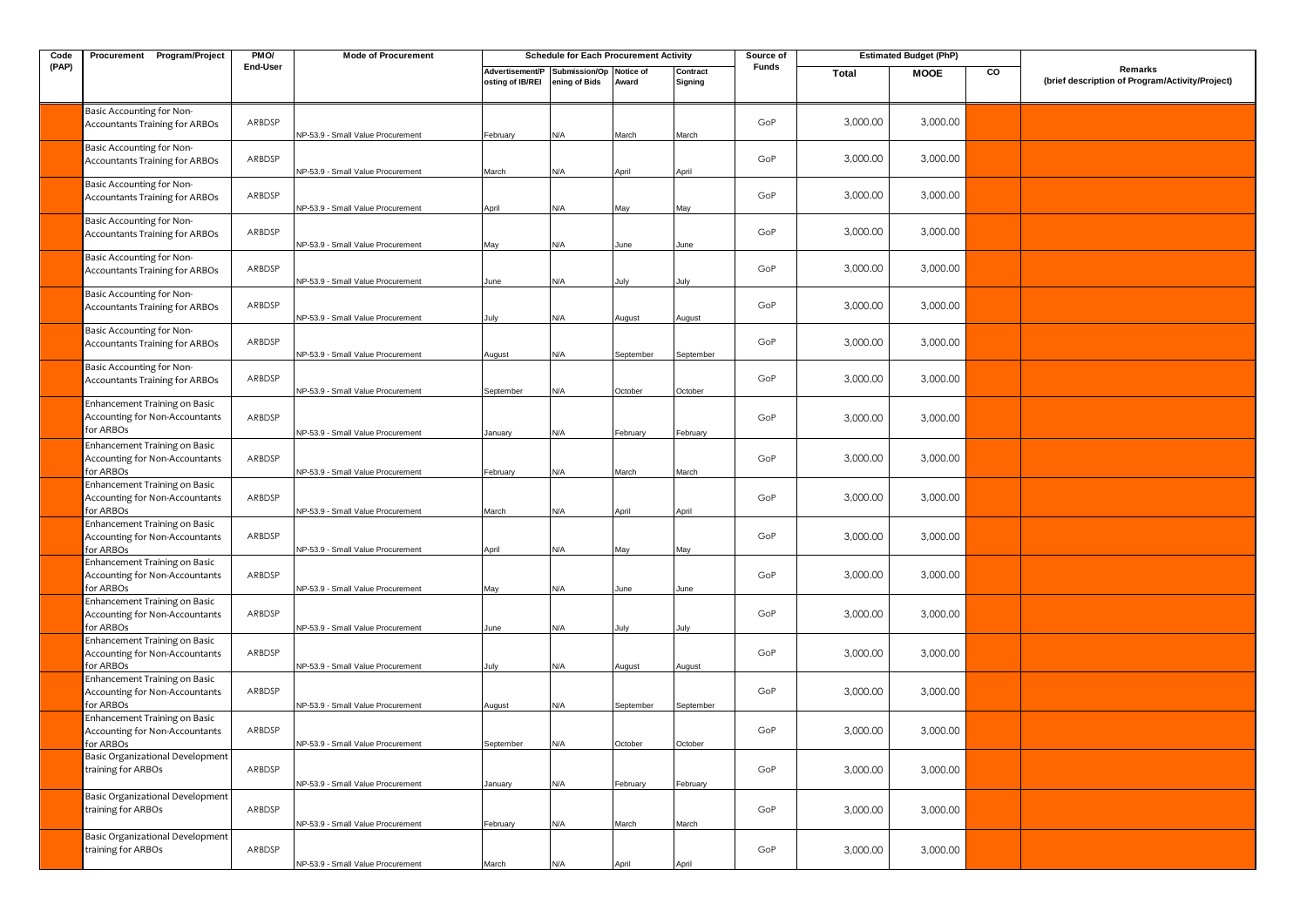| Code  | Procurement Program/Project                                                         | PMO/     | <b>Mode of Procurement</b>                                             |                                     | <b>Schedule for Each Procurement Activity</b> |                |                     | Source of    |              | <b>Estimated Budget (PhP)</b> |    |                                                            |
|-------|-------------------------------------------------------------------------------------|----------|------------------------------------------------------------------------|-------------------------------------|-----------------------------------------------|----------------|---------------------|--------------|--------------|-------------------------------|----|------------------------------------------------------------|
| (PAP) |                                                                                     | End-User |                                                                        | Advertisement/P<br>osting of IB/REI | Submission/Op Notice of<br>ening of Bids      | Award          | Contract<br>Signing | <b>Funds</b> | <b>Total</b> | <b>MOOE</b>                   | CO | Remarks<br>(brief description of Program/Activity/Project) |
|       | Basic Accounting for Non-<br><b>Accountants Training for ARBOs</b>                  | ARBDSP   | NP-53.9 - Small Value Procurement                                      | February                            | N/A                                           | March          | March               | GoP          | 3,000.00     | 3,000.00                      |    |                                                            |
|       | Basic Accounting for Non-<br><b>Accountants Training for ARBOs</b>                  | ARBDSP   | NP-53.9 - Small Value Procurement                                      | March                               | N/A                                           | April          | April               | GoP          | 3,000.00     | 3,000.00                      |    |                                                            |
|       | Basic Accounting for Non-<br><b>Accountants Training for ARBOs</b>                  | ARBDSP   | NP-53.9 - Small Value Procurement                                      | April                               | N/A                                           | May            | May                 | GoP          | 3,000.00     | 3,000.00                      |    |                                                            |
|       | Basic Accounting for Non-<br><b>Accountants Training for ARBOs</b>                  | ARBDSP   | NP-53.9 - Small Value Procurement                                      | May                                 | N/A                                           | June           | June                | GoP          | 3,000.00     | 3,000.00                      |    |                                                            |
|       | Basic Accounting for Non-<br><b>Accountants Training for ARBOs</b>                  | ARBDSP   | NP-53.9 - Small Value Procurement                                      | June                                | N/A                                           | July           | July                | GoP          | 3,000.00     | 3,000.00                      |    |                                                            |
|       | Basic Accounting for Non-<br><b>Accountants Training for ARBOs</b>                  | ARBDSP   | NP-53.9 - Small Value Procurement                                      | July                                | N/A                                           | August         | August              | GoP          | 3,000.00     | 3,000.00                      |    |                                                            |
|       | Basic Accounting for Non-<br><b>Accountants Training for ARBOs</b>                  | ARBDSP   | NP-53.9 - Small Value Procurement                                      | August                              | N/A                                           | September      | September           | GoP          | 3,000.00     | 3,000.00                      |    |                                                            |
|       | Basic Accounting for Non-<br><b>Accountants Training for ARBOs</b>                  | ARBDSP   | NP-53.9 - Small Value Procurement                                      | September                           | N/A                                           | October        | October             | GoP          | 3,000.00     | 3,000.00                      |    |                                                            |
|       | Enhancement Training on Basic<br>Accounting for Non-Accountants<br>for ARBOs        | ARBDSP   | NP-53.9 - Small Value Procurement                                      | lanuary                             | N/A                                           | February       | February            | GoP          | 3,000.00     | 3,000.00                      |    |                                                            |
|       | Enhancement Training on Basic<br>Accounting for Non-Accountants                     | ARBDSP   |                                                                        |                                     |                                               |                |                     | GoP          | 3,000.00     | 3,000.00                      |    |                                                            |
|       | for ARBOs<br>Enhancement Training on Basic<br><b>Accounting for Non-Accountants</b> | ARBDSP   | NP-53.9 - Small Value Procurement                                      | ebruary                             | N/A                                           | March          | March               | GoP          | 3,000.00     | 3,000.00                      |    |                                                            |
|       | for ARBOs<br>Enhancement Training on Basic<br>Accounting for Non-Accountants        | ARBDSP   | <b>NP-53.9 - Small Value Procurement</b>                               | March                               | N/A                                           | April          | April               | GoP          | 3,000.00     | 3,000.00                      |    |                                                            |
|       | for ARBOs<br>Enhancement Training on Basic<br><b>Accounting for Non-Accountants</b> | ARBDSP   | NP-53.9 - Small Value Procurement                                      | April                               | N/A                                           | May            | May                 | GoP          | 3,000.00     | 3,000.00                      |    |                                                            |
|       | for ARBOs<br>Enhancement Training on Basic<br>Accounting for Non-Accountants        | ARBDSP   | NP-53.9 - Small Value Procurement                                      | May                                 | N/A                                           | June           | June                | GoP          | 3,000.00     | 3,000.00                      |    |                                                            |
|       | for ARBOs<br>Enhancement Training on Basic<br>Accounting for Non-Accountants        | ARBDSP   | NP-53.9 - Small Value Procurement                                      | June                                | N/A                                           | July           | July                | GoP          | 3,000.00     | 3,000.00                      |    |                                                            |
|       | for ARBOs<br>Enhancement Training on Basic<br>Accounting for Non-Accountants        | ARBDSP   | NP-53.9 - Small Value Procurement                                      | July                                | N/A                                           | August         | August              | GoP          | 3,000.00     | 3,000.00                      |    |                                                            |
|       | for ARBOs<br>Enhancement Training on Basic<br>Accounting for Non-Accountants        | ARBDSP   | NP-53.9 - Small Value Procurement                                      | August                              | N/A                                           | September      | September           | GoP          | 3,000.00     | 3,000.00                      |    |                                                            |
|       | for ARBOs<br>Basic Organizational Development<br>training for ARBOs                 | ARBDSP   | NP-53.9 - Small Value Procurement                                      | September                           | N/A                                           | October        | October             | GoP          | 3,000.00     | 3,000.00                      |    |                                                            |
|       | Basic Organizational Development<br>training for ARBOs                              | ARBDSP   | NP-53.9 - Small Value Procurement                                      | January                             | N/A                                           | February       | February            | GoP          | 3,000.00     | 3,000.00                      |    |                                                            |
|       | Basic Organizational Development<br>training for ARBOs                              | ARBDSP   | NP-53.9 - Small Value Procurement<br>NP-53.9 - Small Value Procurement | ebruary<br>March                    | N/A<br>N/A                                    | March<br>April | March<br>April      | GoP          | 3,000.00     | 3,000.00                      |    |                                                            |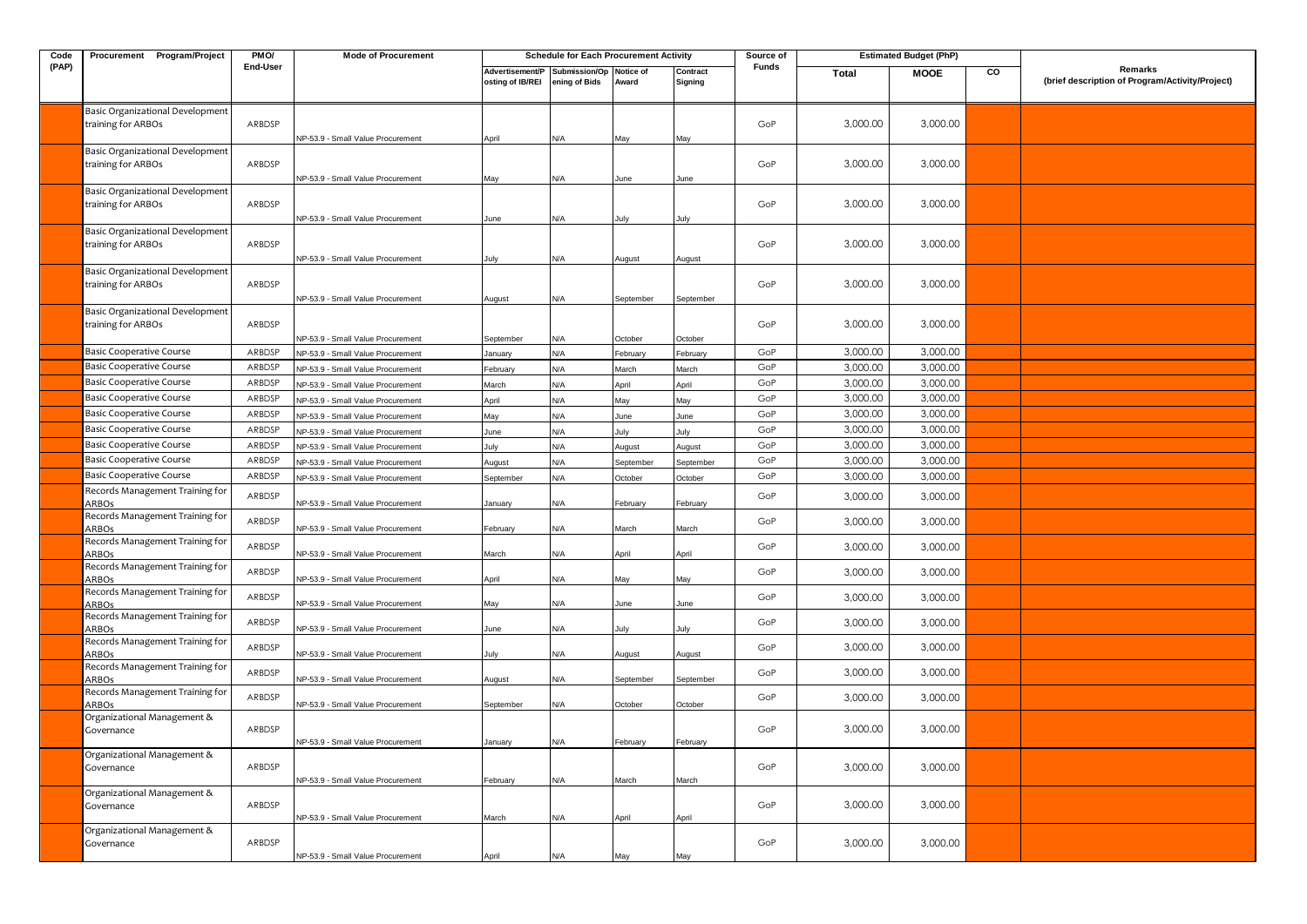| Code  | Procurement Program/Project                                                 | PM <sub>O</sub> | <b>Mode of Procurement</b>                                             |                                     | <b>Schedule for Each Procurement Activity</b> |                     |                     | Source of |              | <b>Estimated Budget (PhP)</b> |    |                                                            |
|-------|-----------------------------------------------------------------------------|-----------------|------------------------------------------------------------------------|-------------------------------------|-----------------------------------------------|---------------------|---------------------|-----------|--------------|-------------------------------|----|------------------------------------------------------------|
| (PAP) |                                                                             | End-User        |                                                                        | Advertisement/P<br>osting of IB/REI | Submission/Op Notice of<br>ening of Bids      | Award               | Contract<br>Signing | Funds     | <b>Total</b> | <b>MOOE</b>                   | CO | Remarks<br>(brief description of Program/Activity/Project) |
|       | Basic Organizational Development<br>training for ARBOs                      | ARBDSP          | NP-53.9 - Small Value Procurement                                      | April                               | ۷A/                                           | May                 | May                 | GoP       | 3,000.00     | 3,000.00                      |    |                                                            |
|       | Basic Organizational Development<br>training for ARBOs                      | ARBDSP          | NP-53.9 - Small Value Procurement                                      | May                                 | N/A                                           | June                | June                | GoP       | 3,000.00     | 3,000.00                      |    |                                                            |
|       | Basic Organizational Development<br>training for ARBOs                      | ARBDSP          | NP-53.9 - Small Value Procurement                                      | June                                | <b>AV</b>                                     | lulv                | lulv                | GoP       | 3,000.00     | 3,000.00                      |    |                                                            |
|       | Basic Organizational Development<br>training for ARBOs                      | ARBDSP          | NP-53.9 - Small Value Procurement                                      | July                                | ۷/A                                           | August              | August              | GoP       | 3,000.00     | 3,000.00                      |    |                                                            |
|       | Basic Organizational Development<br>training for ARBOs                      | ARBDSP          | NP-53.9 - Small Value Procurement                                      | August                              | N/A                                           | September           | September           | GoP       | 3,000.00     | 3,000.00                      |    |                                                            |
|       | Basic Organizational Development<br>training for ARBOs                      | ARBDSP          | NP-53.9 - Small Value Procurement                                      | September                           | ۷A/                                           | October             | October             | GoP       | 3,000.00     | 3,000.00                      |    |                                                            |
|       | <b>Basic Cooperative Course</b>                                             | ARBDSP          | NP-53.9 - Small Value Procurement                                      | anuarv                              | ۷A                                            | February            | February            | GoP       | 3,000.00     | 3,000.00                      |    |                                                            |
|       | Basic Cooperative Course                                                    | ARBDSP          | VP-53.9 - Small Value Procurement                                      | ebruary                             | <b>N/A</b>                                    | March               | March               | GoP       | 3,000.00     | 3,000.00                      |    |                                                            |
|       | Basic Cooperative Course                                                    | ARBDSP          | NP-53.9 - Small Value Procurement                                      | March                               | N/A                                           | April               | April               | GoP       | 3,000.00     | 3,000.00                      |    |                                                            |
|       | Basic Cooperative Course                                                    | ARBDSP          | NP-53.9 - Small Value Procurement                                      | April                               | N/A                                           | May                 | May                 | GoP       | 3,000.00     | 3,000.00                      |    |                                                            |
|       | <b>Basic Cooperative Course</b>                                             | ARBDSP          | VP-53.9 - Small Value Procurement                                      | May                                 | N/A                                           | June                | June                | GoP       | 3,000.00     | 3,000.00                      |    |                                                            |
|       | <b>Basic Cooperative Course</b>                                             | ARBDSP          |                                                                        |                                     | N/A                                           |                     |                     | GoP       | 3,000.00     | 3,000.00                      |    |                                                            |
|       | Basic Cooperative Course                                                    | ARBDSP          | NP-53.9 - Small Value Procurement                                      | June                                |                                               | July                | July                | GoP       | 3,000.00     | 3,000.00                      |    |                                                            |
|       | Basic Cooperative Course                                                    | ARBDSP          | NP-53.9 - Small Value Procurement                                      | July                                | ۷A                                            | August              | August              | GoP       | 3,000.00     | 3,000.00                      |    |                                                            |
|       | <b>Basic Cooperative Course</b>                                             | ARBDSP          | VP-53.9 - Small Value Procurement                                      | August                              | <b>N/A</b>                                    | September           | September           | GoP       | 3,000.00     | 3,000.00                      |    |                                                            |
|       | Records Management Training for<br>ARBOs                                    | ARBDSP          | NP-53.9 - Small Value Procurement<br>NP-53.9 - Small Value Procurement | September<br>January                | <b>V/A</b><br>N/A                             | October<br>February | October<br>February | GoP       | 3,000.00     | 3,000.00                      |    |                                                            |
|       | Records Management Training for<br><b>ARBOs</b>                             | ARBDSP          | NP-53.9 - Small Value Procurement                                      | February                            | <b>N/A</b>                                    | March               | March               | GoP       | 3,000.00     | 3,000.00                      |    |                                                            |
|       | Records Management Training for<br>ARBOs                                    | ARBDSP          | NP-53.9 - Small Value Procurement                                      | March                               | ۷/A                                           | April               | April               | GoP       | 3,000.00     | 3,000.00                      |    |                                                            |
|       | Records Management Training for<br>ARBOs                                    | ARBDSP          | NP-53.9 - Small Value Procurement                                      | April                               | N/A                                           | Val                 | May                 | GoP       | 3,000.00     | 3,000.00                      |    |                                                            |
|       | Records Management Training for<br>ARBOs<br>Records Management Training for | ARBDSP          | NP-53.9 - Small Value Procurement                                      | May                                 | <b>A/</b>                                     | June                | June                | GoP       | 3,000.00     | 3,000.00                      |    |                                                            |
|       | ARBOs                                                                       | ARBDSP          | NP-53.9 - Small Value Procurement                                      | June                                | N/A                                           | July                | July                | GoP       | 3,000.00     | 3,000.00                      |    |                                                            |
|       | Records Management Training for<br>ARBOs                                    | ARBDSP          | NP-53.9 - Small Value Procurement                                      | July                                | N/A                                           | August              | August              | GoP       | 3,000.00     | 3,000.00                      |    |                                                            |
|       | Records Management Training for<br>ARBOs                                    | ARBDSP          | NP-53.9 - Small Value Procurement                                      | August                              | ۷/A                                           | September           | Septembe            | GoP       | 3,000.00     | 3,000.00                      |    |                                                            |
|       | Records Management Training for<br>ARBOs                                    | ARBDSP          | NP-53.9 - Small Value Procurement                                      | September                           | N/A                                           | October             | October             | GoP       | 3,000.00     | 3,000.00                      |    |                                                            |
|       | Organizational Management &<br>Governance                                   | ARBDSP          | NP-53.9 - Small Value Procurement                                      | anuary                              | <b>V/A</b>                                    | February            | February            | GoP       | 3,000.00     | 3,000.00                      |    |                                                            |
|       | Organizational Management &<br>Governance                                   | ARBDSP          | NP-53.9 - Small Value Procurement                                      | February                            | <b>V/A</b>                                    | March               | March               | GoP       | 3,000.00     | 3,000.00                      |    |                                                            |
|       | Organizational Management &<br>Governance                                   | ARBDSP          | NP-53.9 - Small Value Procurement                                      | March                               | <b>V/A</b>                                    | April               | April               | GoP       | 3,000.00     | 3,000.00                      |    |                                                            |
|       | Organizational Management &<br>Governance                                   | ARBDSP          | NP-53.9 - Small Value Procurement                                      | April                               | N/A                                           | May                 | May                 | GoP       | 3,000.00     | 3,000.00                      |    |                                                            |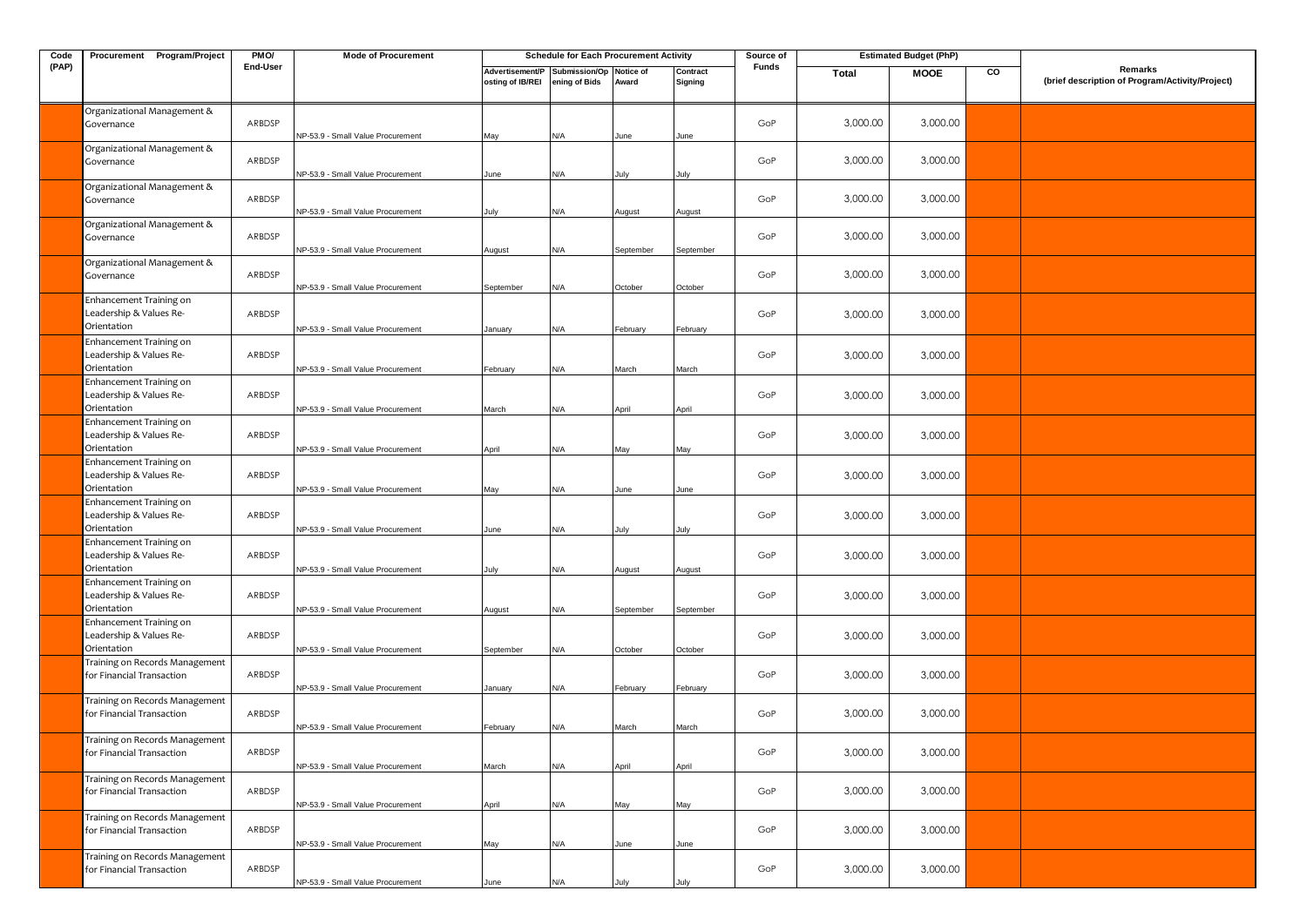| Code  | Procurement Program/Project                                       | PMO/     | <b>Mode of Procurement</b>        |                                     | <b>Schedule for Each Procurement Activity</b> |                    |                     | Source of |          | <b>Estimated Budget (PhP)</b> |    |                                                            |
|-------|-------------------------------------------------------------------|----------|-----------------------------------|-------------------------------------|-----------------------------------------------|--------------------|---------------------|-----------|----------|-------------------------------|----|------------------------------------------------------------|
| (PAP) |                                                                   | End-User |                                   | Advertisement/P<br>osting of IB/REI | Submission/Op<br>ening of Bids                | Notice of<br>Award | Contract<br>Signing | Funds     | Total    | <b>MOOE</b>                   | CO | Remarks<br>(brief description of Program/Activity/Project) |
|       | Organizational Management &<br>Governance                         | ARBDSP   | NP-53.9 - Small Value Procurement | May                                 | N/A                                           | June               | June                | GoP       | 3,000.00 | 3,000.00                      |    |                                                            |
|       | Organizational Management &<br>Governance                         | ARBDSP   | NP-53.9 - Small Value Procurement | June                                | N/A                                           | July               | July                | GoP       | 3,000.00 | 3,000.00                      |    |                                                            |
|       | Organizational Management &<br>Governance                         | ARBDSP   | NP-53.9 - Small Value Procurement | July                                | N/A                                           | August             | August              | GoP       | 3,000.00 | 3,000.00                      |    |                                                            |
|       | Organizational Management &<br>Governance                         | ARBDSP   | NP-53.9 - Small Value Procurement | August                              | N/A                                           | September          | September           | GoP       | 3,000.00 | 3,000.00                      |    |                                                            |
|       | Organizational Management &<br>Governance                         | ARBDSP   | NP-53.9 - Small Value Procurement | September                           | N/A                                           | October            | October             | GoP       | 3,000.00 | 3,000.00                      |    |                                                            |
|       | Enhancement Training on<br>Leadership & Values Re-<br>Orientation | ARBDSP   | NP-53.9 - Small Value Procurement | January                             | N/A                                           | February           | February            | GoP       | 3,000.00 | 3,000.00                      |    |                                                            |
|       | Enhancement Training on<br>Leadership & Values Re-<br>Orientation | ARBDSP   | NP-53.9 - Small Value Procurement | February                            | N/A                                           | March              | March               | GoP       | 3,000.00 | 3,000.00                      |    |                                                            |
|       | Enhancement Training on<br>Leadership & Values Re-<br>Orientation | ARBDSP   | NP-53.9 - Small Value Procurement | March                               | N/A                                           | April              | April               | GoP       | 3,000.00 | 3,000.00                      |    |                                                            |
|       | Enhancement Training on<br>Leadership & Values Re-<br>Orientation | ARBDSP   | NP-53.9 - Small Value Procurement | April                               | N/A                                           | May                | May                 | GoP       | 3,000.00 | 3,000.00                      |    |                                                            |
|       | Enhancement Training on<br>Leadership & Values Re-<br>Orientation | ARBDSP   | NP-53.9 - Small Value Procurement | May                                 | N/A                                           | June               | June                | GoP       | 3,000.00 | 3,000.00                      |    |                                                            |
|       | Enhancement Training on<br>Leadership & Values Re-<br>Orientation | ARBDSP   | NP-53.9 - Small Value Procurement | June                                | N/A                                           | July               | July                | GoP       | 3,000.00 | 3,000.00                      |    |                                                            |
|       | Enhancement Training on<br>Leadership & Values Re-<br>Orientation | ARBDSP   | NP-53.9 - Small Value Procurement | July                                | N/A                                           | August             | August              | GoP       | 3,000.00 | 3,000.00                      |    |                                                            |
|       | Enhancement Training on<br>Leadership & Values Re-<br>Orientation | ARBDSP   | NP-53.9 - Small Value Procurement | August                              | N/A                                           | September          | September           | GoP       | 3,000.00 | 3,000.00                      |    |                                                            |
|       | Enhancement Training on<br>Leadership & Values Re-<br>Orientation | ARBDSP   | NP-53.9 - Small Value Procurement | September                           | N/A                                           | October            | October             | GoP       | 3,000.00 | 3,000.00                      |    |                                                            |
|       | Training on Records Management<br>for Financial Transaction       | ARBDSP   | NP-53.9 - Small Value Procurement | January                             | N/A                                           | February           | February            | GoP       | 3,000.00 | 3,000.00                      |    |                                                            |
|       | Training on Records Management<br>for Financial Transaction       | ARBDSP   | NP-53.9 - Small Value Procurement | February                            | N/A                                           | March              | March               | GoP       | 3,000.00 | 3,000.00                      |    |                                                            |
|       | Training on Records Management<br>for Financial Transaction       | ARBDSP   | NP-53.9 - Small Value Procurement | March                               | N/A                                           | April              | April               | GoP       | 3,000.00 | 3,000.00                      |    |                                                            |
|       | Training on Records Management<br>for Financial Transaction       | ARBDSP   | NP-53.9 - Small Value Procurement | April                               | N/A                                           | May                | May                 | GoP       | 3,000.00 | 3,000.00                      |    |                                                            |
|       | Training on Records Management<br>for Financial Transaction       | ARBDSP   | NP-53.9 - Small Value Procurement | May                                 | N/A                                           | June               | June                | GoP       | 3,000.00 | 3,000.00                      |    |                                                            |
|       | Training on Records Management<br>for Financial Transaction       | ARBDSP   | NP-53.9 - Small Value Procurement | June                                | <b>V/A</b>                                    |                    |                     | GoP       | 3,000.00 | 3,000.00                      |    |                                                            |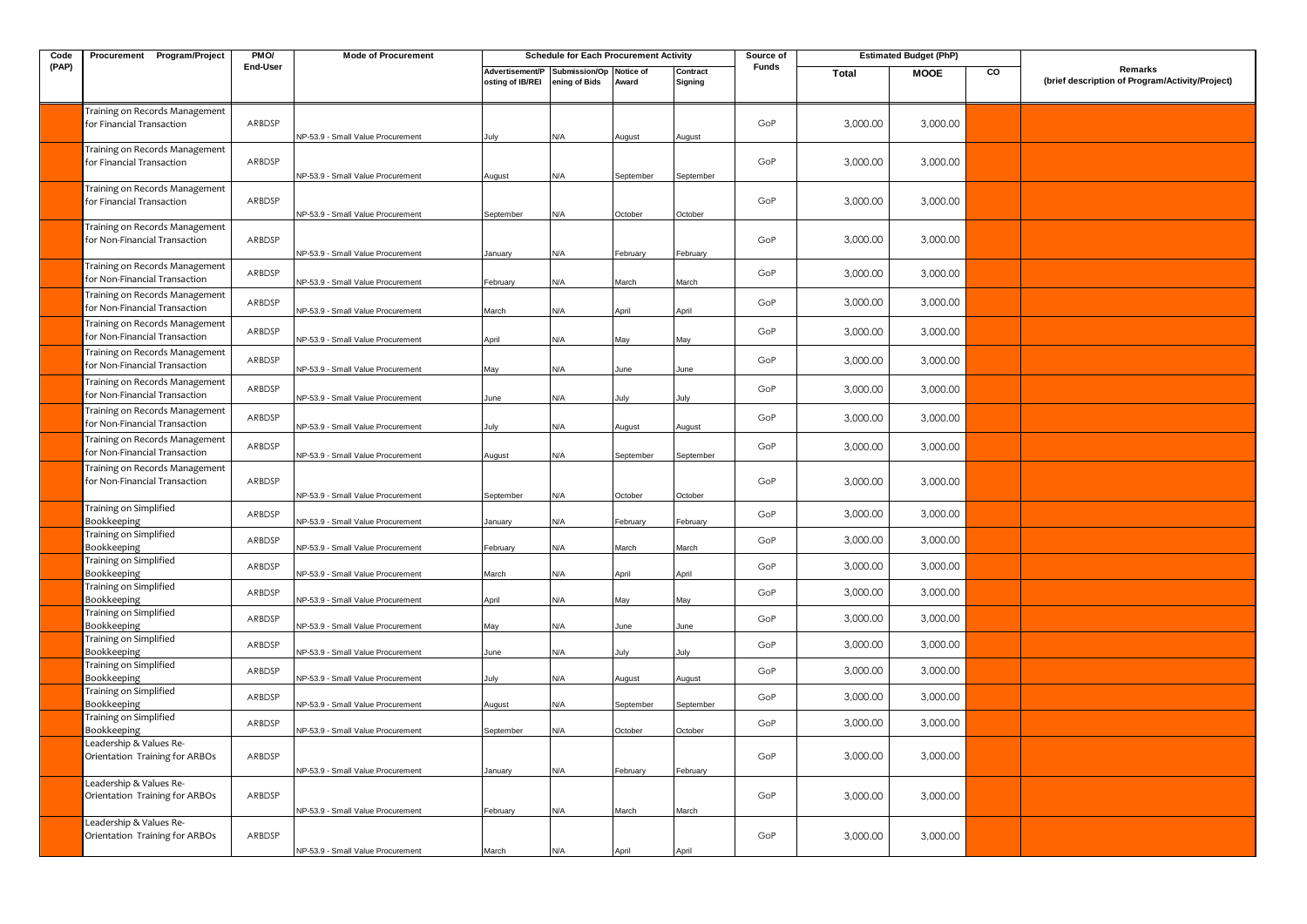| Code  | Procurement Program/Project                                     | PMO/             | <b>Mode of Procurement</b>                                             |                                                             | <b>Schedule for Each Procurement Activity</b> |                     |                     | Source of  |                      | <b>Estimated Budget (PhP)</b> |    |                                                            |
|-------|-----------------------------------------------------------------|------------------|------------------------------------------------------------------------|-------------------------------------------------------------|-----------------------------------------------|---------------------|---------------------|------------|----------------------|-------------------------------|----|------------------------------------------------------------|
| (PAP) |                                                                 | <b>End-User</b>  |                                                                        | Advertisement/P Submission/Op Notice of<br>osting of IB/REI | ening of Bids                                 | Award               | Contract<br>Signing | Funds      | Total                | <b>MOOE</b>                   | CO | Remarks<br>(brief description of Program/Activity/Project) |
|       | Training on Records Management<br>for Financial Transaction     | ARBDSP           | NP-53.9 - Small Value Procurement                                      |                                                             | ۷/A                                           | lugust              | August              | GoP        | 3,000.00             | 3,000.00                      |    |                                                            |
|       | Training on Records Management<br>for Financial Transaction     | ARBDSP           | NP-53.9 - Small Value Procurement                                      | August                                                      | N/A                                           | September           | September           | GoP        | 3,000.00             | 3,000.00                      |    |                                                            |
|       | Training on Records Management<br>for Financial Transaction     | ARBDSP           | NP-53.9 - Small Value Procurement                                      | September                                                   | N/A                                           | October             | October             | GoP        | 3,000.00             | 3,000.00                      |    |                                                            |
|       | Training on Records Management<br>for Non-Financial Transaction | ARBDSP           | NP-53.9 - Small Value Procurement                                      | January                                                     | N/A                                           | February            | February            | GoP        | 3,000.00             | 3,000.00                      |    |                                                            |
|       | Training on Records Management<br>for Non-Financial Transaction | ARBDSP           | NP-53.9 - Small Value Procurement                                      | February                                                    | N/A                                           | March               | March               | GoP        | 3,000.00             | 3,000.00                      |    |                                                            |
|       | Training on Records Management<br>for Non-Financial Transaction | ARBDSP           | NP-53.9 - Small Value Procurement                                      | Aarch                                                       | N/A                                           | April               | April               | GoP        | 3,000.00             | 3,000.00                      |    |                                                            |
|       | Training on Records Management<br>for Non-Financial Transaction | ARBDSP           | NP-53.9 - Small Value Procurement                                      | April                                                       | N/A                                           | May                 | Mav                 | GoP        | 3,000.00             | 3,000.00                      |    |                                                            |
|       | Training on Records Management<br>for Non-Financial Transaction | ARBDSP           | NP-53.9 - Small Value Procurement                                      | May                                                         | ۷/A                                           | June                | June                | GoP        | 3,000.00             | 3,000.00                      |    |                                                            |
|       | Training on Records Management<br>for Non-Financial Transaction | ARBDSP           | NP-53.9 - Small Value Procurement                                      | June                                                        | N/A                                           | July                | Julv                | GoP        | 3,000.00             | 3,000.00                      |    |                                                            |
|       | Training on Records Management<br>for Non-Financial Transaction | ARBDSP           | NP-53.9 - Small Value Procurement                                      | July                                                        | N/A                                           | August              | August              | GoP        | 3,000.00             | 3,000.00                      |    |                                                            |
|       | Training on Records Management<br>for Non-Financial Transaction | ARBDSP           | NP-53.9 - Small Value Procurement                                      | August                                                      | N/A                                           | September           | September           | GoP        | 3,000.00             | 3,000.00                      |    |                                                            |
|       | Training on Records Management<br>for Non-Financial Transaction | ARBDSP           | NP-53.9 - Small Value Procurement                                      | September                                                   | N/A                                           | October             | October             | GoP        | 3,000.00             | 3,000.00                      |    |                                                            |
|       | Training on Simplified<br>Bookkeeping                           | ARBDSP           | NP-53.9 - Small Value Procurement                                      | January                                                     | N/A                                           | February            | February            | GoP        | 3,000.00             | 3,000.00                      |    |                                                            |
|       | Training on Simplified<br>Bookkeeping<br>Training on Simplified | ARBDSP           | NP-53.9 - Small Value Procurement                                      | February                                                    | N/A                                           | March               | March               | GoP        | 3,000.00             | 3,000.00                      |    |                                                            |
|       | <b>Bookkeeping</b><br>Training on Simplified                    | ARBDSP           | NP-53.9 - Small Value Procurement                                      | March                                                       | <b>N/A</b>                                    | April               | April               | GoP        | 3,000.00             | 3,000.00                      |    |                                                            |
|       | Bookkeeping<br>Training on Simplified                           | ARBDSP           | NP-53.9 - Small Value Procurement                                      | April                                                       | N/A                                           | May                 | Mav                 | GoP<br>GoP | 3,000.00<br>3,000.00 | 3,000.00<br>3,000.00          |    |                                                            |
|       | Bookkeeping<br>Training on Simplified                           | ARBDSP<br>ARBDSP | NP-53.9 - Small Value Procurement                                      | May                                                         | N/A                                           | June                | June                | GoP        | 3,000.00             | 3,000.00                      |    |                                                            |
|       | Bookkeeping<br>Training on Simplified                           | ARBDSP           | NP-53.9 - Small Value Procurement                                      | June                                                        | N/A                                           | July                | July                | GoP        | 3,000.00             | 3,000.00                      |    |                                                            |
|       | Bookkeeping<br>Training on Simplified<br>Bookkeeping            | ARBDSP           | NP-53.9 - Small Value Procurement<br>NP-53.9 - Small Value Procurement | July<br>August                                              | N/A<br>N/A                                    | August<br>September | August<br>September | GoP        | 3,000.00             | 3,000.00                      |    |                                                            |
|       | Training on Simplified<br>Bookkeeping                           | ARBDSP           | NP-53.9 - Small Value Procurement                                      | September                                                   | N/A                                           | October             | October             | GoP        | 3,000.00             | 3,000.00                      |    |                                                            |
|       | Leadership & Values Re-<br>Orientation Training for ARBOs       | ARBDSP           | NP-53.9 - Small Value Procurement                                      | January                                                     | N/A                                           | February            | February            | GoP        | 3,000.00             | 3,000.00                      |    |                                                            |
|       | Leadership & Values Re-<br>Orientation Training for ARBOs       | ARBDSP           | NP-53.9 - Small Value Procurement                                      | February                                                    | ۷/A                                           | Aarch               | March               | GoP        | 3,000.00             | 3,000.00                      |    |                                                            |
|       | Leadership & Values Re-<br>Orientation Training for ARBOs       | ARBDSP           | NP-53.9 - Small Value Procurement                                      | March                                                       | N/A                                           | April               | April               | GoP        | 3,000.00             | 3,000.00                      |    |                                                            |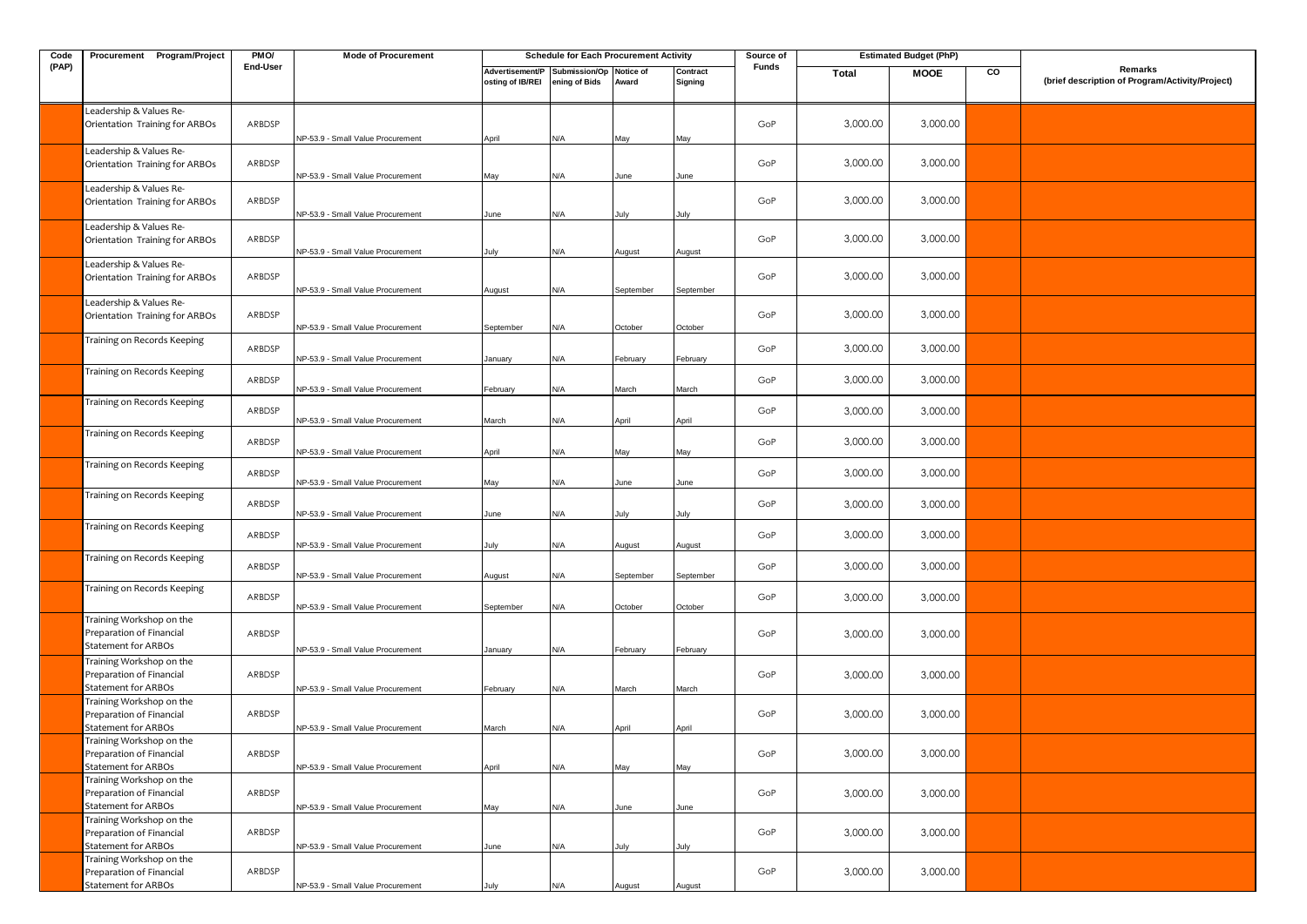| Code  | Procurement Program/Project                                                        | PMO/     | <b>Mode of Procurement</b>        |                                     | <b>Schedule for Each Procurement Activity</b> |                    |                     | Source of |              | <b>Estimated Budget (PhP)</b> |    |                                                            |
|-------|------------------------------------------------------------------------------------|----------|-----------------------------------|-------------------------------------|-----------------------------------------------|--------------------|---------------------|-----------|--------------|-------------------------------|----|------------------------------------------------------------|
| (PAP) |                                                                                    | End-User |                                   | Advertisement/P<br>osting of IB/REI | Submission/Op<br>ening of Bids                | Notice of<br>Award | Contract<br>Signing | Funds     | <b>Total</b> | <b>MOOE</b>                   | CO | Remarks<br>(brief description of Program/Activity/Project) |
|       | Leadership & Values Re-<br>Orientation Training for ARBOs                          | ARBDSP   | NP-53.9 - Small Value Procurement | April                               | N/A                                           | May                | May                 | GoP       | 3,000.00     | 3,000.00                      |    |                                                            |
|       | Leadership & Values Re-<br>Orientation Training for ARBOs                          | ARBDSP   | NP-53.9 - Small Value Procurement | May                                 | N/A                                           | June               | June                | GoP       | 3,000.00     | 3,000.00                      |    |                                                            |
|       | Leadership & Values Re-<br>Orientation Training for ARBOs                          | ARBDSP   | NP-53.9 - Small Value Procurement | June                                | N/A                                           | July               | July                | GoP       | 3,000.00     | 3,000.00                      |    |                                                            |
|       | Leadership & Values Re-<br>Orientation Training for ARBOs                          | ARBDSP   | NP-53.9 - Small Value Procurement | July                                | N/A                                           | August             | August              | GoP       | 3,000.00     | 3,000.00                      |    |                                                            |
|       | Leadership & Values Re-<br>Orientation Training for ARBOs                          | ARBDSP   | NP-53.9 - Small Value Procurement | August                              | N/A                                           | September          | September           | GoP       | 3,000.00     | 3,000.00                      |    |                                                            |
|       | Leadership & Values Re-<br>Orientation Training for ARBOs                          | ARBDSP   | NP-53.9 - Small Value Procurement | September                           | N/A                                           | October            | October             | GoP       | 3,000.00     | 3,000.00                      |    |                                                            |
|       | Training on Records Keeping                                                        | ARBDSP   | NP-53.9 - Small Value Procurement | January                             | N/A                                           | February           | February            | GoP       | 3,000.00     | 3,000.00                      |    |                                                            |
|       | Training on Records Keeping                                                        | ARBDSP   | NP-53.9 - Small Value Procurement | February                            | N/A                                           | March              | March               | GoP       | 3,000.00     | 3,000.00                      |    |                                                            |
|       | Training on Records Keeping                                                        | ARBDSP   | NP-53.9 - Small Value Procurement | March                               | N/A                                           | April              | April               | GoP       | 3,000.00     | 3,000.00                      |    |                                                            |
|       | Training on Records Keeping                                                        | ARBDSP   | VP-53.9 - Small Value Procurement | April                               | N/A                                           | May                | May                 | GoP       | 3,000.00     | 3,000.00                      |    |                                                            |
|       | Training on Records Keeping                                                        | ARBDSP   | NP-53.9 - Small Value Procurement | May                                 | N/A                                           | June               | June                | GoP       | 3,000.00     | 3,000.00                      |    |                                                            |
|       | Training on Records Keeping                                                        | ARBDSP   | NP-53.9 - Small Value Procurement | June                                | N/A                                           | ulv                | July                | GoP       | 3,000.00     | 3,000.00                      |    |                                                            |
|       | Training on Records Keeping                                                        | ARBDSP   | NP-53.9 - Small Value Procurement | July                                | N/A                                           | August             | August              | GoP       | 3,000.00     | 3,000.00                      |    |                                                            |
|       | Training on Records Keeping                                                        | ARBDSP   | NP-53.9 - Small Value Procurement | August                              | N/A                                           | September          | September           | GoP       | 3,000.00     | 3,000.00                      |    |                                                            |
|       | Training on Records Keeping                                                        | ARBDSP   | NP-53.9 - Small Value Procurement | September                           | N/A                                           | October            | October             | GoP       | 3,000.00     | 3,000.00                      |    |                                                            |
|       | Training Workshop on the<br>Preparation of Financial<br>Statement for ARBOs        | ARBDSP   | NP-53.9 - Small Value Procurement | January                             | N/A                                           | February           | February            | GoP       | 3,000.00     | 3,000.00                      |    |                                                            |
|       | Training Workshop on the<br>Preparation of Financial<br>Statement for ARBOs        | ARBDSP   | NP-53.9 - Small Value Procurement | February                            | N/A                                           | March              | March               | GoP       | 3,000.00     | 3,000.00                      |    |                                                            |
|       | Training Workshop on the<br>Preparation of Financial<br>Statement for ARBOs        | ARBDSP   | NP-53.9 - Small Value Procurement | March                               | N/A                                           | April              | April               | GoP       | 3,000.00     | 3,000.00                      |    |                                                            |
|       | Training Workshop on the<br>Preparation of Financial<br>Statement for ARBOs        | ARBDSP   | NP-53.9 - Small Value Procurement | April                               | N/A                                           | May                | May                 | GoP       | 3,000.00     | 3,000.00                      |    |                                                            |
|       | Training Workshop on the<br>Preparation of Financial<br><b>Statement for ARBOs</b> | ARBDSP   | NP-53.9 - Small Value Procurement | May                                 | N/A                                           | June               | June                | GoP       | 3,000.00     | 3,000.00                      |    |                                                            |
|       | Training Workshop on the<br>Preparation of Financial<br><b>Statement for ARBOs</b> | ARBDSP   | NP-53.9 - Small Value Procurement | June                                | N/A                                           | July               | July                | GoP       | 3,000.00     | 3,000.00                      |    |                                                            |
|       | Training Workshop on the<br>Preparation of Financial<br>Statement for ARBOs        | ARBDSP   | NP-53.9 - Small Value Procurement | July                                | N/A                                           | August             | August              | GoP       | 3,000.00     | 3,000.00                      |    |                                                            |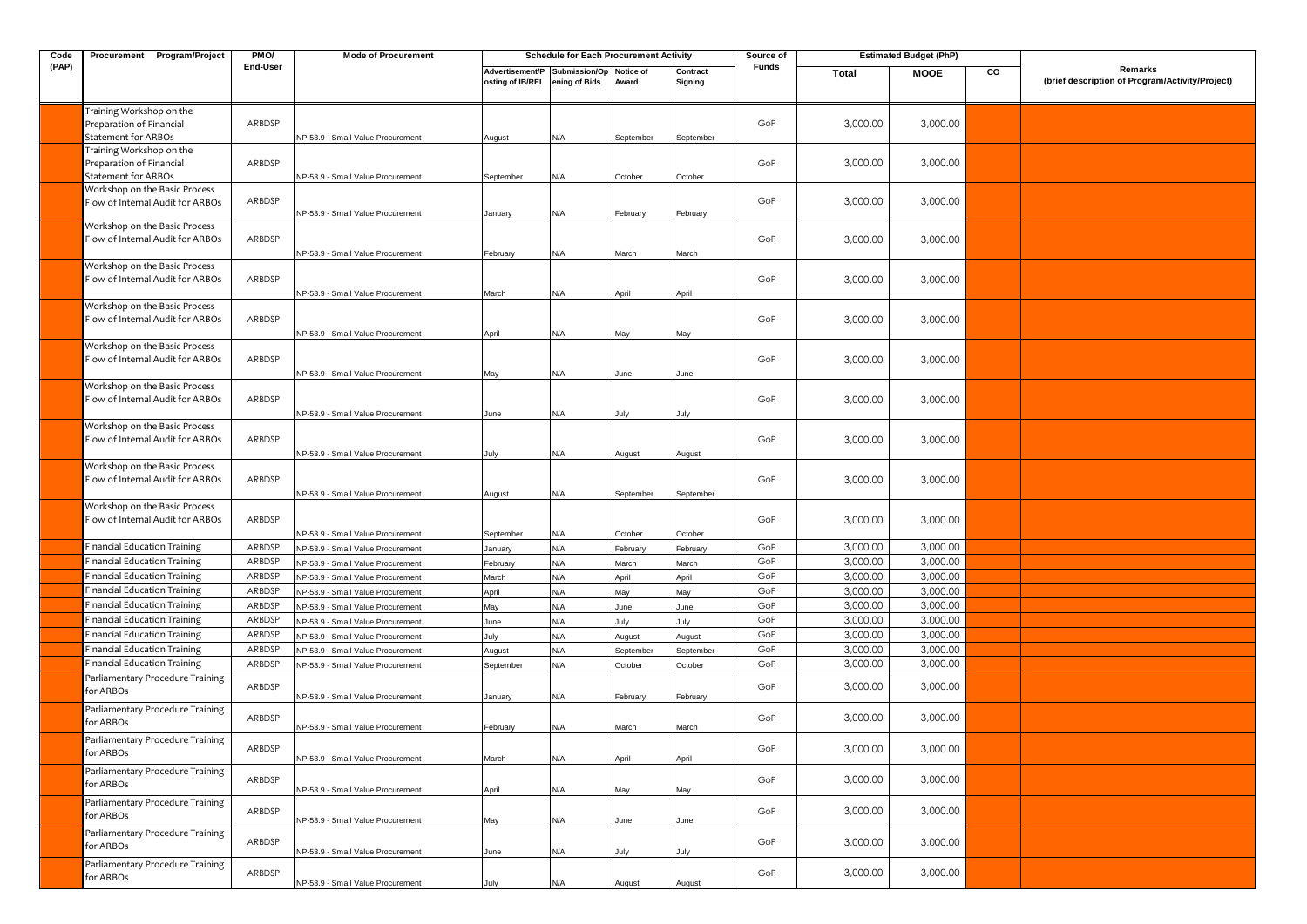| Code  | Procurement Program/Project                                                        | PMO/     | <b>Mode of Procurement</b>                                             |                                     | <b>Schedule for Each Procurement Activity</b> |                |                     | Source of |          | <b>Estimated Budget (PhP)</b> |    |                                                            |
|-------|------------------------------------------------------------------------------------|----------|------------------------------------------------------------------------|-------------------------------------|-----------------------------------------------|----------------|---------------------|-----------|----------|-------------------------------|----|------------------------------------------------------------|
| (PAP) |                                                                                    | End-User |                                                                        | Advertisement/P<br>osting of IB/REI | Submission/Op Notice of<br>ening of Bids      | Award          | Contract<br>Signing | Funds     | Total    | <b>MOOE</b>                   | CO | Remarks<br>(brief description of Program/Activity/Project) |
|       | Training Workshop on the<br>Preparation of Financial<br><b>Statement for ARBOs</b> | ARBDSP   | NP-53.9 - Small Value Procurement                                      | August                              | N/A                                           | September      | September           | GoP       | 3,000.00 | 3,000.00                      |    |                                                            |
|       | Training Workshop on the<br>Preparation of Financial                               | ARBDSP   |                                                                        |                                     |                                               |                |                     | GoP       | 3,000.00 | 3,000.00                      |    |                                                            |
|       | <b>Statement for ARBOs</b><br>Workshop on the Basic Process                        |          | NP-53.9 - Small Value Procurement                                      | September                           | N/A                                           | October        | October             |           |          |                               |    |                                                            |
|       | Flow of Internal Audit for ARBOs                                                   | ARBDSP   | NP-53.9 - Small Value Procurement                                      | January                             | N/A                                           | February       | February            | GoP       | 3,000.00 | 3,000.00                      |    |                                                            |
|       | Workshop on the Basic Process<br>Flow of Internal Audit for ARBOs                  | ARBDSP   | NP-53.9 - Small Value Procurement                                      | February                            | N/A                                           | March          | March               | GoP       | 3,000.00 | 3,000.00                      |    |                                                            |
|       | Workshop on the Basic Process<br>Flow of Internal Audit for ARBOs                  | ARBDSP   | VP-53.9 - Small Value Procurement                                      | March                               | N/A                                           | April          | April               | GoP       | 3,000.00 | 3,000.00                      |    |                                                            |
|       | Workshop on the Basic Process<br>Flow of Internal Audit for ARBOs                  | ARBDSP   | NP-53.9 - Small Value Procurement                                      | April                               | N/A                                           | May            | May                 | GoP       | 3,000.00 | 3,000.00                      |    |                                                            |
|       | Workshop on the Basic Process<br>Flow of Internal Audit for ARBOs                  | ARBDSP   | NP-53.9 - Small Value Procurement                                      | May                                 | N/A                                           | June           | June                | GoP       | 3,000.00 | 3,000.00                      |    |                                                            |
|       | Workshop on the Basic Process<br>Flow of Internal Audit for ARBOs                  | ARBDSP   |                                                                        |                                     |                                               |                |                     | GoP       | 3,000.00 | 3,000.00                      |    |                                                            |
|       | Workshop on the Basic Process<br>Flow of Internal Audit for ARBOs                  | ARBDSP   | NP-53.9 - Small Value Procurement<br>NP-53.9 - Small Value Procurement | June<br>July                        | N/A<br>N/A                                    | July<br>August | July<br>August      | GoP       | 3,000.00 | 3,000.00                      |    |                                                            |
|       | Workshop on the Basic Process<br>Flow of Internal Audit for ARBOs                  | ARBDSP   | NP-53.9 - Small Value Procurement                                      | August                              | N/A                                           | September      | September           | GoP       | 3,000.00 | 3,000.00                      |    |                                                            |
|       | Workshop on the Basic Process<br>Flow of Internal Audit for ARBOs                  | ARBDSP   | VP-53.9 - Small Value Procurement                                      | September                           | N/A                                           | October        | October             | GoP       | 3,000.00 | 3,000.00                      |    |                                                            |
|       | <b>Financial Education Training</b>                                                | ARBDSP   | NP-53.9 - Small Value Procurement                                      | January                             | N/A                                           | February       | February            | GoP       | 3,000.00 | 3,000.00                      |    |                                                            |
|       | <b>Financial Education Training</b>                                                | ARBDSP   | VP-53.9 - Small Value Procurement                                      | February                            | N/A                                           | March          | March               | GoP       | 3,000.00 | 3,000.00                      |    |                                                            |
|       | <b>Financial Education Training</b>                                                | ARBDSP   | NP-53.9 - Small Value Procurement                                      | March                               | N/A                                           | April          | April               | GoP       | 3,000.00 | 3,000.00                      |    |                                                            |
|       | <b>Financial Education Training</b>                                                | ARBDSP   | NP-53.9 - Small Value Procurement                                      | April                               | N/A                                           | May            | May                 | GoP       | 3,000.00 | 3,000.00                      |    |                                                            |
|       | <b>Financial Education Training</b>                                                | ARBDSP   | VP-53.9 - Small Value Procurement                                      | May                                 | N/A                                           | June           | June                | GoP       | 3,000.00 | 3,000.00                      |    |                                                            |
|       | <b>Financial Education Training</b>                                                | ARBDSP   | NP-53.9 - Small Value Procurement                                      | June                                | N/A                                           | July           | July                | GoP       | 3,000.00 | 3,000.00                      |    |                                                            |
|       | <b>Financial Education Training</b>                                                | ARBDSP   | VP-53.9 - Small Value Procurement                                      | July                                | N/A                                           | August         | August              | GoP       | 3,000.00 | 3,000.00                      |    |                                                            |
|       | <b>Financial Education Training</b>                                                | ARBDSP   | NP-53.9 - Small Value Procurement                                      | August                              | N/A                                           | September      | September           | GoP       | 3,000.00 | 3,000.00                      |    |                                                            |
|       | <b>Financial Education Training</b>                                                | ARBDSP   | VP-53.9 - Small Value Procurement                                      | September                           | N/A                                           | October        | October             | GoP       | 3,000.00 | 3,000.00                      |    |                                                            |
|       | Parliamentary Procedure Training<br>for ARBOs                                      | ARBDSP   | NP-53.9 - Small Value Procurement                                      | January                             | N/A                                           | February       | February            | GoP       | 3,000.00 | 3,000.00                      |    |                                                            |
|       | Parliamentary Procedure Training<br>for ARBOs                                      | ARBDSP   | NP-53.9 - Small Value Procurement                                      | February                            | N/A                                           | March          | March               | GoP       | 3,000.00 | 3,000.00                      |    |                                                            |
|       | Parliamentary Procedure Training<br>for ARBOs                                      | ARBDSP   | NP-53.9 - Small Value Procurement                                      | March                               | N/A                                           | April          | April               | GoP       | 3,000.00 | 3,000.00                      |    |                                                            |
|       | Parliamentary Procedure Training<br>for ARBOs                                      | ARBDSP   | NP-53.9 - Small Value Procurement                                      | April                               | N/A                                           | May            | May                 | GoP       | 3,000.00 | 3,000.00                      |    |                                                            |
|       | Parliamentary Procedure Training<br>for ARBOs                                      | ARBDSP   | NP-53.9 - Small Value Procurement                                      | May                                 | N/A                                           | June           | June                | GoP       | 3,000.00 | 3,000.00                      |    |                                                            |
|       | Parliamentary Procedure Training<br>for ARBOs                                      | ARBDSP   | NP-53.9 - Small Value Procurement                                      | June                                | N/A                                           | July           | July                | GoP       | 3,000.00 | 3,000.00                      |    |                                                            |
|       | Parliamentary Procedure Training<br>for ARBOs                                      | ARBDSP   | NP-53.9 - Small Value Procurement                                      | July                                | N/A                                           | August         | August              | GoP       | 3,000.00 | 3,000.00                      |    |                                                            |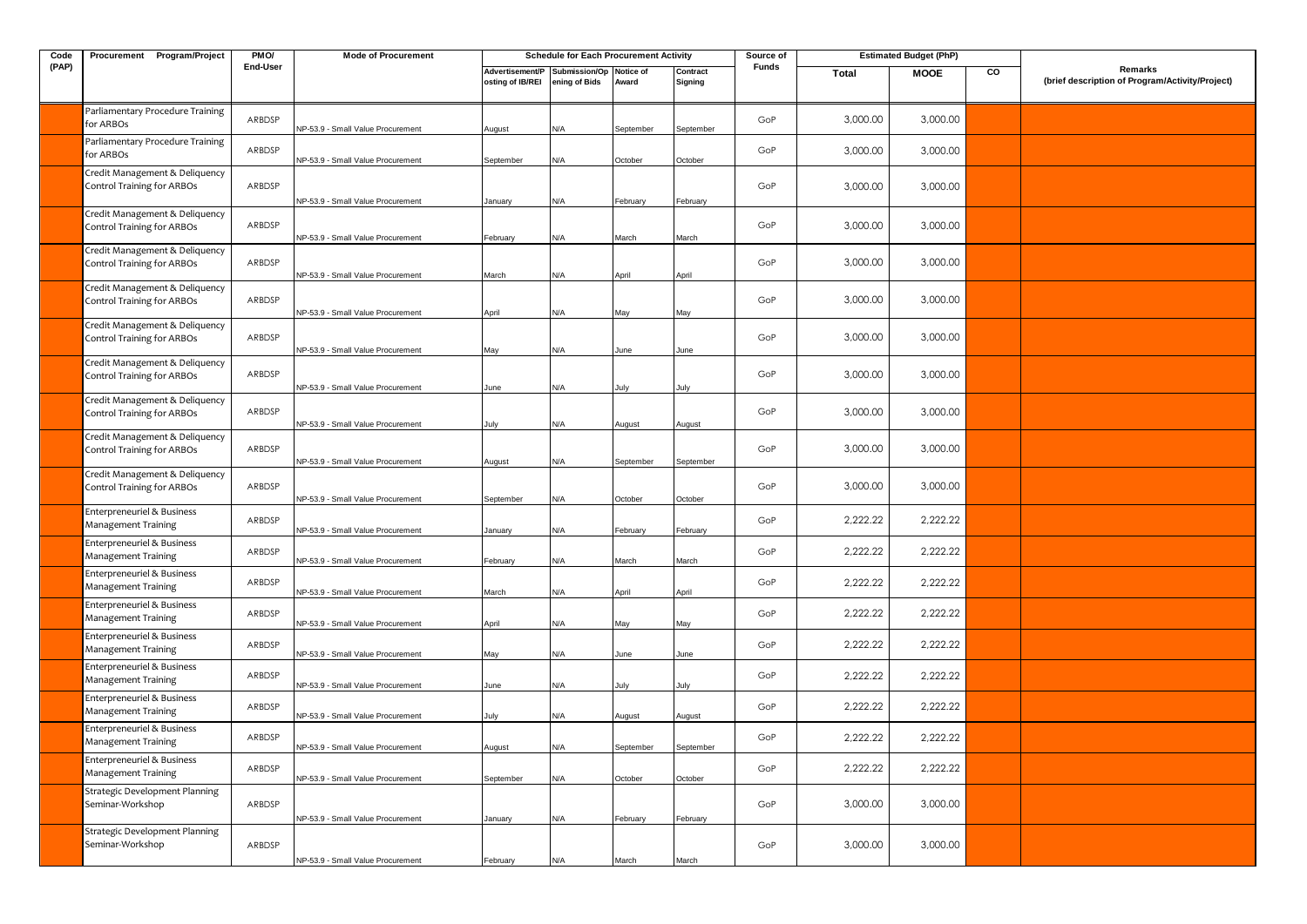| Code  | Procurement Program/Project                                                     | PMO/     | <b>Mode of Procurement</b>        |                                     | <b>Schedule for Each Procurement Activity</b> |              |                     | Source of    |              | <b>Estimated Budget (PhP)</b> |    |                                                            |
|-------|---------------------------------------------------------------------------------|----------|-----------------------------------|-------------------------------------|-----------------------------------------------|--------------|---------------------|--------------|--------------|-------------------------------|----|------------------------------------------------------------|
| (PAP) |                                                                                 | End-User |                                   | Advertisement/P<br>osting of IB/REI | Submission/Op Notice of<br>ening of Bids      | Award        | Contract<br>Signing | <b>Funds</b> | <b>Total</b> | <b>MOOE</b>                   | CO | Remarks<br>(brief description of Program/Activity/Project) |
|       | Parliamentary Procedure Training<br>for ARBOs                                   | ARBDSP   | NP-53.9 - Small Value Procurement | August                              | N/A                                           | September    | September           | GoP          | 3,000.00     | 3,000.00                      |    |                                                            |
|       | Parliamentary Procedure Training<br>for ARBOs                                   | ARBDSP   | NP-53.9 - Small Value Procurement | September                           | N/A                                           | October      | October             | GoP          | 3,000.00     | 3,000.00                      |    |                                                            |
|       | Credit Management & Deliquency<br><b>Control Training for ARBOs</b>             | ARBDSP   | NP-53.9 - Small Value Procurement | January                             | N/A                                           | February     | February            | GoP          | 3,000.00     | 3,000.00                      |    |                                                            |
|       | Credit Management & Deliquency<br><b>Control Training for ARBOs</b>             | ARBDSP   | VP-53.9 - Small Value Procurement | February                            | N/A                                           | March        | March               | GoP          | 3,000.00     | 3,000.00                      |    |                                                            |
|       | Credit Management & Deliquency<br><b>Control Training for ARBOs</b>             | ARBDSP   | VP-53.9 - Small Value Procurement | March                               | N/A                                           | April        | April               | GoP          | 3,000.00     | 3,000.00                      |    |                                                            |
|       | Credit Management & Deliquency<br><b>Control Training for ARBOs</b>             | ARBDSP   | NP-53.9 - Small Value Procurement | April                               | N/A                                           | May          | May                 | GoP          | 3,000.00     | 3,000.00                      |    |                                                            |
|       | Credit Management & Deliquency<br><b>Control Training for ARBOs</b>             | ARBDSP   | VP-53.9 - Small Value Procurement | May                                 | N/A                                           |              | June                | GoP          | 3,000.00     | 3,000.00                      |    |                                                            |
|       | Credit Management & Deliquency<br><b>Control Training for ARBOs</b>             | ARBDSP   | VP-53.9 - Small Value Procurement | June                                | N/A                                           | June<br>July | July                | GoP          | 3,000.00     | 3,000.00                      |    |                                                            |
|       | Credit Management & Deliquency<br><b>Control Training for ARBOs</b>             | ARBDSP   | VP-53.9 - Small Value Procurement | July                                | N/A                                           | August       | August              | GoP          | 3,000.00     | 3,000.00                      |    |                                                            |
|       | Credit Management & Deliquency<br><b>Control Training for ARBOs</b>             | ARBDSP   | VP-53.9 - Small Value Procurement | August                              | N/A                                           | September    | September           | GoP          | 3,000.00     | 3,000.00                      |    |                                                            |
|       | Credit Management & Deliquency<br><b>Control Training for ARBOs</b>             | ARBDSP   | VP-53.9 - Small Value Procurement | September                           | N/A                                           | October      | October             | GoP          | 3,000.00     | 3,000.00                      |    |                                                            |
|       | Enterpreneuriel & Business<br>Management Training                               | ARBDSP   | NP-53.9 - Small Value Procurement | January                             | N/A                                           | February     | February            | GoP          | 2,222.22     | 2,222.22                      |    |                                                            |
|       | Enterpreneuriel & Business<br>Management Training                               | ARBDSP   | VP-53.9 - Small Value Procurement | February                            | N/A                                           | March        | March               | GoP          | 2,222.22     | 2,222.22                      |    |                                                            |
|       | Enterpreneuriel & Business<br>Management Training                               | ARBDSP   | VP-53.9 - Small Value Procurement | March                               | N/A                                           | April        | April               | GoP          | 2,222.22     | 2,222.22                      |    |                                                            |
|       | Enterpreneuriel & Business<br>Management Training                               | ARBDSP   | NP-53.9 - Small Value Procurement | April                               | N/A                                           | May          | May                 | GoP          | 2,222.22     | 2,222.22                      |    |                                                            |
|       | Enterpreneuriel & Business<br>Management Training<br>Enterpreneuriel & Business | ARBDSP   | NP-53.9 - Small Value Procurement | May                                 | N/A                                           | June         | June                | GoP          | 2,222.22     | 2,222.22                      |    |                                                            |
|       | Management Training<br>Enterpreneuriel & Business                               | ARBDSP   | VP-53.9 - Small Value Procurement | June                                | N/A                                           | July         | July                | GoP          | 2,222.22     | 2,222.22                      |    |                                                            |
|       | Management Training<br>Enterpreneuriel & Business                               | ARBDSP   | NP-53.9 - Small Value Procurement | July                                | N/A                                           | August       | August              | GoP          | 2,222.22     | 2,222.22                      |    |                                                            |
|       | Management Training<br>Enterpreneuriel & Business                               | ARBDSP   | VP-53.9 - Small Value Procurement | August                              | N/A                                           | September    | September           | GoP          | 2,222.22     | 2,222.22                      |    |                                                            |
|       | <b>Management Training</b><br>Strategic Development Planning                    | ARBDSP   | VP-53.9 - Small Value Procurement | September                           | N/A                                           | October      | October             | GoP          | 2,222.22     | 2,222.22                      |    |                                                            |
|       | Seminar-Workshop<br><b>Strategic Development Planning</b>                       | ARBDSP   | NP-53.9 - Small Value Procurement | January                             | N/A                                           | February     | February            | GoP          | 3,000.00     | 3,000.00                      |    |                                                            |
|       | Seminar-Workshop                                                                | ARBDSP   | NP-53.9 - Small Value Procurement | February                            | N/A                                           | March        | March               | GoP          | 3,000.00     | 3,000.00                      |    |                                                            |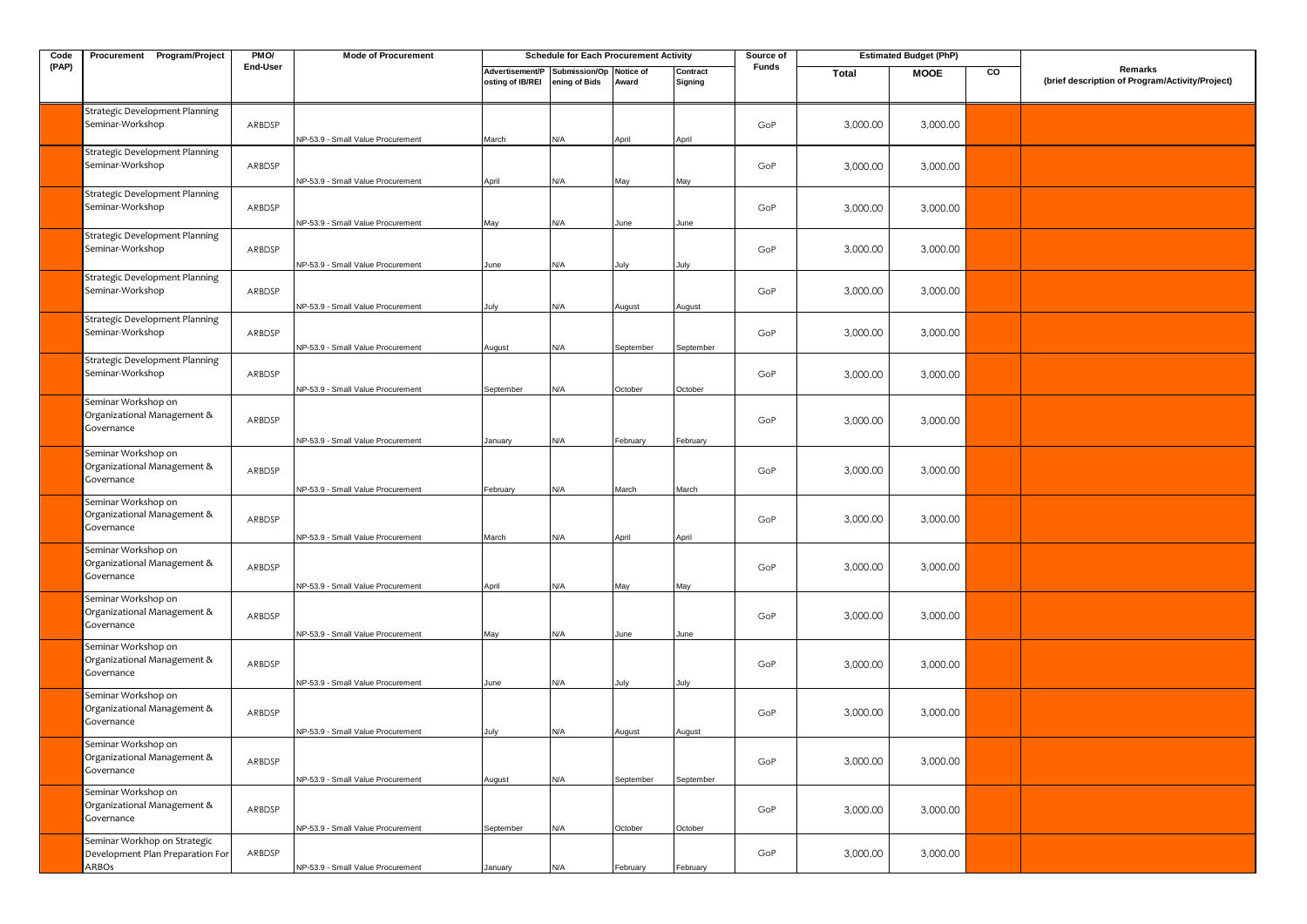| Code  | Procurement Program/Project                                               | PMO/     | <b>Mode of Procurement</b>                                             |                                     | <b>Schedule for Each Procurement Activity</b> |                     |                     | Source of    |          | <b>Estimated Budget (PhP)</b> |    |                                                            |
|-------|---------------------------------------------------------------------------|----------|------------------------------------------------------------------------|-------------------------------------|-----------------------------------------------|---------------------|---------------------|--------------|----------|-------------------------------|----|------------------------------------------------------------|
| (PAP) |                                                                           | End-User |                                                                        | Advertisement/P<br>osting of IB/REI | Submission/Op<br>ening of Bids                | Notice of<br>Award  | Contract<br>Signing | <b>Funds</b> | Total    | <b>MOOE</b>                   | CO | Remarks<br>(brief description of Program/Activity/Project) |
|       | Strategic Development Planning<br>Seminar-Workshop                        | ARBDSP   | NP-53.9 - Small Value Procurement                                      | March                               | N/A                                           | April               | April               | GoP          | 3,000.00 | 3,000.00                      |    |                                                            |
|       | Strategic Development Planning<br>Seminar-Workshop                        | ARBDSP   | NP-53.9 - Small Value Procurement                                      | April                               | N/A                                           | May                 | May                 | GoP          | 3,000.00 | 3,000.00                      |    |                                                            |
|       | Strategic Development Planning<br>Seminar-Workshop                        | ARBDSP   | NP-53.9 - Small Value Procurement                                      | May                                 | N/A                                           | June                | June                | GoP          | 3,000.00 | 3,000.00                      |    |                                                            |
|       | Strategic Development Planning<br>Seminar-Workshop                        | ARBDSP   | NP-53.9 - Small Value Procurement                                      | June                                | N/A                                           | July                | July                | GoP          | 3,000.00 | 3,000.00                      |    |                                                            |
|       | Strategic Development Planning<br>Seminar-Workshop                        | ARBDSP   | NP-53.9 - Small Value Procurement                                      | July                                | N/A                                           | August              | August              | GoP          | 3,000.00 | 3,000.00                      |    |                                                            |
|       | Strategic Development Planning<br>Seminar-Workshop                        | ARBDSP   | NP-53.9 - Small Value Procurement                                      | August                              | N/A                                           | September           | September           | GoP          | 3,000.00 | 3,000.00                      |    |                                                            |
|       | <b>Strategic Development Planning</b><br>Seminar-Workshop                 | ARBDSP   | NP-53.9 - Small Value Procurement                                      | September                           | N/A                                           | October             | October             | GoP          | 3,000.00 | 3,000.00                      |    |                                                            |
|       | Seminar Workshop on<br>Organizational Management &<br>Governance          | ARBDSP   |                                                                        |                                     |                                               |                     |                     | GoP          | 3,000.00 | 3,000.00                      |    |                                                            |
|       | Seminar Workshop on<br>Organizational Management &<br>Governance          | ARBDSP   | NP-53.9 - Small Value Procurement                                      | January                             | N/A                                           | February            | February            | GoP          | 3,000.00 | 3,000.00                      |    |                                                            |
|       | Seminar Workshop on<br>Organizational Management &<br>Governance          | ARBDSP   | NP-53.9 - Small Value Procurement                                      | February                            | N/A                                           | March               | March               | GoP          | 3,000.00 | 3,000.00                      |    |                                                            |
|       | Seminar Workshop on<br>Organizational Management &<br>Governance          | ARBDSP   | NP-53.9 - Small Value Procurement                                      | March                               | N/A                                           | April               | April               | GoP          | 3,000.00 | 3,000.00                      |    |                                                            |
|       | Seminar Workshop on<br>Organizational Management &<br>Governance          | ARBDSP   | NP-53.9 - Small Value Procurement                                      | April                               | N/A                                           | May                 | May                 | GoP          | 3,000.00 | 3,000.00                      |    |                                                            |
|       | Seminar Workshop on<br>Organizational Management &<br>Governance          | ARBDSP   | NP-53.9 - Small Value Procurement<br>NP-53.9 - Small Value Procurement | May<br>June                         | N/A<br>N/A                                    | June<br>July        | June<br>July        | GoP          | 3,000.00 | 3,000.00                      |    |                                                            |
|       | Seminar Workshop on<br>Organizational Management &<br>Governance          | ARBDSP   | NP-53.9 - Small Value Procurement                                      |                                     | N/A                                           |                     |                     | GoP          | 3,000.00 | 3,000.00                      |    |                                                            |
|       | Seminar Workshop on<br>Organizational Management &<br>Governance          | ARBDSP   | NP-53.9 - Small Value Procurement                                      | July<br>August                      | N/A                                           | August<br>September | August<br>September | GoP          | 3,000.00 | 3,000.00                      |    |                                                            |
|       | Seminar Workshop on<br>Organizational Management &<br>Governance          | ARBDSP   | NP-53.9 - Small Value Procurement                                      | September                           | N/A                                           | October             |                     | GoP          | 3,000.00 | 3,000.00                      |    |                                                            |
|       | Seminar Workhop on Strategic<br>Development Plan Preparation For<br>ARBOs | ARBDSP   | NP-53.9 - Small Value Procurement                                      | January                             | N/A                                           | February            | October<br>February | GoP          | 3,000.00 | 3,000.00                      |    |                                                            |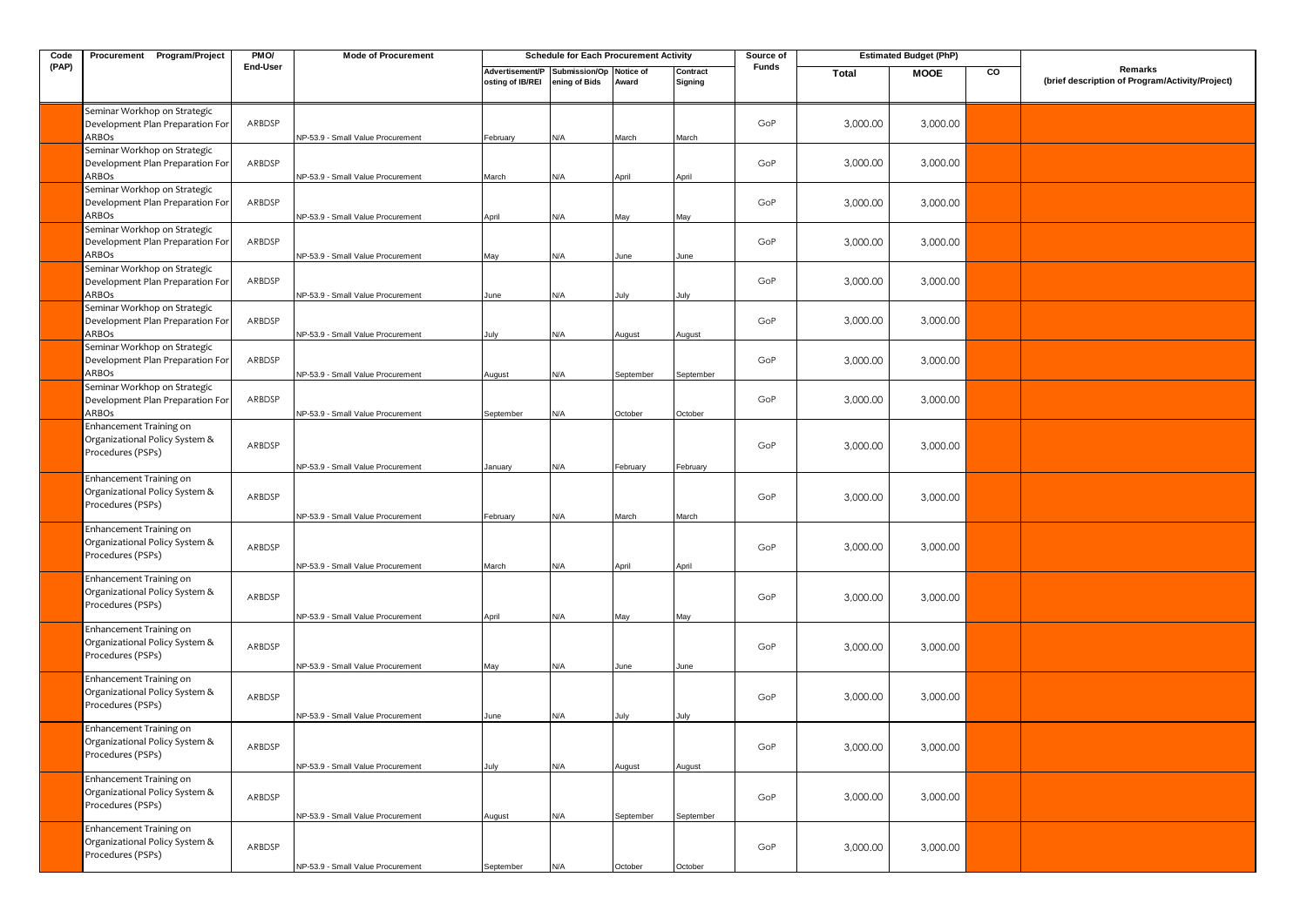| Code  | Procurement Program/Project                                                    | PMO/     | <b>Mode of Procurement</b>        |                                     | <b>Schedule for Each Procurement Activity</b> |                    |                     | Source of    |              | <b>Estimated Budget (PhP)</b> |    |                                                            |
|-------|--------------------------------------------------------------------------------|----------|-----------------------------------|-------------------------------------|-----------------------------------------------|--------------------|---------------------|--------------|--------------|-------------------------------|----|------------------------------------------------------------|
| (PAP) |                                                                                | End-User |                                   | Advertisement/P<br>osting of IB/REI | Submission/Op<br>ening of Bids                | Notice of<br>Award | Contract<br>Signing | <b>Funds</b> | <b>Total</b> | <b>MOOE</b>                   | CO | Remarks<br>(brief description of Program/Activity/Project) |
|       | Seminar Workhop on Strategic<br>Development Plan Preparation For<br>ARBOs      | ARBDSP   | NP-53.9 - Small Value Procurement | February                            | N/A                                           | March              | March               | GoP          | 3,000.00     | 3,000.00                      |    |                                                            |
|       | Seminar Workhop on Strategic<br>Development Plan Preparation For               | ARBDSP   |                                   |                                     |                                               |                    |                     | GoP          | 3,000.00     | 3,000.00                      |    |                                                            |
|       | ARBOs<br>Seminar Workhop on Strategic<br>Development Plan Preparation For      | ARBDSP   | NP-53.9 - Small Value Procurement | March                               | N/A                                           | April              | April               | GoP          | 3,000.00     | 3,000.00                      |    |                                                            |
|       | ARBOs<br>Seminar Workhop on Strategic<br>Development Plan Preparation For      | ARBDSP   | NP-53.9 - Small Value Procurement | April                               | N/A                                           | May                | May                 | GoP          | 3,000.00     | 3,000.00                      |    |                                                            |
|       | ARBOs<br>Seminar Workhop on Strategic                                          | ARBDSP   | NP-53.9 - Small Value Procurement | May                                 | N/A                                           | June               | June                | GoP          |              |                               |    |                                                            |
|       | Development Plan Preparation For<br>ARBOs<br>Seminar Workhop on Strategic      |          | NP-53.9 - Small Value Procurement | June                                | N/A                                           | July               | July                |              | 3,000.00     | 3,000.00                      |    |                                                            |
|       | Development Plan Preparation For<br>ARBOs                                      | ARBDSP   | NP-53.9 - Small Value Procurement | July                                | N/A                                           | August             | August              | GoP          | 3,000.00     | 3,000.00                      |    |                                                            |
|       | Seminar Workhop on Strategic<br>Development Plan Preparation For<br>ARBOs      | ARBDSP   | NP-53.9 - Small Value Procurement | August                              | N/A                                           | September          | September           | GoP          | 3,000.00     | 3,000.00                      |    |                                                            |
|       | Seminar Workhop on Strategic<br>Development Plan Preparation For<br>ARBOs      | ARBDSP   | NP-53.9 - Small Value Procurement | September                           | N/A                                           | October            | October             | GoP          | 3,000.00     | 3,000.00                      |    |                                                            |
|       | Enhancement Training on<br>Organizational Policy System &<br>Procedures (PSPs) | ARBDSP   | NP-53.9 - Small Value Procurement | January                             | N/A                                           | February           | February            | GoP          | 3,000.00     | 3,000.00                      |    |                                                            |
|       | Enhancement Training on<br>Organizational Policy System &<br>Procedures (PSPs) | ARBDSP   | NP-53.9 - Small Value Procurement | February                            | N/A                                           | March              | March               | GoP          | 3,000.00     | 3,000.00                      |    |                                                            |
|       | Enhancement Training on<br>Organizational Policy System &<br>Procedures (PSPs) | ARBDSP   | NP-53.9 - Small Value Procurement | March                               | N/A                                           | April              | April               | GoP          | 3,000.00     | 3,000.00                      |    |                                                            |
|       | Enhancement Training on<br>Organizational Policy System &<br>Procedures (PSPs) | ARBDSP   | NP-53.9 - Small Value Procurement | April                               | N/A                                           | May                | May                 | GoP          | 3,000.00     | 3,000.00                      |    |                                                            |
|       | Enhancement Training on<br>Organizational Policy System &<br>Procedures (PSPs) | ARBDSP   | NP-53.9 - Small Value Procurement | May                                 | N/A                                           | June               | June                | GoP          | 3,000.00     | 3,000.00                      |    |                                                            |
|       | Enhancement Training on<br>Organizational Policy System &<br>Procedures (PSPs) | ARBDSP   | NP-53.9 - Small Value Procurement | June                                | N/A                                           | July               | July                | GoP          | 3,000.00     | 3,000.00                      |    |                                                            |
|       | Enhancement Training on<br>Organizational Policy System &<br>Procedures (PSPs) | ARBDSP   | NP-53.9 - Small Value Procurement | July                                | N/A                                           | August             | August              | GoP          | 3,000.00     | 3,000.00                      |    |                                                            |
|       | Enhancement Training on<br>Organizational Policy System &<br>Procedures (PSPs) | ARBDSP   | NP-53.9 - Small Value Procurement | August                              | N/A                                           | September          | September           | GoP          | 3,000.00     | 3,000.00                      |    |                                                            |
|       | Enhancement Training on<br>Organizational Policy System &<br>Procedures (PSPs) | ARBDSP   | NP-53.9 - Small Value Procurement | September                           | N/A                                           | October            | October             | GoP          | 3,000.00     | 3,000.00                      |    |                                                            |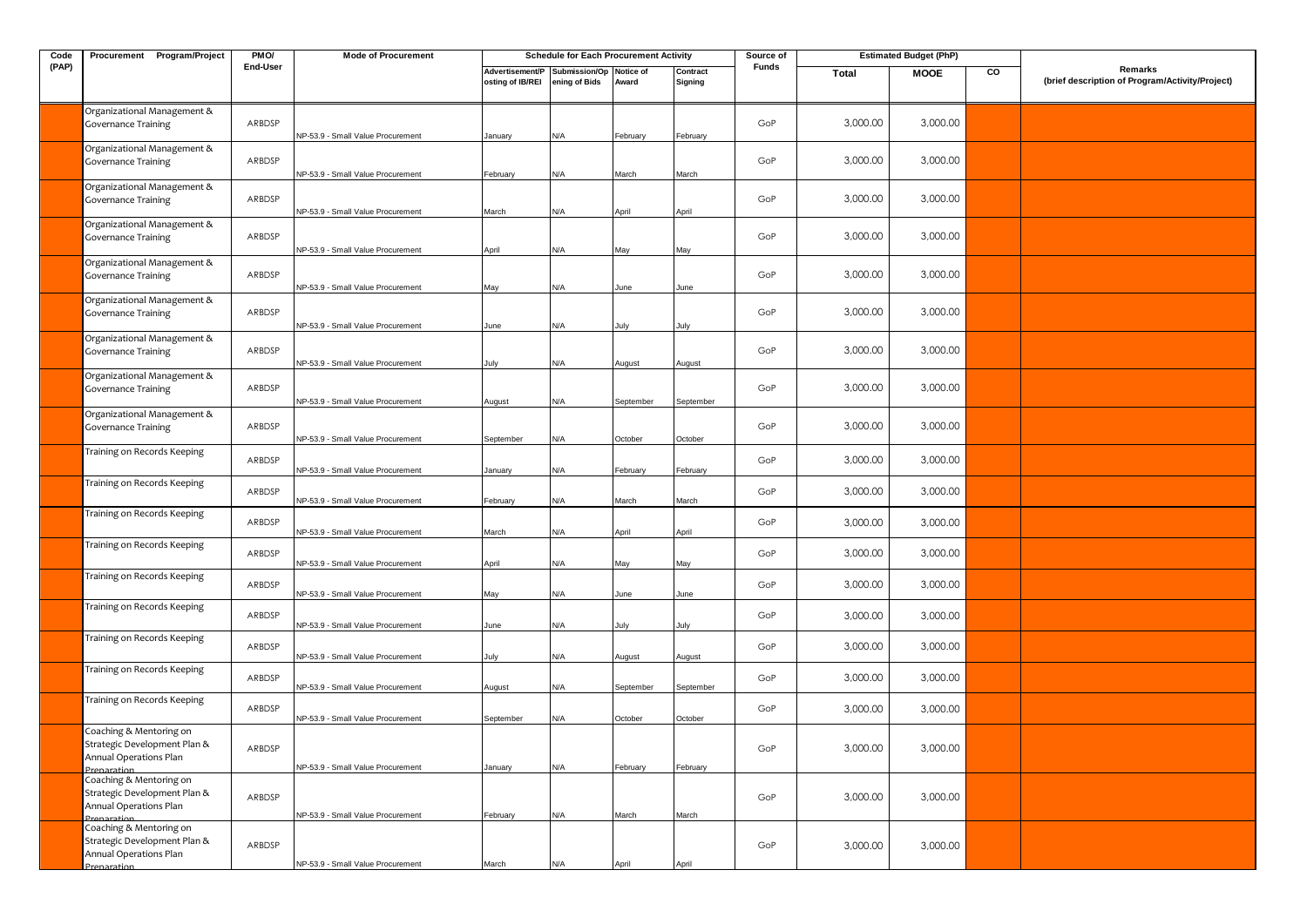| Code  | Procurement Program/Project                                                                      | PMO/             | <b>Mode of Procurement</b>                                             |                                     | <b>Schedule for Each Procurement Activity</b> |              |                     | Source of  |                      | <b>Estimated Budget (PhP)</b> |    |                                                            |
|-------|--------------------------------------------------------------------------------------------------|------------------|------------------------------------------------------------------------|-------------------------------------|-----------------------------------------------|--------------|---------------------|------------|----------------------|-------------------------------|----|------------------------------------------------------------|
| (PAP) |                                                                                                  | <b>End-User</b>  |                                                                        | Advertisement/P<br>osting of IB/REI | Submission/Op Notice of<br>ening of Bids      | Award        | Contract<br>Signing | Funds      | Total                | <b>MOOE</b>                   | CO | Remarks<br>(brief description of Program/Activity/Project) |
|       | Organizational Management &<br><b>Governance Training</b>                                        | ARBDSP           | NP-53.9 - Small Value Procurement                                      | January                             | N/A                                           | February     | February            | GoP        | 3,000.00             | 3,000.00                      |    |                                                            |
|       | Organizational Management &<br><b>Governance Training</b>                                        | ARBDSP           | NP-53.9 - Small Value Procurement                                      | February                            | N/A                                           | March        | March               | GoP        | 3,000.00             | 3,000.00                      |    |                                                            |
|       | Organizational Management &<br><b>Governance Training</b>                                        | ARBDSP           | NP-53.9 - Small Value Procurement                                      | March                               | N/A                                           | April        | April               | GoP        | 3,000.00             | 3,000.00                      |    |                                                            |
|       | Organizational Management &<br><b>Governance Training</b>                                        | ARBDSP           | NP-53.9 - Small Value Procurement                                      | April                               | N/A                                           | May          | May                 | GoP        | 3,000.00             | 3,000.00                      |    |                                                            |
|       | Organizational Management &<br><b>Governance Training</b>                                        | ARBDSP           | NP-53.9 - Small Value Procurement                                      | May                                 | N/A                                           | June         | June                | GoP        | 3,000.00             | 3,000.00                      |    |                                                            |
|       | Organizational Management &<br><b>Governance Training</b>                                        | ARBDSP           | NP-53.9 - Small Value Procurement                                      | June                                | N/A                                           | July         | July                | GoP        | 3,000.00             | 3,000.00                      |    |                                                            |
|       | Organizational Management &<br><b>Governance Training</b>                                        | ARBDSP           | NP-53.9 - Small Value Procurement                                      | July                                | N/A                                           | August       | August              | GoP        | 3,000.00             | 3,000.00                      |    |                                                            |
|       | Organizational Management &<br><b>Governance Training</b>                                        | ARBDSP           | NP-53.9 - Small Value Procurement                                      | August                              | N/A                                           | September    | September           | GoP        | 3,000.00             | 3,000.00                      |    |                                                            |
|       | Organizational Management &<br><b>Governance Training</b>                                        | ARBDSP           | NP-53.9 - Small Value Procurement                                      | September                           | N/A                                           | October      | October             | GoP        | 3,000.00             | 3,000.00                      |    |                                                            |
|       | Training on Records Keeping                                                                      | ARBDSP           | NP-53.9 - Small Value Procurement                                      | January                             | N/A                                           | February     | February            | GoP        | 3,000.00             | 3,000.00                      |    |                                                            |
|       | Training on Records Keeping<br>Training on Records Keeping                                       | ARBDSP           | NP-53.9 - Small Value Procurement                                      | February                            | N/A                                           | March        | March               | GoP        | 3,000.00             | 3,000.00                      |    |                                                            |
|       | Training on Records Keeping                                                                      | ARBDSP           | NP-53.9 - Small Value Procurement                                      | March                               | N/A                                           | April        | April               | GoP        | 3,000.00             | 3,000.00                      |    |                                                            |
|       | Training on Records Keeping                                                                      | ARBDSP<br>ARBDSP | NP-53.9 - Small Value Procurement                                      | April                               | N/A                                           | May          | May                 | GoP<br>GoP | 3,000.00<br>3,000.00 | 3,000.00<br>3,000.00          |    |                                                            |
|       | Training on Records Keeping                                                                      | ARBDSP           | NP-53.9 - Small Value Procurement<br>NP-53.9 - Small Value Procurement | May                                 | N/A<br>N/A                                    | June<br>July | June                | GoP        | 3,000.00             | 3,000.00                      |    |                                                            |
|       | Training on Records Keeping                                                                      | ARBDSP           | NP-53.9 - Small Value Procurement                                      | June<br>July                        | N/A                                           | August       | July<br>August      | GoP        | 3,000.00             | 3,000.00                      |    |                                                            |
|       | Training on Records Keeping                                                                      | ARBDSP           | NP-53.9 - Small Value Procurement                                      | August                              | N/A                                           | September    | September           | GoP        | 3,000.00             | 3,000.00                      |    |                                                            |
|       | Training on Records Keeping<br>Coaching & Mentoring on                                           | ARBDSP           | NP-53.9 - Small Value Procurement                                      | September                           | N/A                                           | October      | October             | GoP        | 3,000.00             | 3,000.00                      |    |                                                            |
|       | Strategic Development Plan &<br>Annual Operations Plan                                           | ARBDSP           | NP-53.9 - Small Value Procurement                                      | January                             | N/A                                           | February     | February            | GoP        | 3,000.00             | 3,000.00                      |    |                                                            |
|       | Coaching & Mentoring on<br>Strategic Development Plan &<br>Annual Operations Plan                | ARBDSP           | NP-53.9 - Small Value Procurement                                      | February                            | N/A                                           | March        | March               | GoP        | 3,000.00             | 3,000.00                      |    |                                                            |
|       | Preparation<br>Coaching & Mentoring on<br>Strategic Development Plan &<br>Annual Operations Plan | ARBDSP           |                                                                        |                                     |                                               |              |                     | GoP        | 3,000.00             | 3,000.00                      |    |                                                            |
|       | Prenaration                                                                                      |                  | NP-53.9 - Small Value Procurement                                      | March                               | $\mathsf{N}/\mathsf{A}$                       | April        | April               |            |                      |                               |    |                                                            |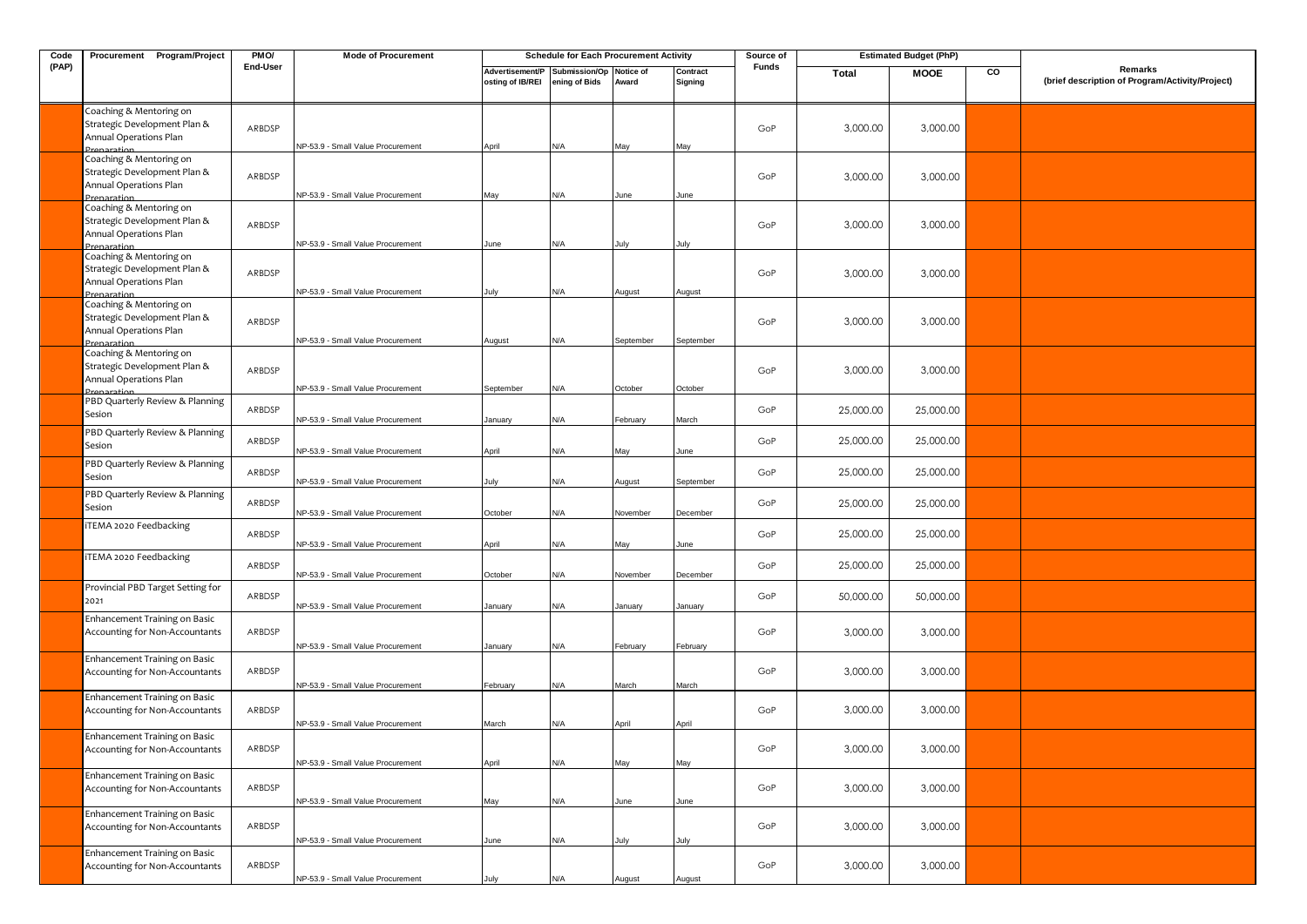| Code  | Procurement Program/Project                                                                      | PMO/     | <b>Mode of Procurement</b>        |                                     | <b>Schedule for Each Procurement Activity</b> |                    |                     | Source of    |           | <b>Estimated Budget (PhP)</b> |    |                                                            |
|-------|--------------------------------------------------------------------------------------------------|----------|-----------------------------------|-------------------------------------|-----------------------------------------------|--------------------|---------------------|--------------|-----------|-------------------------------|----|------------------------------------------------------------|
| (PAP) |                                                                                                  | End-User |                                   | Advertisement/P<br>osting of IB/REI | Submission/Op<br>ening of Bids                | Notice of<br>Award | Contract<br>Signing | <b>Funds</b> | Total     | <b>MOOE</b>                   | CO | Remarks<br>(brief description of Program/Activity/Project) |
|       | Coaching & Mentoring on<br>Strategic Development Plan &<br>Annual Operations Plan<br>Prenaration | ARBDSP   | NP-53.9 - Small Value Procurement | April                               | N/A                                           | May                | May                 | GoP          | 3,000.00  | 3,000.00                      |    |                                                            |
|       | Coaching & Mentoring on<br>Strategic Development Plan &<br>Annual Operations Plan<br>Prenaration | ARBDSP   | NP-53.9 - Small Value Procurement | May                                 | N/A                                           | June               | June                | GoP          | 3,000.00  | 3,000.00                      |    |                                                            |
|       | Coaching & Mentoring on<br>Strategic Development Plan &<br>Annual Operations Plan<br>Prenaration | ARBDSP   | NP-53.9 - Small Value Procurement | June                                | N/A                                           | July               | July                | GoP          | 3,000.00  | 3,000.00                      |    |                                                            |
|       | Coaching & Mentoring on<br>Strategic Development Plan &<br>Annual Operations Plan<br>Prenaration | ARBDSP   | NP-53.9 - Small Value Procurement | July                                | N/A                                           | August             | August              | GoP          | 3,000.00  | 3,000.00                      |    |                                                            |
|       | Coaching & Mentoring on<br>Strategic Development Plan &<br>Annual Operations Plan<br>Prenaration | ARBDSP   | NP-53.9 - Small Value Procurement | August                              | N/A                                           | September          | September           | GoP          | 3,000.00  | 3,000.00                      |    |                                                            |
|       | Coaching & Mentoring on<br>Strategic Development Plan &<br>Annual Operations Plan<br>Prenaration | ARBDSP   | NP-53.9 - Small Value Procurement | September                           | N/A                                           | October            | October             | GoP          | 3,000.00  | 3,000.00                      |    |                                                            |
|       | PBD Quarterly Review & Planning<br>Sesion                                                        | ARBDSP   | NP-53.9 - Small Value Procurement | January                             | N/A                                           | February           | March               | GoP          | 25,000.00 | 25,000.00                     |    |                                                            |
|       | PBD Quarterly Review & Planning<br>Sesion                                                        | ARBDSP   | NP-53.9 - Small Value Procurement | April                               | <b>N/A</b>                                    | May                | June                | GoP          | 25,000.00 | 25,000.00                     |    |                                                            |
|       | PBD Quarterly Review & Planning<br>Sesion                                                        | ARBDSP   | NP-53.9 - Small Value Procurement | July                                | N/A                                           | ugust              | September           | GoP          | 25,000.00 | 25,000.00                     |    |                                                            |
|       | PBD Quarterly Review & Planning<br>Sesion                                                        | ARBDSP   | NP-53.9 - Small Value Procurement | October                             | N/A                                           | November           | December            | GoP          | 25,000.00 | 25,000.00                     |    |                                                            |
|       | TEMA 2020 Feedbacking                                                                            | ARBDSP   | NP-53.9 - Small Value Procurement | April                               | N/A                                           | May                | June                | GoP          | 25,000.00 | 25,000.00                     |    |                                                            |
|       | <b>TEMA 2020 Feedbacking</b><br>Provincial PBD Target Setting for                                | ARBDSP   | NP-53.9 - Small Value Procurement | October                             | N/A                                           | Vovember           | December            | GoP          | 25,000.00 | 25,000.00                     |    |                                                            |
|       | 2021<br>Enhancement Training on Basic                                                            | ARBDSP   | NP-53.9 - Small Value Procurement | January                             | N/A                                           | January            | January             | GoP          | 50,000.00 | 50,000.00                     |    |                                                            |
|       | Accounting for Non-Accountants                                                                   | ARBDSP   | NP-53.9 - Small Value Procurement | lanuary                             | N/A                                           | February           | February            | GoP          | 3,000.00  | 3,000.00                      |    |                                                            |
|       | Enhancement Training on Basic<br>Accounting for Non-Accountants                                  | ARBDSP   | NP-53.9 - Small Value Procurement | ebruary                             | N/A                                           | March              | March               | GoP          | 3,000.00  | 3,000.00                      |    |                                                            |
|       | Enhancement Training on Basic<br><b>Accounting for Non-Accountants</b>                           | ARBDSP   | NP-53.9 - Small Value Procurement | March                               | N/A                                           | April              | April               | GoP          | 3,000.00  | 3,000.00                      |    |                                                            |
|       | Enhancement Training on Basic<br>Accounting for Non-Accountants                                  | ARBDSP   | NP-53.9 - Small Value Procurement | April                               | N/A                                           | May                | May                 | GoP          | 3,000.00  | 3,000.00                      |    |                                                            |
|       | Enhancement Training on Basic<br>Accounting for Non-Accountants                                  | ARBDSP   | NP-53.9 - Small Value Procurement | May                                 | N/A                                           | June               | June                | GoP          | 3,000.00  | 3,000.00                      |    |                                                            |
|       | Enhancement Training on Basic<br>Accounting for Non-Accountants                                  | ARBDSP   | NP-53.9 - Small Value Procurement | June                                | N/A                                           | July               | July                | GoP          | 3,000.00  | 3,000.00                      |    |                                                            |
|       | Enhancement Training on Basic<br>Accounting for Non-Accountants                                  | ARBDSP   | NP-53.9 - Small Value Procurement | luly                                | N/A                                           | August             | August              | GoP          | 3,000.00  | 3,000.00                      |    |                                                            |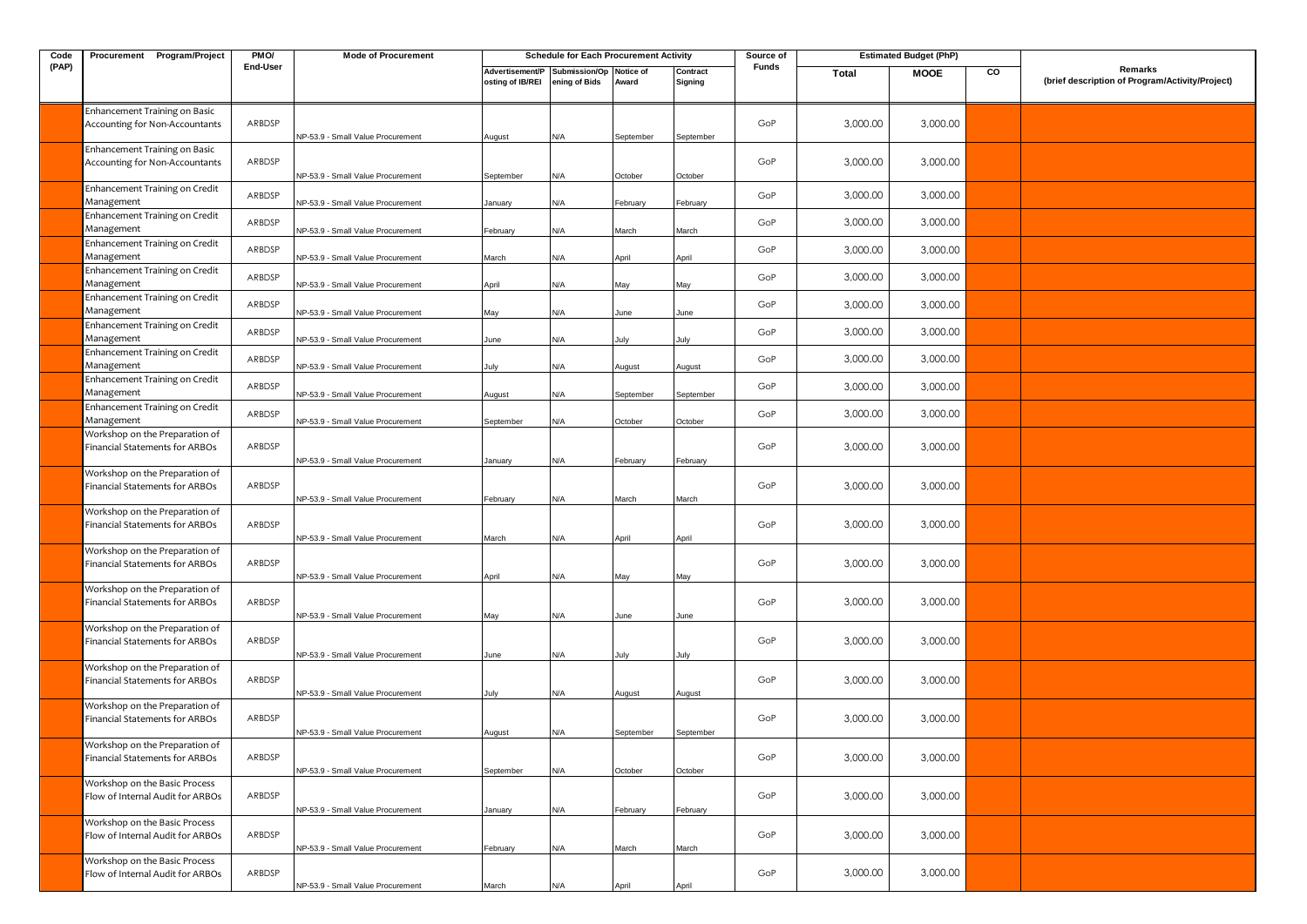| Code  | Procurement Program/Project                                       | PMO/     | <b>Mode of Procurement</b>        |                                     | <b>Schedule for Each Procurement Activity</b> |                    |                     | <b>Estimated Budget (PhP)</b><br>Source of |          |             |    |                                                            |
|-------|-------------------------------------------------------------------|----------|-----------------------------------|-------------------------------------|-----------------------------------------------|--------------------|---------------------|--------------------------------------------|----------|-------------|----|------------------------------------------------------------|
| (PAP) |                                                                   | End-User |                                   | Advertisement/P<br>osting of IB/REI | Submission/Op<br>ening of Bids                | Notice of<br>Award | Contract<br>Signing | Funds                                      | Total    | <b>MOOE</b> | CO | Remarks<br>(brief description of Program/Activity/Project) |
|       | Enhancement Training on Basic<br>Accounting for Non-Accountants   | ARBDSP   | NP-53.9 - Small Value Procurement | August                              | N/A                                           | September          | September           | GoP                                        | 3,000.00 | 3,000.00    |    |                                                            |
|       | Enhancement Training on Basic<br>Accounting for Non-Accountants   | ARBDSP   | NP-53.9 - Small Value Procurement | September                           | N/A                                           | October            | October             | GoP                                        | 3,000.00 | 3,000.00    |    |                                                            |
|       | Enhancement Training on Credit<br>Management                      | ARBDSP   | NP-53.9 - Small Value Procurement | lanuary                             | ۷/A                                           | February           | February            | GoP                                        | 3,000.00 | 3,000.00    |    |                                                            |
|       | Enhancement Training on Credit<br>Management                      | ARBDSP   | NP-53.9 - Small Value Procurement | February                            | N/A                                           | March              | March               | GoP                                        | 3,000.00 | 3,000.00    |    |                                                            |
|       | Enhancement Training on Credit<br>Management                      | ARBDSP   | NP-53.9 - Small Value Procurement | Aarch                               | N/A                                           | April              | April               | GoP                                        | 3,000.00 | 3,000.00    |    |                                                            |
|       | Enhancement Training on Credit<br>Management                      | ARBDSP   | NP-53.9 - Small Value Procurement | April                               | N/A                                           | May                | May                 | GoP                                        | 3,000.00 | 3,000.00    |    |                                                            |
|       | Enhancement Training on Credit<br>Management                      | ARBDSP   | NP-53.9 - Small Value Procurement | May                                 | N/A                                           | June               | June                | GoP                                        | 3,000.00 | 3,000.00    |    |                                                            |
|       | Enhancement Training on Credit<br>Management                      | ARBDSP   | NP-53.9 - Small Value Procurement | June                                | N/A                                           | July               | July                | GoP                                        | 3,000.00 | 3,000.00    |    |                                                            |
|       | Enhancement Training on Credit<br>Management                      | ARBDSP   | NP-53.9 - Small Value Procurement | luly                                | N/A                                           | August             | August              | GoP                                        | 3,000.00 | 3,000.00    |    |                                                            |
|       | Enhancement Training on Credit<br>Management                      | ARBDSP   | NP-53.9 - Small Value Procurement | <b>\ugust</b>                       | N/A                                           | September          | September           | GoP                                        | 3,000.00 | 3,000.00    |    |                                                            |
|       | Enhancement Training on Credit<br>Management                      | ARBDSP   | NP-53.9 - Small Value Procurement | September                           | N/A                                           | October            | October             | GoP                                        | 3,000.00 | 3,000.00    |    |                                                            |
|       | Workshop on the Preparation of<br>Financial Statements for ARBOs  | ARBDSP   | NP-53.9 - Small Value Procurement | January                             | N/A                                           | February           | February            | GoP                                        | 3,000.00 | 3,000.00    |    |                                                            |
|       | Workshop on the Preparation of<br>Financial Statements for ARBOs  | ARBDSP   | NP-53.9 - Small Value Procurement | February                            | N/A                                           | March              | March               | GoP                                        | 3,000.00 | 3,000.00    |    |                                                            |
|       | Workshop on the Preparation of<br>Financial Statements for ARBOs  | ARBDSP   | NP-53.9 - Small Value Procurement | March                               | N/A                                           | April              | April               | GoP                                        | 3,000.00 | 3,000.00    |    |                                                            |
|       | Workshop on the Preparation of<br>Financial Statements for ARBOs  | ARBDSP   | NP-53.9 - Small Value Procurement | April                               | N/A                                           | May                | May                 | GoP                                        | 3,000.00 | 3,000.00    |    |                                                            |
|       | Workshop on the Preparation of<br>Financial Statements for ARBOs  | ARBDSP   | NP-53.9 - Small Value Procurement | May                                 | N/A                                           | lune               | June                | GoP                                        | 3,000.00 | 3,000.00    |    |                                                            |
|       | Workshop on the Preparation of<br>Financial Statements for ARBOs  | ARBDSP   | NP-53.9 - Small Value Procurement | June                                | N/A                                           | July               | July                | GoP                                        | 3,000.00 | 3,000.00    |    |                                                            |
|       | Workshop on the Preparation of<br>Financial Statements for ARBOs  | ARBDSP   | NP-53.9 - Small Value Procurement | July                                | N/A                                           | August             | August              | GoP                                        | 3,000.00 | 3,000.00    |    |                                                            |
|       | Workshop on the Preparation of<br>Financial Statements for ARBOs  | ARBDSP   | NP-53.9 - Small Value Procurement | August                              | N/A                                           | September          | September           | GoP                                        | 3,000.00 | 3,000.00    |    |                                                            |
|       | Workshop on the Preparation of<br>Financial Statements for ARBOs  | ARBDSP   | NP-53.9 - Small Value Procurement | September                           | N/A                                           | October            | October             | GoP                                        | 3,000.00 | 3,000.00    |    |                                                            |
|       | Workshop on the Basic Process<br>Flow of Internal Audit for ARBOs | ARBDSP   | NP-53.9 - Small Value Procurement | January                             | N/A                                           | February           | February            | GoP                                        | 3,000.00 | 3,000.00    |    |                                                            |
|       | Workshop on the Basic Process<br>Flow of Internal Audit for ARBOs | ARBDSP   | NP-53.9 - Small Value Procurement | February                            | N/A                                           | March              | March               | GoP                                        | 3,000.00 | 3,000.00    |    |                                                            |
|       | Workshop on the Basic Process<br>Flow of Internal Audit for ARBOs | ARBDSP   |                                   |                                     |                                               |                    |                     | GoP                                        | 3,000.00 | 3,000.00    |    |                                                            |
|       |                                                                   |          | NP-53.9 - Small Value Procurement | March                               | N/A                                           | April              | April               |                                            |          |             |    |                                                            |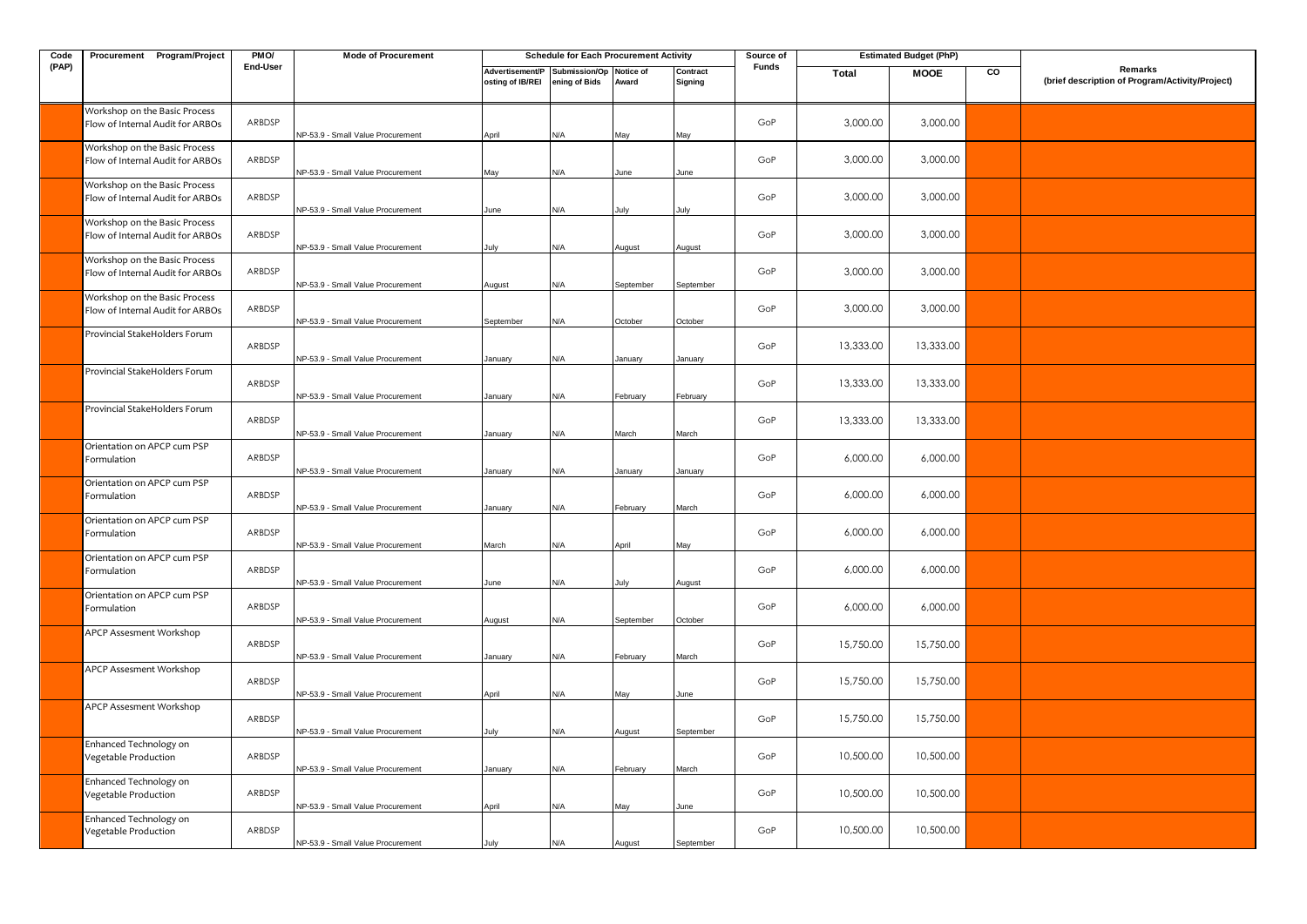| Code  | Procurement Program/Project                                       | PMO/     | <b>Mode of Procurement</b>        |                                                                           | <b>Schedule for Each Procurement Activity</b> |           |                     | Source of | <b>Estimated Budget (PhP)</b> |             |                |                                                            |
|-------|-------------------------------------------------------------------|----------|-----------------------------------|---------------------------------------------------------------------------|-----------------------------------------------|-----------|---------------------|-----------|-------------------------------|-------------|----------------|------------------------------------------------------------|
| (PAP) |                                                                   | End-User |                                   | Advertisement/P Submission/Op Notice of<br>osting of IB/REI ening of Bids |                                               | Award     | Contract<br>Signing | Funds     | Total                         | <b>MOOE</b> | $\overline{c}$ | Remarks<br>(brief description of Program/Activity/Project) |
|       | Workshop on the Basic Process<br>Flow of Internal Audit for ARBOs | ARBDSP   | NP-53.9 - Small Value Procurement | April                                                                     | N/A                                           | Лау       | May                 | GoP       | 3,000.00                      | 3,000.00    |                |                                                            |
|       | Workshop on the Basic Process<br>Flow of Internal Audit for ARBOs | ARBDSP   | NP-53.9 - Small Value Procurement | May                                                                       | N/A                                           | June      | June                | GoP       | 3,000.00                      | 3,000.00    |                |                                                            |
|       | Workshop on the Basic Process<br>Flow of Internal Audit for ARBOs | ARBDSP   | NP-53.9 - Small Value Procurement | June                                                                      | N/A                                           | July      | July                | GoP       | 3,000.00                      | 3,000.00    |                |                                                            |
|       | Workshop on the Basic Process<br>Flow of Internal Audit for ARBOs | ARBDSP   | NP-53.9 - Small Value Procurement | July                                                                      | N/A                                           | August    | August              | GoP       | 3,000.00                      | 3,000.00    |                |                                                            |
|       | Workshop on the Basic Process<br>Flow of Internal Audit for ARBOs | ARBDSP   | NP-53.9 - Small Value Procurement | <b>August</b>                                                             | N/A                                           | September | September           | GoP       | 3,000.00                      | 3,000.00    |                |                                                            |
|       | Workshop on the Basic Process<br>Flow of Internal Audit for ARBOs | ARBDSP   | NP-53.9 - Small Value Procurement | September                                                                 | N/A                                           | October   | October             | GoP       | 3,000.00                      | 3,000.00    |                |                                                            |
|       | Provincial StakeHolders Forum                                     | ARBDSP   | NP-53.9 - Small Value Procurement | January                                                                   | N/A                                           | lanuary   | January             | GoP       | 13,333.00                     | 13,333.00   |                |                                                            |
|       | Provincial StakeHolders Forum                                     | ARBDSP   | NP-53.9 - Small Value Procurement | January                                                                   | N/A                                           | February  | February            | GoP       | 13,333.00                     | 13,333.00   |                |                                                            |
|       | Provincial StakeHolders Forum                                     | ARBDSP   | NP-53.9 - Small Value Procurement | January                                                                   | N/A                                           | Aarch     | March               | GoP       | 13,333.00                     | 13,333.00   |                |                                                            |
|       | Orientation on APCP cum PSP<br>Formulation                        | ARBDSP   | NP-53.9 - Small Value Procurement | January                                                                   | N/A                                           | lanuary   | January             | GoP       | 6,000.00                      | 6,000.00    |                |                                                            |
|       | Orientation on APCP cum PSP<br>Formulation                        | ARBDSP   | NP-53.9 - Small Value Procurement | January                                                                   | N/A                                           | ebruary   | March               | GoP       | 6,000.00                      | 6,000.00    |                |                                                            |
|       | Orientation on APCP cum PSP<br>Formulation                        | ARBDSP   | NP-53.9 - Small Value Procurement | March                                                                     | N/A                                           | April     | Val                 | GoP       | 6,000.00                      | 6,000.00    |                |                                                            |
|       | Orientation on APCP cum PSP<br>Formulation                        | ARBDSP   | NP-53.9 - Small Value Procurement | June                                                                      | N/A                                           | luly      | August              | GoP       | 6,000.00                      | 6,000.00    |                |                                                            |
|       | Orientation on APCP cum PSP<br>Formulation                        | ARBDSP   | NP-53.9 - Small Value Procurement | August                                                                    | N/A                                           | September | October             | GoP       | 6,000.00                      | 6,000.00    |                |                                                            |
|       | APCP Assesment Workshop                                           | ARBDSP   | NP-53.9 - Small Value Procurement | January                                                                   | N/A                                           | February  | March               | GoP       | 15,750.00                     | 15,750.00   |                |                                                            |
|       | APCP Assesment Workshop                                           | ARBDSP   | NP-53.9 - Small Value Procurement | April                                                                     | N/A                                           | May       | June                | GoP       | 15,750.00                     | 15,750.00   |                |                                                            |
|       | APCP Assesment Workshop                                           | ARBDSP   | NP-53.9 - Small Value Procurement | July                                                                      | N/A                                           | August    | September           | GoP       | 15,750.00                     | 15,750.00   |                |                                                            |
|       | Enhanced Technology on<br>Vegetable Production                    | ARBDSP   | NP-53.9 - Small Value Procurement | January                                                                   | N/A                                           | February  | March               | GoP       | 10,500.00                     | 10,500.00   |                |                                                            |
|       | Enhanced Technology on<br>Vegetable Production                    | ARBDSP   | NP-53.9 - Small Value Procurement | April                                                                     | N/A                                           | May       | June                | GoP       | 10,500.00                     | 10,500.00   |                |                                                            |
|       | Enhanced Technology on<br>Vegetable Production                    | ARBDSP   | NP-53.9 - Small Value Procurement | July                                                                      | N/A                                           | August    | September           | GoP       | 10,500.00                     | 10,500.00   |                |                                                            |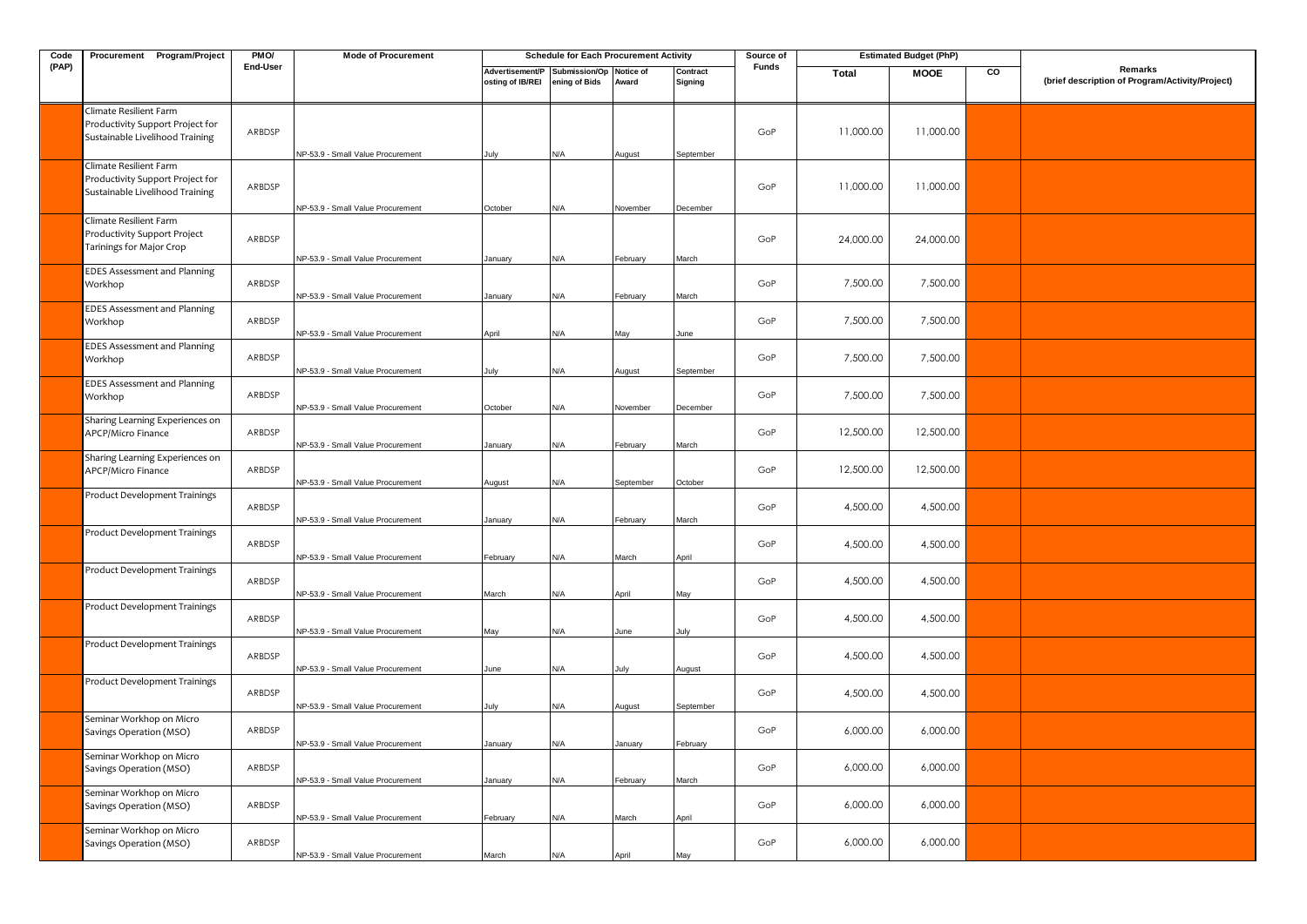| Code  | Procurement Program/Project                                                                   | PM <sub>O</sub> / | <b>Mode of Procurement</b>        |                                                             | <b>Schedule for Each Procurement Activity</b> |           |                     | Source of    | <b>Estimated Budget (PhP)</b> |             |    |                                                            |
|-------|-----------------------------------------------------------------------------------------------|-------------------|-----------------------------------|-------------------------------------------------------------|-----------------------------------------------|-----------|---------------------|--------------|-------------------------------|-------------|----|------------------------------------------------------------|
| (PAP) |                                                                                               | End-User          |                                   | Advertisement/P Submission/Op Notice of<br>osting of IB/REI | ening of Bids                                 | Award     | Contract<br>Signing | <b>Funds</b> | Total                         | <b>MOOE</b> | CO | Remarks<br>(brief description of Program/Activity/Project) |
|       | Climate Resilient Farm<br>Productivity Support Project for<br>Sustainable Livelihood Training | ARBDSP            | NP-53.9 - Small Value Procurement | July                                                        | N/A                                           | August    | September           | GoP          | 11,000.00                     | 11,000.00   |    |                                                            |
|       | Climate Resilient Farm<br>Productivity Support Project for<br>Sustainable Livelihood Training | ARBDSP            | NP-53.9 - Small Value Procurement | October                                                     | N/A                                           | November  | December            | GoP          | 11,000.00                     | 11,000.00   |    |                                                            |
|       | Climate Resilient Farm<br>Productivity Support Project<br>Tarinings for Major Crop            | ARBDSP            | VP-53.9 - Small Value Procurement | January                                                     | N/A                                           | February  | March               | GoP          | 24,000.00                     | 24,000.00   |    |                                                            |
|       | <b>EDES Assessment and Planning</b><br>Workhop                                                | ARBDSP            | NP-53.9 - Small Value Procurement | January                                                     | N/A                                           | February  | March               | GoP          | 7,500.00                      | 7,500.00    |    |                                                            |
|       | <b>EDES Assessment and Planning</b><br>Workhop                                                | ARBDSP            | NP-53.9 - Small Value Procurement | April                                                       | N/A                                           | May       | June                | GoP          | 7,500.00                      | 7,500.00    |    |                                                            |
|       | <b>EDES Assessment and Planning</b><br>Workhop                                                | ARBDSP            | NP-53.9 - Small Value Procurement | July                                                        | N/A                                           | August    | September           | GoP          | 7,500.00                      | 7,500.00    |    |                                                            |
|       | <b>EDES Assessment and Planning</b><br>Workhop                                                | ARBDSP            | NP-53.9 - Small Value Procurement | October                                                     | N/A                                           | November  | December            | GoP          | 7,500.00                      | 7,500.00    |    |                                                            |
|       | Sharing Learning Experiences on<br>APCP/Micro Finance                                         | ARBDSP            | NP-53.9 - Small Value Procurement | January                                                     | N/A                                           | February  | March               | GoP          | 12,500.00                     | 12,500.00   |    |                                                            |
|       | Sharing Learning Experiences on<br>APCP/Micro Finance                                         | ARBDSP            | NP-53.9 - Small Value Procurement | August                                                      | N/A                                           | September | October             | GoP          | 12,500.00                     | 12,500.00   |    |                                                            |
|       | Product Development Trainings                                                                 | ARBDSP            | VP-53.9 - Small Value Procurement | January                                                     | N/A                                           | February  | March               | GoP          | 4,500.00                      | 4,500.00    |    |                                                            |
|       | Product Development Trainings                                                                 | ARBDSP            | NP-53.9 - Small Value Procurement | February                                                    | N/A                                           | March     | April               | GoP          | 4,500.00                      | 4,500.00    |    |                                                            |
|       | Product Development Trainings                                                                 | ARBDSP            | VP-53.9 - Small Value Procurement | March                                                       | N/A                                           | April     | May                 | GoP          | 4,500.00                      | 4,500.00    |    |                                                            |
|       | <b>Product Development Trainings</b>                                                          | ARBDSP            | NP-53.9 - Small Value Procurement | May                                                         | N/A                                           | June      | July                | GoP          | 4,500.00                      | 4,500.00    |    |                                                            |
|       | Product Development Trainings                                                                 | ARBDSP            | NP-53.9 - Small Value Procurement | June                                                        | N/A                                           | July      | August              | GoP          | 4,500.00                      | 4,500.00    |    |                                                            |
|       | <b>Product Development Trainings</b>                                                          | ARBDSP            | NP-53.9 - Small Value Procurement | July                                                        | N/A                                           | August    | September           | GoP          | 4,500.00                      | 4,500.00    |    |                                                            |
|       | Seminar Workhop on Micro<br>Savings Operation (MSO)                                           | ARBDSP            | VP-53.9 - Small Value Procurement | January                                                     | N/A                                           | January   | February            | GoP          | 6,000.00                      | 6,000.00    |    |                                                            |
|       | Seminar Workhop on Micro<br>Savings Operation (MSO)                                           | ARBDSP            | NP-53.9 - Small Value Procurement | January                                                     | N/A                                           | February  | March               | GoP          | 6,000.00                      | 6,000.00    |    |                                                            |
|       | Seminar Workhop on Micro<br>Savings Operation (MSO)                                           | ARBDSP            | NP-53.9 - Small Value Procurement | February                                                    | N/A                                           | March     | April               | GoP          | 6,000.00                      | 6,000.00    |    |                                                            |
|       | Seminar Workhop on Micro<br>Savings Operation (MSO)                                           | ARBDSP            | NP-53.9 - Small Value Procurement | March                                                       | N/A                                           | April     | May                 | GoP          | 6,000.00                      | 6,000.00    |    |                                                            |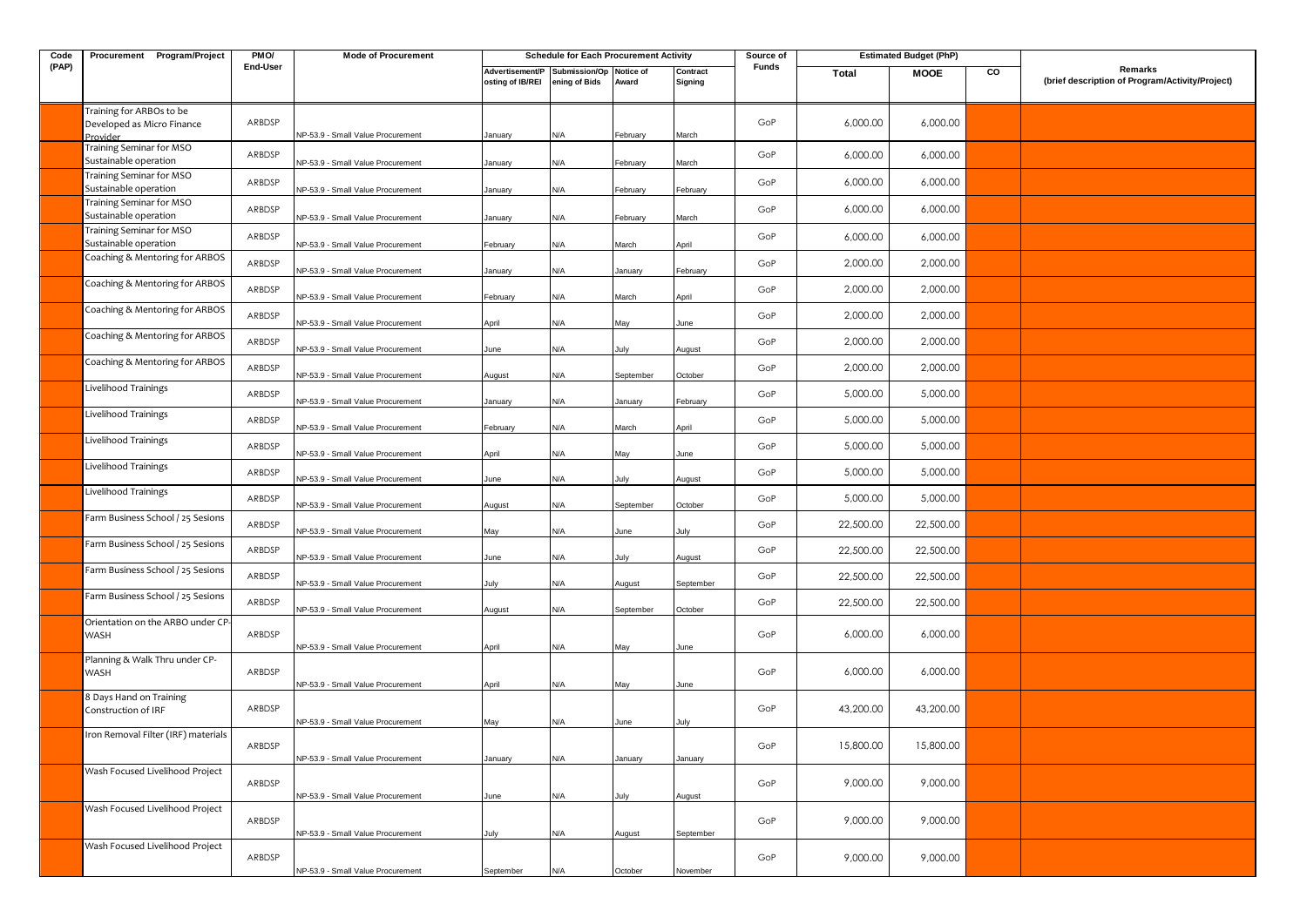| Code  | Procurement Program/Project                                        | PMO/     | <b>Mode of Procurement</b>                                             |                                     | <b>Schedule for Each Procurement Activity</b> |             |                     | Source of |              | <b>Estimated Budget (PhP)</b> |    |                                                            |
|-------|--------------------------------------------------------------------|----------|------------------------------------------------------------------------|-------------------------------------|-----------------------------------------------|-------------|---------------------|-----------|--------------|-------------------------------|----|------------------------------------------------------------|
| (PAP) |                                                                    | End-User |                                                                        | Advertisement/P<br>osting of IB/REI | Submission/Op Notice of<br>ening of Bids      | Award       | Contract<br>Signing | Funds     | <b>Total</b> | <b>MOOE</b>                   | CO | Remarks<br>(brief description of Program/Activity/Project) |
|       | Training for ARBOs to be<br>Developed as Micro Finance<br>Provider | ARBDSP   | NP-53.9 - Small Value Procurement                                      | January                             | N/A                                           | February    | March               | GoP       | 6,000.00     | 6,000.00                      |    |                                                            |
|       | Training Seminar for MSO<br>Sustainable operation                  | ARBDSP   | NP-53.9 - Small Value Procurement                                      | January                             | N/A                                           | ebruary     | March               | GoP       | 6,000.00     | 6,000.00                      |    |                                                            |
|       | Training Seminar for MSO<br>Sustainable operation                  | ARBDSP   |                                                                        |                                     |                                               |             |                     | GoP       | 6,000.00     | 6,000.00                      |    |                                                            |
|       | Training Seminar for MSO<br>Sustainable operation                  | ARBDSP   | NP-53.9 - Small Value Procurement                                      | January                             | N/A                                           | ebruary     | February            | GoP       | 6,000.00     | 6,000.00                      |    |                                                            |
|       | Training Seminar for MSO                                           | ARBDSP   | NP-53.9 - Small Value Procurement                                      | January                             | N/A                                           | February    | March               | GoP       | 6,000.00     | 6,000.00                      |    |                                                            |
|       | Sustainable operation<br>Coaching & Mentoring for ARBOS            | ARBDSP   | NP-53.9 - Small Value Procurement                                      | February                            | N/A                                           | Aarch       | April               | GoP       | 2,000.00     | 2,000.00                      |    |                                                            |
|       | Coaching & Mentoring for ARBOS                                     | ARBDSP   | NP-53.9 - Small Value Procurement                                      | January                             | N/A                                           | January     | February            | GoP       | 2,000.00     | 2,000.00                      |    |                                                            |
|       | Coaching & Mentoring for ARBOS                                     | ARBDSP   | NP-53.9 - Small Value Procurement                                      | February                            | N/A                                           | March       | April               | GoP       | 2,000.00     | 2,000.00                      |    |                                                            |
|       | Coaching & Mentoring for ARBOS                                     | ARBDSP   | NP-53.9 - Small Value Procurement                                      | April                               | N/A                                           | May         | June                | GoP       | 2,000.00     | 2,000.00                      |    |                                                            |
|       | Coaching & Mentoring for ARBOS                                     | ARBDSP   | NP-53.9 - Small Value Procurement                                      | June                                | N/A                                           | July        | August              | GoP       | 2,000.00     | 2,000.00                      |    |                                                            |
|       | Livelihood Trainings                                               | ARBDSP   | NP-53.9 - Small Value Procurement                                      | August                              | N/A                                           | September   | October             | GoP       | 5,000.00     | 5,000.00                      |    |                                                            |
|       | Livelihood Trainings                                               | ARBDSP   | NP-53.9 - Small Value Procurement                                      | January                             | N/A                                           | January     | February            | GoP       | 5,000.00     | 5,000.00                      |    |                                                            |
|       | Livelihood Trainings                                               | ARBDSP   | NP-53.9 - Small Value Procurement<br>NP-53.9 - Small Value Procurement | February                            | N/A<br>N/A                                    | March       | April               | GoP       | 5,000.00     | 5,000.00                      |    |                                                            |
|       | Livelihood Trainings                                               | ARBDSP   | NP-53.9 - Small Value Procurement                                      | April<br>June                       | N/A                                           | May<br>July | June<br>August      | GoP       | 5,000.00     | 5,000.00                      |    |                                                            |
|       | Livelihood Trainings                                               | ARBDSP   | NP-53.9 - Small Value Procurement                                      | August                              | N/A                                           | September   | October             | GoP       | 5,000.00     | 5,000.00                      |    |                                                            |
|       | Farm Business School / 25 Sesions                                  | ARBDSP   | NP-53.9 - Small Value Procurement                                      | May                                 | N/A                                           | June        | July                | GoP       | 22,500.00    | 22,500.00                     |    |                                                            |
|       | Farm Business School / 25 Sesions                                  | ARBDSP   | NP-53.9 - Small Value Procurement                                      | June                                | N/A                                           | July        | August              | GoP       | 22,500.00    | 22,500.00                     |    |                                                            |
|       | Farm Business School / 25 Sesions                                  | ARBDSP   | NP-53.9 - Small Value Procurement                                      | July                                | N/A                                           | August      | September           | GoP       | 22,500.00    | 22,500.00                     |    |                                                            |
|       | Farm Business School / 25 Sesions                                  | ARBDSP   | NP-53.9 - Small Value Procurement                                      | August                              | N/A                                           | September   | October             | GoP       | 22,500.00    | 22,500.00                     |    |                                                            |
|       | Orientation on the ARBO under CP-<br>WASH                          | ARBDSP   | NP-53.9 - Small Value Procurement                                      | April                               | N/A                                           | May         | June                | GoP       | 6,000.00     | 6,000.00                      |    |                                                            |
|       | Planning & Walk Thru under CP-<br>WASH                             | ARBDSP   | NP-53.9 - Small Value Procurement                                      | April                               | N/A                                           | May         | June                | GoP       | 6,000.00     | 6,000.00                      |    |                                                            |
|       | 8 Days Hand on Training<br>Construction of IRF                     | ARBDSP   | NP-53.9 - Small Value Procurement                                      | May                                 | N/A                                           | June        | July                | GoP       | 43,200.00    | 43,200.00                     |    |                                                            |
|       | Iron Removal Filter (IRF) materials                                | ARBDSP   | NP-53.9 - Small Value Procurement                                      | January                             | N/A                                           | January     | January             | GoP       | 15,800.00    | 15,800.00                     |    |                                                            |
|       | Wash Focused Livelihood Project                                    | ARBDSP   | NP-53.9 - Small Value Procurement                                      | June                                | N/A                                           | July        | August              | GoP       | 9,000.00     | 9,000.00                      |    |                                                            |
|       | Wash Focused Livelihood Project                                    | ARBDSP   | NP-53.9 - Small Value Procurement                                      | July                                | N/A                                           | August      | September           | GoP       | 9,000.00     | 9,000.00                      |    |                                                            |
|       | Wash Focused Livelihood Project                                    | ARBDSP   | NP-53.9 - Small Value Procurement                                      | September                           | N/A                                           | October     | November            | GoP       | 9,000.00     | 9,000.00                      |    |                                                            |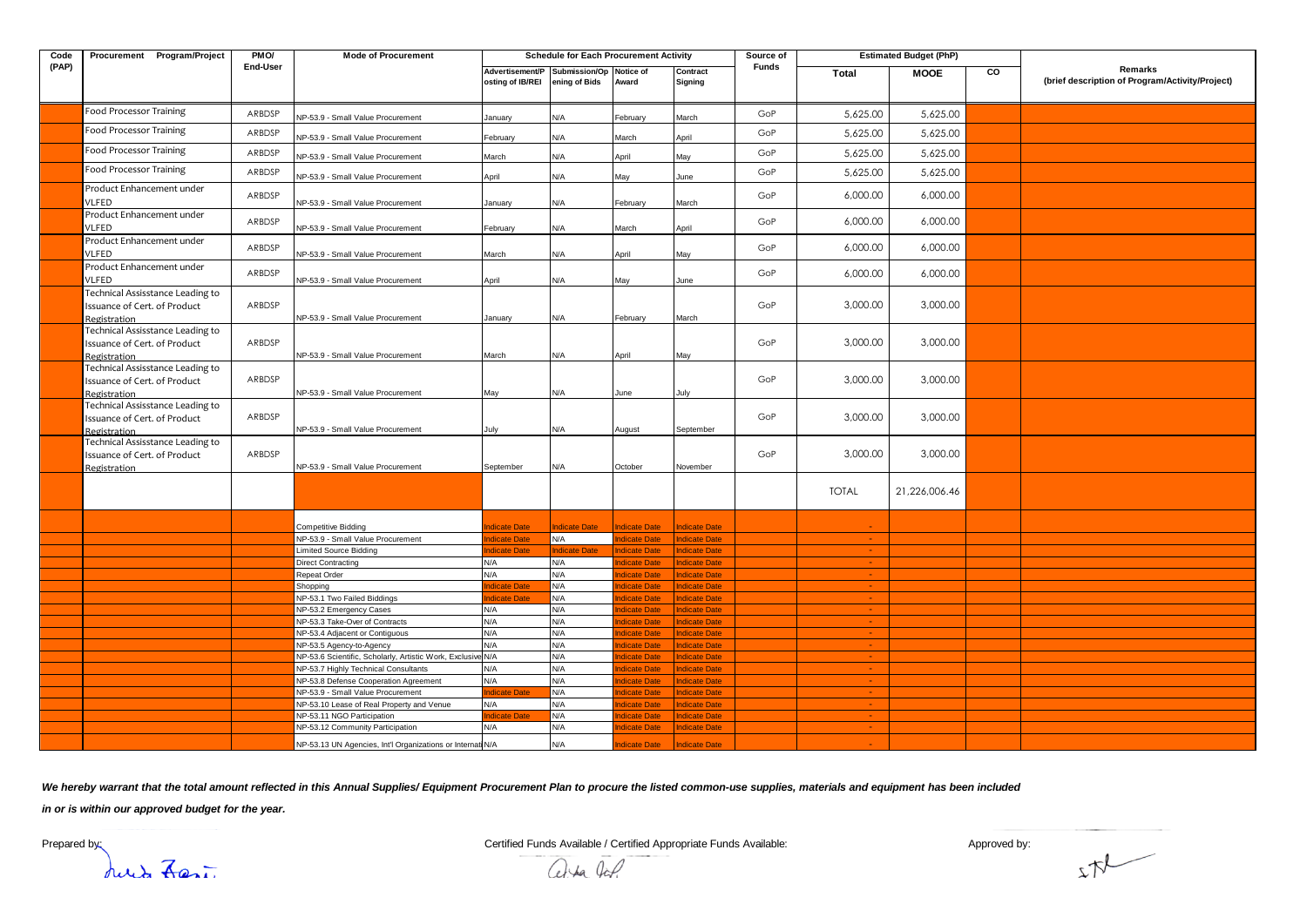| Code  | Procurement Program/Project                                                      | PMO/     | <b>Mode of Procurement</b>                                  | <b>Schedule for Each Procurement Activity</b> |                                          |                            |                            |              |                 | <b>Estimated Budget (PhP)</b> |    |                                                            |
|-------|----------------------------------------------------------------------------------|----------|-------------------------------------------------------------|-----------------------------------------------|------------------------------------------|----------------------------|----------------------------|--------------|-----------------|-------------------------------|----|------------------------------------------------------------|
| (PAP) |                                                                                  | End-User |                                                             | Advertisement/P<br>osting of IB/REI           | Submission/Op Notice of<br>ening of Bids | Award                      | Contract<br>Signing        | <b>Funds</b> | Total           | <b>MOOE</b>                   | CO | Remarks<br>(brief description of Program/Activity/Project) |
|       | <b>Food Processor Training</b>                                                   | ARBDSP   | NP-53.9 - Small Value Procurement                           | January                                       | N/A                                      | February                   | March                      | GoP          | 5,625.00        | 5,625.00                      |    |                                                            |
|       | <b>Food Processor Training</b>                                                   | ARBDSP   | NP-53.9 - Small Value Procurement                           | February                                      | N/A                                      | March                      | April                      | GoP          | 5,625.00        | 5,625.00                      |    |                                                            |
|       | <b>Food Processor Training</b>                                                   | ARBDSP   | NP-53.9 - Small Value Procurement                           | March                                         | N/A                                      | April                      | May                        | GoP          | 5,625.00        | 5,625.00                      |    |                                                            |
|       | <b>Food Processor Training</b>                                                   | ARBDSP   | NP-53.9 - Small Value Procurement                           | April                                         | N/A                                      | May                        | June                       | GoP          | 5,625.00        | 5,625.00                      |    |                                                            |
|       | Product Enhancement under<br>VLFED                                               | ARBDSP   | NP-53.9 - Small Value Procurement                           | January                                       | N/A                                      | February                   | March                      | GoP          | 6,000.00        | 6,000.00                      |    |                                                            |
|       | Product Enhancement under<br>VLFED                                               | ARBDSP   | NP-53.9 - Small Value Procurement                           | February                                      | N/A                                      | March                      | April                      | GoP          | 6,000.00        | 6,000.00                      |    |                                                            |
|       | Product Enhancement under<br><b>VLFED</b>                                        | ARBDSP   | NP-53.9 - Small Value Procurement                           | March                                         | N/A                                      | April                      | May                        | GoP          | 6,000.00        | 6,000.00                      |    |                                                            |
|       | Product Enhancement under<br><b>VLFED</b>                                        | ARBDSP   | NP-53.9 - Small Value Procurement                           | April                                         | N/A                                      | May                        | June                       | GoP          | 6,000.00        | 6,000.00                      |    |                                                            |
|       | Technical Assisstance Leading to<br>Issuance of Cert. of Product<br>Registration | ARBDSP   | NP-53.9 - Small Value Procurement                           | January                                       | N/A                                      | February                   | March                      | GoP          | 3,000.00        | 3,000.00                      |    |                                                            |
|       | Technical Assisstance Leading to<br>Issuance of Cert. of Product<br>Registration | ARBDSP   | NP-53.9 - Small Value Procurement                           | March                                         | N/A                                      | April                      | May                        | GoP          | 3,000.00        | 3,000.00                      |    |                                                            |
|       | Technical Assisstance Leading to<br>Issuance of Cert. of Product<br>Registration | ARBDSP   | NP-53.9 - Small Value Procurement                           | May                                           | N/A                                      | June                       | July                       | GoP          | 3,000.00        | 3,000.00                      |    |                                                            |
|       | Technical Assisstance Leading to<br>Issuance of Cert. of Product<br>Registration | ARBDSP   | NP-53.9 - Small Value Procurement                           | July                                          | N/A                                      | August                     | September                  | GoP          | 3,000.00        | 3,000.00                      |    |                                                            |
|       | Technical Assisstance Leading to<br>Issuance of Cert. of Product<br>Registration | ARBDSP   | NP-53.9 - Small Value Procurement                           | September                                     | N/A                                      | October                    | November                   | GoP          | 3,000.00        | 3,000.00                      |    |                                                            |
|       |                                                                                  |          |                                                             |                                               |                                          |                            |                            |              | <b>TOTAL</b>    | 21,226,006.46                 |    |                                                            |
|       |                                                                                  |          | <b>Competitive Bidding</b>                                  | dicate Date                                   | ndicate Date                             | <b>Indicate Date</b>       | ndicate Date               |              |                 |                               |    |                                                            |
|       |                                                                                  |          | NP-53.9 - Small Value Procurement                           | dicate Date                                   | N/A                                      | dicate Date                | dicate Date                |              |                 |                               |    |                                                            |
|       |                                                                                  |          | <b>Limited Source Bidding</b>                               | dicate Date                                   | ndicate Date                             | <b>ndicate Date</b>        | dicate Date                |              | $\sim 10$       |                               |    |                                                            |
|       |                                                                                  |          | Direct Contracting                                          | N/A                                           | N/A                                      | dicate Date                | dicate Date                |              |                 |                               |    |                                                            |
|       |                                                                                  |          | Repeat Order                                                | N/A                                           | N/A                                      | dicate Date                | dicate Date                |              | <b>Section</b>  |                               |    |                                                            |
|       |                                                                                  |          | Shopping                                                    | dicate Date                                   | N/A                                      | dicate Date                | dicate Date                |              |                 |                               |    |                                                            |
|       |                                                                                  |          | NP-53.1 Two Failed Biddings                                 | dicate Date                                   | N/A                                      | dicate Date                | dicate Date                |              | $\sim$          |                               |    |                                                            |
|       |                                                                                  |          | <b>NP-53.2 Emergency Cases</b>                              | N/A                                           | N/A                                      | dicate Date                | <b>ndicate Date</b>        |              |                 |                               |    |                                                            |
|       |                                                                                  |          | NP-53.3 Take-Over of Contracts                              | N/A<br>N/A                                    | N/A<br>N/A                               | dicate Date                | dicate Date                |              | $\sim$          |                               |    |                                                            |
|       |                                                                                  |          | NP-53.4 Adjacent or Contiguous<br>NP-53.5 Agency-to-Agency  | N/A                                           | N/A                                      | dicate Date<br>dicate Date | dicate Date<br>dicate Date |              | $\sim$ 10 $\pm$ |                               |    |                                                            |
|       |                                                                                  |          | NP-53.6 Scientific, Scholarly, Artistic Work, Exclusive N/A |                                               | N/A                                      | dicate Date                | dicate Date                |              |                 |                               |    |                                                            |
|       |                                                                                  |          | NP-53.7 Highly Technical Consultants                        | N/A                                           | N/A                                      | dicate Date                | <b>ndicate Date</b>        |              | $\sim$          |                               |    |                                                            |
|       |                                                                                  |          | VP-53.8 Defense Cooperation Agreement                       | N/A                                           | N/A                                      | dicate Date                | dicate Date                |              |                 |                               |    |                                                            |
|       |                                                                                  |          | NP-53.9 - Small Value Procurement                           | dicate Date                                   | N/A                                      | dicate Date                | dicate Date                |              | $\sim$ 10 $\pm$ |                               |    |                                                            |
|       |                                                                                  |          | NP-53.10 Lease of Real Property and Venue                   | N/A                                           | N/A                                      | dicate Date                | dicate Date                |              |                 |                               |    |                                                            |
|       |                                                                                  |          | NP-53.11 NGO Participation                                  | dicate Date                                   | N/A                                      | dicate Date                | dicate Date                |              | <b>College</b>  |                               |    |                                                            |
|       |                                                                                  |          | NP-53.12 Community Participation                            | N/A                                           | N/A                                      | dicate Date                | <b>ndicate Date</b>        |              |                 |                               |    |                                                            |
|       |                                                                                  |          | NP-53.13 UN Agencies, Int'l Organizations or Internat N/A   |                                               | N/A                                      | dicate Date                | <b>ndicate Date</b>        |              |                 |                               |    |                                                            |

We hereby warrant that the total amount reflected in this Annual Supplies/ Equipment Procurement Plan to procure the listed common-use supplies, materials and equipment has been included

*in or is within our approved budget for the year.*

July Last

Prepared by: Certified Funds Available / Certified Appropriate Funds Available: Approved by: Approved by:

abla lap

 $x\pi$